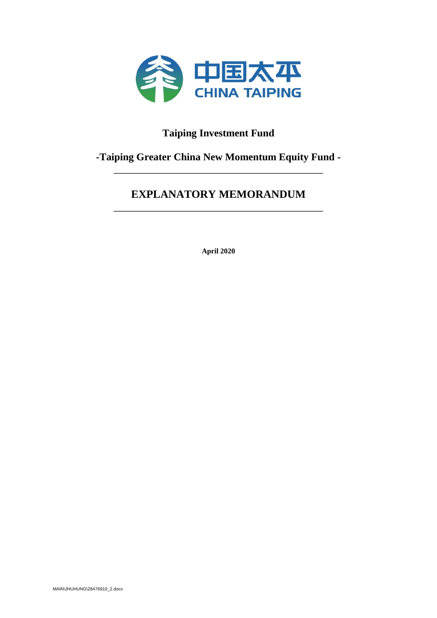

# **Taiping Investment Fund**

# **-Taiping Greater China New Momentum Equity Fund -** \_\_\_\_\_\_\_\_\_\_\_\_\_\_\_\_\_\_\_\_\_\_\_\_\_\_\_\_\_\_\_\_\_\_\_\_\_\_

# **EXPLANATORY MEMORANDUM** \_\_\_\_\_\_\_\_\_\_\_\_\_\_\_\_\_\_\_\_\_\_\_\_\_\_\_\_\_\_\_\_\_\_\_\_\_\_

**April 2020**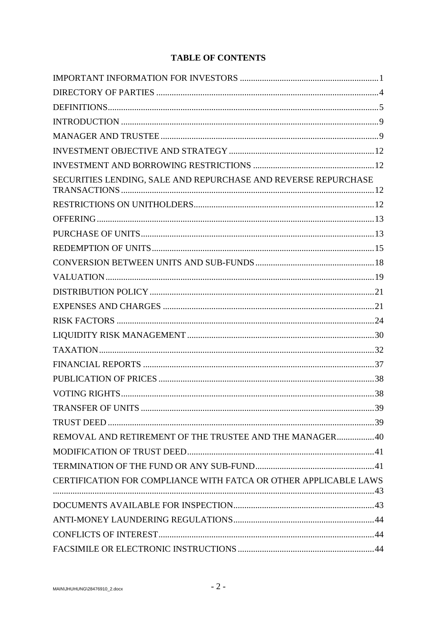# **TABLE OF CONTENTS**

| SECURITIES LENDING, SALE AND REPURCHASE AND REVERSE REPURCHASE   |  |
|------------------------------------------------------------------|--|
|                                                                  |  |
|                                                                  |  |
|                                                                  |  |
|                                                                  |  |
|                                                                  |  |
|                                                                  |  |
|                                                                  |  |
|                                                                  |  |
|                                                                  |  |
|                                                                  |  |
|                                                                  |  |
|                                                                  |  |
|                                                                  |  |
|                                                                  |  |
|                                                                  |  |
|                                                                  |  |
| REMOVAL AND RETIREMENT OF THE TRUSTEE AND THE MANAGER40          |  |
|                                                                  |  |
|                                                                  |  |
| CERTIFICATION FOR COMPLIANCE WITH FATCA OR OTHER APPLICABLE LAWS |  |
|                                                                  |  |
|                                                                  |  |
|                                                                  |  |
|                                                                  |  |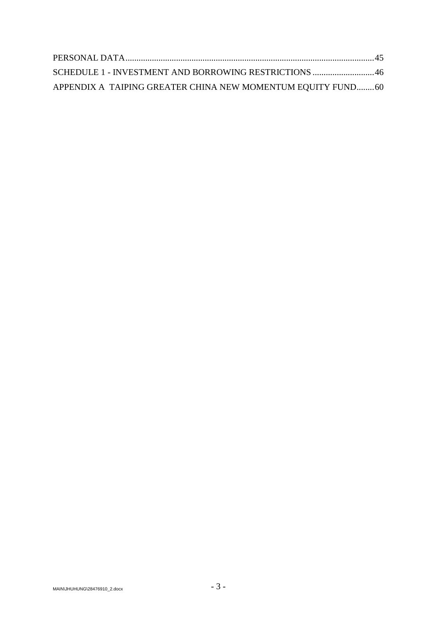| SCHEDULE 1 - INVESTMENT AND BORROWING RESTRICTIONS  46      |  |
|-------------------------------------------------------------|--|
| APPENDIX A TAIPING GREATER CHINA NEW MOMENTUM EQUITY FUND60 |  |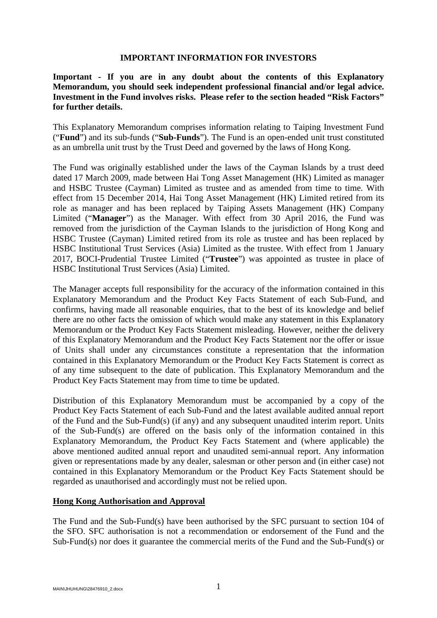#### **IMPORTANT INFORMATION FOR INVESTORS**

<span id="page-3-0"></span>**Important - If you are in any doubt about the contents of this Explanatory Memorandum, you should seek independent professional financial and/or legal advice. Investment in the Fund involves risks. Please refer to the section headed "Risk Factors" for further details.**

This Explanatory Memorandum comprises information relating to Taiping Investment Fund ("**Fund**") and its sub-funds ("**Sub-Funds**"). The Fund is an open-ended unit trust constituted as an umbrella unit trust by the Trust Deed and governed by the laws of Hong Kong.

The Fund was originally established under the laws of the Cayman Islands by a trust deed dated 17 March 2009, made between Hai Tong Asset Management (HK) Limited as manager and HSBC Trustee (Cayman) Limited as trustee and as amended from time to time. With effect from 15 December 2014, Hai Tong Asset Management (HK) Limited retired from its role as manager and has been replaced by Taiping Assets Management (HK) Company Limited ("**Manager**") as the Manager. With effect from 30 April 2016, the Fund was removed from the jurisdiction of the Cayman Islands to the jurisdiction of Hong Kong and HSBC Trustee (Cayman) Limited retired from its role as trustee and has been replaced by HSBC Institutional Trust Services (Asia) Limited as the trustee. With effect from 1 January 2017, BOCI-Prudential Trustee Limited ("**Trustee**") was appointed as trustee in place of HSBC Institutional Trust Services (Asia) Limited.

The Manager accepts full responsibility for the accuracy of the information contained in this Explanatory Memorandum and the Product Key Facts Statement of each Sub-Fund, and confirms, having made all reasonable enquiries, that to the best of its knowledge and belief there are no other facts the omission of which would make any statement in this Explanatory Memorandum or the Product Key Facts Statement misleading. However, neither the delivery of this Explanatory Memorandum and the Product Key Facts Statement nor the offer or issue of Units shall under any circumstances constitute a representation that the information contained in this Explanatory Memorandum or the Product Key Facts Statement is correct as of any time subsequent to the date of publication. This Explanatory Memorandum and the Product Key Facts Statement may from time to time be updated.

Distribution of this Explanatory Memorandum must be accompanied by a copy of the Product Key Facts Statement of each Sub-Fund and the latest available audited annual report of the Fund and the Sub-Fund(s) (if any) and any subsequent unaudited interim report. Units of the Sub-Fund(s) are offered on the basis only of the information contained in this Explanatory Memorandum, the Product Key Facts Statement and (where applicable) the above mentioned audited annual report and unaudited semi-annual report. Any information given or representations made by any dealer, salesman or other person and (in either case) not contained in this Explanatory Memorandum or the Product Key Facts Statement should be regarded as unauthorised and accordingly must not be relied upon.

#### **Hong Kong Authorisation and Approval**

The Fund and the Sub-Fund(s) have been authorised by the SFC pursuant to section 104 of the SFO. SFC authorisation is not a recommendation or endorsement of the Fund and the Sub-Fund(s) nor does it guarantee the commercial merits of the Fund and the Sub-Fund(s) or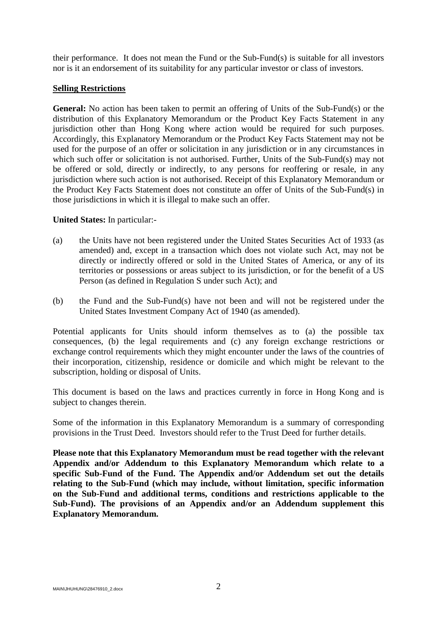their performance. It does not mean the Fund or the Sub-Fund(s) is suitable for all investors nor is it an endorsement of its suitability for any particular investor or class of investors.

#### **Selling Restrictions**

**General:** No action has been taken to permit an offering of Units of the Sub-Fund(s) or the distribution of this Explanatory Memorandum or the Product Key Facts Statement in any jurisdiction other than Hong Kong where action would be required for such purposes. Accordingly, this Explanatory Memorandum or the Product Key Facts Statement may not be used for the purpose of an offer or solicitation in any jurisdiction or in any circumstances in which such offer or solicitation is not authorised. Further, Units of the Sub-Fund(s) may not be offered or sold, directly or indirectly, to any persons for reoffering or resale, in any jurisdiction where such action is not authorised. Receipt of this Explanatory Memorandum or the Product Key Facts Statement does not constitute an offer of Units of the Sub-Fund(s) in those jurisdictions in which it is illegal to make such an offer.

## **United States:** In particular:-

- (a) the Units have not been registered under the United States Securities Act of 1933 (as amended) and, except in a transaction which does not violate such Act, may not be directly or indirectly offered or sold in the United States of America, or any of its territories or possessions or areas subject to its jurisdiction, or for the benefit of a US Person (as defined in Regulation S under such Act); and
- (b) the Fund and the Sub-Fund(s) have not been and will not be registered under the United States Investment Company Act of 1940 (as amended).

Potential applicants for Units should inform themselves as to (a) the possible tax consequences, (b) the legal requirements and (c) any foreign exchange restrictions or exchange control requirements which they might encounter under the laws of the countries of their incorporation, citizenship, residence or domicile and which might be relevant to the subscription, holding or disposal of Units.

This document is based on the laws and practices currently in force in Hong Kong and is subject to changes therein.

Some of the information in this Explanatory Memorandum is a summary of corresponding provisions in the Trust Deed. Investors should refer to the Trust Deed for further details.

**Please note that this Explanatory Memorandum must be read together with the relevant Appendix and/or Addendum to this Explanatory Memorandum which relate to a specific Sub-Fund of the Fund. The Appendix and/or Addendum set out the details relating to the Sub-Fund (which may include, without limitation, specific information on the Sub-Fund and additional terms, conditions and restrictions applicable to the Sub-Fund). The provisions of an Appendix and/or an Addendum supplement this Explanatory Memorandum.**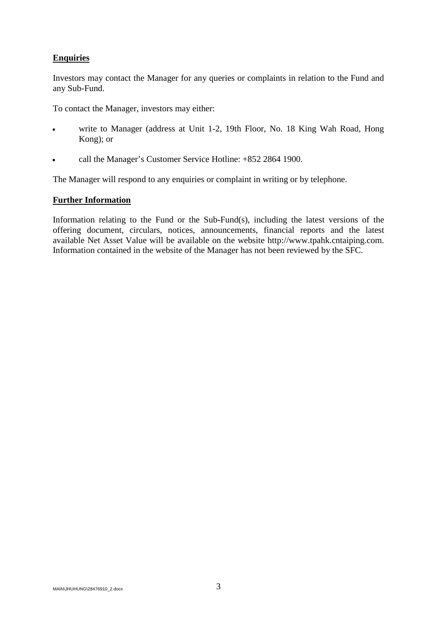## **Enquiries**

Investors may contact the Manager for any queries or complaints in relation to the Fund and any Sub-Fund.

To contact the Manager, investors may either:

- write to Manager (address at Unit 1-2, 19th Floor, No. 18 King Wah Road, Hong Kong); or
- call the Manager's Customer Service Hotline: +852 2864 1900.

The Manager will respond to any enquiries or complaint in writing or by telephone.

## **Further Information**

Information relating to the Fund or the Sub-Fund(s), including the latest versions of the offering document, circulars, notices, announcements, financial reports and the latest available Net Asset Value will be available on the website http://www.tpahk.cntaiping.com. Information contained in the website of the Manager has not been reviewed by the SFC.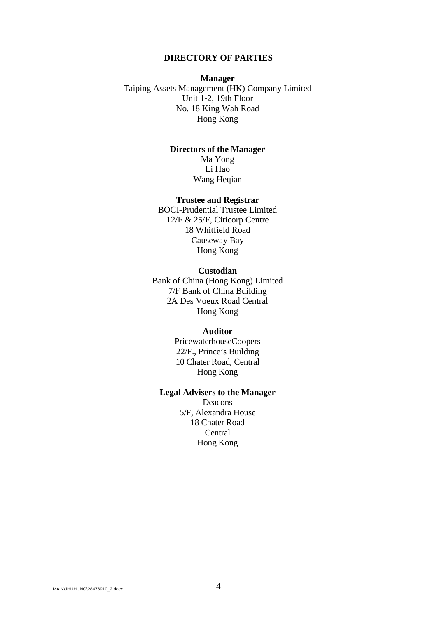#### **DIRECTORY OF PARTIES**

## <span id="page-6-0"></span>**Manager** Taiping Assets Management (HK) Company Limited Unit 1-2, 19th Floor No. 18 King Wah Road Hong Kong

## **Directors of the Manager**

Ma Yong Li Hao Wang Heqian

#### **Trustee and Registrar**

BOCI-Prudential Trustee Limited 12/F & 25/F, Citicorp Centre 18 Whitfield Road Causeway Bay Hong Kong

#### **Custodian**

Bank of China (Hong Kong) Limited 7/F Bank of China Building 2A Des Voeux Road Central Hong Kong

#### **Auditor**

PricewaterhouseCoopers 22/F., Prince's Building 10 Chater Road, Central Hong Kong

#### **Legal Advisers to the Manager**

Deacons 5/F, Alexandra House 18 Chater Road Central Hong Kong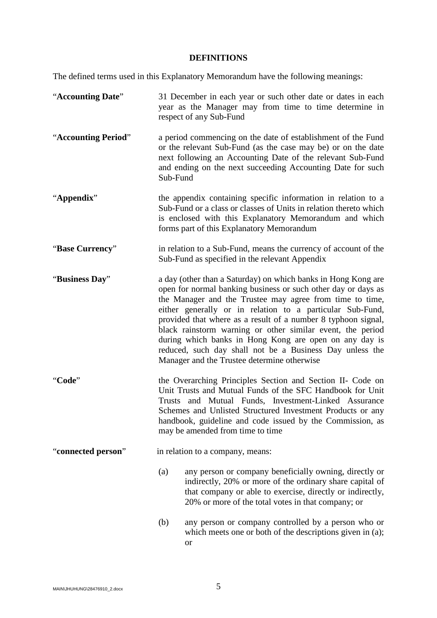# **DEFINITIONS**

<span id="page-7-0"></span>The defined terms used in this Explanatory Memorandum have the following meanings:

| "Accounting Date"   | 31 December in each year or such other date or dates in each<br>year as the Manager may from time to time determine in<br>respect of any Sub-Fund                                                                                                                                                                                                                                                                                                                                                                                                           |
|---------------------|-------------------------------------------------------------------------------------------------------------------------------------------------------------------------------------------------------------------------------------------------------------------------------------------------------------------------------------------------------------------------------------------------------------------------------------------------------------------------------------------------------------------------------------------------------------|
| "Accounting Period" | a period commencing on the date of establishment of the Fund<br>or the relevant Sub-Fund (as the case may be) or on the date<br>next following an Accounting Date of the relevant Sub-Fund<br>and ending on the next succeeding Accounting Date for such<br>Sub-Fund                                                                                                                                                                                                                                                                                        |
| "Appendix"          | the appendix containing specific information in relation to a<br>Sub-Fund or a class or classes of Units in relation thereto which<br>is enclosed with this Explanatory Memorandum and which<br>forms part of this Explanatory Memorandum                                                                                                                                                                                                                                                                                                                   |
| "Base Currency"     | in relation to a Sub-Fund, means the currency of account of the<br>Sub-Fund as specified in the relevant Appendix                                                                                                                                                                                                                                                                                                                                                                                                                                           |
| "Business Day"      | a day (other than a Saturday) on which banks in Hong Kong are<br>open for normal banking business or such other day or days as<br>the Manager and the Trustee may agree from time to time,<br>either generally or in relation to a particular Sub-Fund,<br>provided that where as a result of a number 8 typhoon signal,<br>black rainstorm warning or other similar event, the period<br>during which banks in Hong Kong are open on any day is<br>reduced, such day shall not be a Business Day unless the<br>Manager and the Trustee determine otherwise |
| "Code"              | the Overarching Principles Section and Section II- Code on<br>Unit Trusts and Mutual Funds of the SFC Handbook for Unit<br>Trusts and Mutual Funds, Investment-Linked Assurance<br>Schemes and Unlisted Structured Investment Products or any<br>handbook, guideline and code issued by the Commission, as<br>may be amended from time to time                                                                                                                                                                                                              |
| "connected person"  | in relation to a company, means:                                                                                                                                                                                                                                                                                                                                                                                                                                                                                                                            |
|                     | (a)<br>any person or company beneficially owning, directly or<br>indirectly, 20% or more of the ordinary share capital of<br>that company or able to exercise, directly or indirectly,<br>20% or more of the total votes in that company; or                                                                                                                                                                                                                                                                                                                |
|                     | (b)<br>any person or company controlled by a person who or<br>which meets one or both of the descriptions given in (a);<br><b>or</b>                                                                                                                                                                                                                                                                                                                                                                                                                        |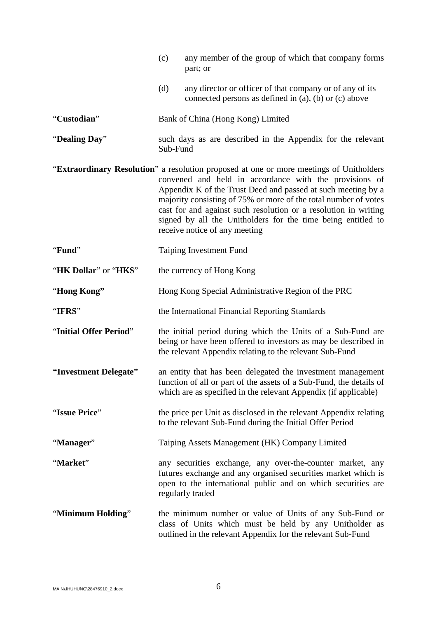|                        | (c)      | any member of the group of which that company forms<br>part; or                                                                                                                                                                                                                                                                                                                                                                                          |
|------------------------|----------|----------------------------------------------------------------------------------------------------------------------------------------------------------------------------------------------------------------------------------------------------------------------------------------------------------------------------------------------------------------------------------------------------------------------------------------------------------|
|                        | (d)      | any director or officer of that company or of any of its<br>connected persons as defined in (a), (b) or (c) above                                                                                                                                                                                                                                                                                                                                        |
| "Custodian"            |          | Bank of China (Hong Kong) Limited                                                                                                                                                                                                                                                                                                                                                                                                                        |
| "Dealing Day"          | Sub-Fund | such days as are described in the Appendix for the relevant                                                                                                                                                                                                                                                                                                                                                                                              |
|                        |          | "Extraordinary Resolution" a resolution proposed at one or more meetings of Unitholders<br>convened and held in accordance with the provisions of<br>Appendix K of the Trust Deed and passed at such meeting by a<br>majority consisting of 75% or more of the total number of votes<br>cast for and against such resolution or a resolution in writing<br>signed by all the Unitholders for the time being entitled to<br>receive notice of any meeting |
| "Fund"                 |          | <b>Taiping Investment Fund</b>                                                                                                                                                                                                                                                                                                                                                                                                                           |
| "HK Dollar" or "HK\$"  |          | the currency of Hong Kong                                                                                                                                                                                                                                                                                                                                                                                                                                |
| "Hong Kong"            |          | Hong Kong Special Administrative Region of the PRC                                                                                                                                                                                                                                                                                                                                                                                                       |
| "IFRS"                 |          | the International Financial Reporting Standards                                                                                                                                                                                                                                                                                                                                                                                                          |
| "Initial Offer Period" |          | the initial period during which the Units of a Sub-Fund are<br>being or have been offered to investors as may be described in<br>the relevant Appendix relating to the relevant Sub-Fund                                                                                                                                                                                                                                                                 |
| "Investment Delegate"  |          | an entity that has been delegated the investment management<br>function of all or part of the assets of a Sub-Fund, the details of<br>which are as specified in the relevant Appendix (if applicable)                                                                                                                                                                                                                                                    |
| "Issue Price"          |          | the price per Unit as disclosed in the relevant Appendix relating<br>to the relevant Sub-Fund during the Initial Offer Period                                                                                                                                                                                                                                                                                                                            |
| "Manager"              |          | Taiping Assets Management (HK) Company Limited                                                                                                                                                                                                                                                                                                                                                                                                           |
| "Market"               |          | any securities exchange, any over-the-counter market, any<br>futures exchange and any organised securities market which is<br>open to the international public and on which securities are<br>regularly traded                                                                                                                                                                                                                                           |
| "Minimum Holding"      |          | the minimum number or value of Units of any Sub-Fund or<br>class of Units which must be held by any Unitholder as<br>outlined in the relevant Appendix for the relevant Sub-Fund                                                                                                                                                                                                                                                                         |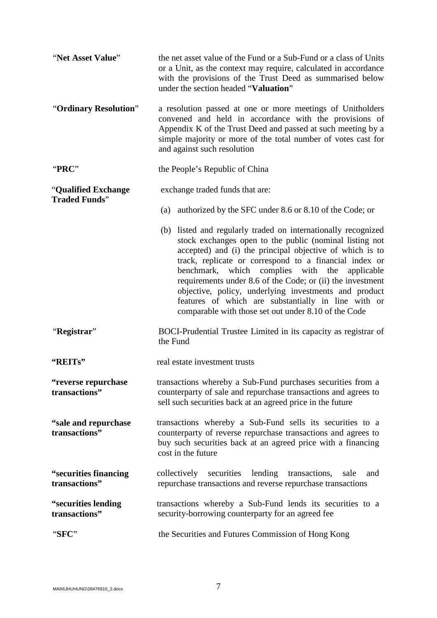| "Net Asset Value"                           | the net asset value of the Fund or a Sub-Fund or a class of Units<br>or a Unit, as the context may require, calculated in accordance<br>with the provisions of the Trust Deed as summarised below<br>under the section headed "Valuation"                                                                                                                                                                                                                                                                                             |  |
|---------------------------------------------|---------------------------------------------------------------------------------------------------------------------------------------------------------------------------------------------------------------------------------------------------------------------------------------------------------------------------------------------------------------------------------------------------------------------------------------------------------------------------------------------------------------------------------------|--|
| "Ordinary Resolution"                       | a resolution passed at one or more meetings of Unitholders<br>convened and held in accordance with the provisions of<br>Appendix K of the Trust Deed and passed at such meeting by a<br>simple majority or more of the total number of votes cast for<br>and against such resolution                                                                                                                                                                                                                                                  |  |
| "PRC"                                       | the People's Republic of China                                                                                                                                                                                                                                                                                                                                                                                                                                                                                                        |  |
| "Qualified Exchange<br><b>Traded Funds"</b> | exchange traded funds that are:                                                                                                                                                                                                                                                                                                                                                                                                                                                                                                       |  |
|                                             | authorized by the SFC under 8.6 or 8.10 of the Code; or<br>(a)                                                                                                                                                                                                                                                                                                                                                                                                                                                                        |  |
|                                             | (b) listed and regularly traded on internationally recognized<br>stock exchanges open to the public (nominal listing not<br>accepted) and (i) the principal objective of which is to<br>track, replicate or correspond to a financial index or<br>benchmark, which complies with the applicable<br>requirements under 8.6 of the Code; or (ii) the investment<br>objective, policy, underlying investments and product<br>features of which are substantially in line with or<br>comparable with those set out under 8.10 of the Code |  |
| "Registrar"                                 | BOCI-Prudential Trustee Limited in its capacity as registrar of<br>the Fund                                                                                                                                                                                                                                                                                                                                                                                                                                                           |  |
| "REITs"                                     | real estate investment trusts                                                                                                                                                                                                                                                                                                                                                                                                                                                                                                         |  |
| "reverse repurchase<br>transactions"        | transactions whereby a Sub-Fund purchases securities from a<br>counterparty of sale and repurchase transactions and agrees to<br>sell such securities back at an agreed price in the future                                                                                                                                                                                                                                                                                                                                           |  |
| "sale and repurchase"<br>transactions"      | transactions whereby a Sub-Fund sells its securities to a<br>counterparty of reverse repurchase transactions and agrees to<br>buy such securities back at an agreed price with a financing<br>cost in the future                                                                                                                                                                                                                                                                                                                      |  |
| "securities financing"<br>transactions"     | lending<br>collectively<br>securities<br>transactions,<br>sale<br>and<br>repurchase transactions and reverse repurchase transactions                                                                                                                                                                                                                                                                                                                                                                                                  |  |
| "securities lending<br>transactions"        | transactions whereby a Sub-Fund lends its securities to a<br>security-borrowing counterparty for an agreed fee                                                                                                                                                                                                                                                                                                                                                                                                                        |  |
| "SFC"                                       | the Securities and Futures Commission of Hong Kong                                                                                                                                                                                                                                                                                                                                                                                                                                                                                    |  |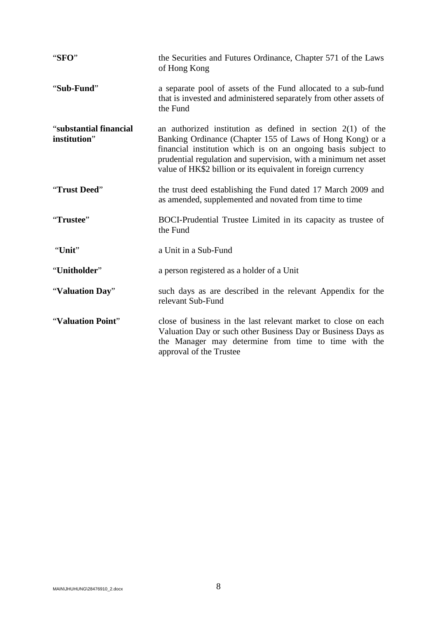| "SFO"                                  | the Securities and Futures Ordinance, Chapter 571 of the Laws<br>of Hong Kong                                                                                                                                                                                                                                                  |
|----------------------------------------|--------------------------------------------------------------------------------------------------------------------------------------------------------------------------------------------------------------------------------------------------------------------------------------------------------------------------------|
| "Sub-Fund"                             | a separate pool of assets of the Fund allocated to a sub-fund<br>that is invested and administered separately from other assets of<br>the Fund                                                                                                                                                                                 |
| "substantial financial<br>institution" | an authorized institution as defined in section $2(1)$ of the<br>Banking Ordinance (Chapter 155 of Laws of Hong Kong) or a<br>financial institution which is on an ongoing basis subject to<br>prudential regulation and supervision, with a minimum net asset<br>value of HK\$2 billion or its equivalent in foreign currency |
| "Trust Deed"                           | the trust deed establishing the Fund dated 17 March 2009 and<br>as amended, supplemented and novated from time to time                                                                                                                                                                                                         |
| "Trustee"                              | BOCI-Prudential Trustee Limited in its capacity as trustee of<br>the Fund                                                                                                                                                                                                                                                      |
| "Unit"                                 | a Unit in a Sub-Fund                                                                                                                                                                                                                                                                                                           |
| "Unitholder"                           | a person registered as a holder of a Unit                                                                                                                                                                                                                                                                                      |
| "Valuation Day"                        | such days as are described in the relevant Appendix for the<br>relevant Sub-Fund                                                                                                                                                                                                                                               |
| "Valuation Point"                      | close of business in the last relevant market to close on each<br>Valuation Day or such other Business Day or Business Days as<br>the Manager may determine from time to time with the<br>approval of the Trustee                                                                                                              |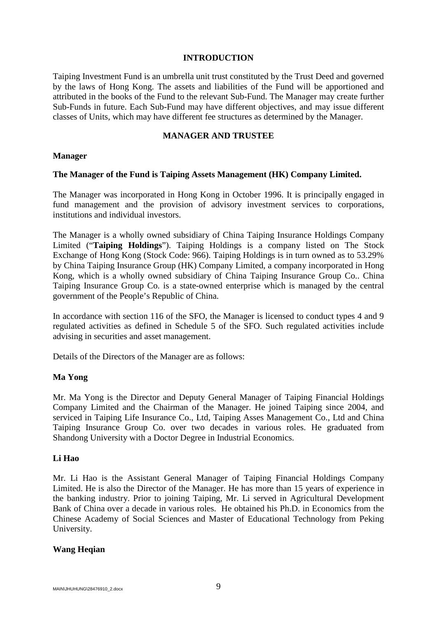#### **INTRODUCTION**

<span id="page-11-0"></span>Taiping Investment Fund is an umbrella unit trust constituted by the Trust Deed and governed by the laws of Hong Kong. The assets and liabilities of the Fund will be apportioned and attributed in the books of the Fund to the relevant Sub-Fund. The Manager may create further Sub-Funds in future. Each Sub-Fund may have different objectives, and may issue different classes of Units, which may have different fee structures as determined by the Manager.

#### **MANAGER AND TRUSTEE**

#### <span id="page-11-1"></span>**Manager**

#### **The Manager of the Fund is Taiping Assets Management (HK) Company Limited.**

The Manager was incorporated in Hong Kong in October 1996. It is principally engaged in fund management and the provision of advisory investment services to corporations, institutions and individual investors.

The Manager is a wholly owned subsidiary of China Taiping Insurance Holdings Company Limited ("**Taiping Holdings**"). Taiping Holdings is a company listed on The Stock Exchange of Hong Kong (Stock Code: 966). Taiping Holdings is in turn owned as to 53.29% by China Taiping Insurance Group (HK) Company Limited, a company incorporated in Hong Kong, which is a wholly owned subsidiary of China Taiping Insurance Group Co.. China Taiping Insurance Group Co. is a state-owned enterprise which is managed by the central government of the People's Republic of China.

In accordance with section 116 of the SFO, the Manager is licensed to conduct types 4 and 9 regulated activities as defined in Schedule 5 of the SFO. Such regulated activities include advising in securities and asset management.

Details of the Directors of the Manager are as follows:

#### **Ma Yong**

Mr. Ma Yong is the Director and Deputy General Manager of Taiping Financial Holdings Company Limited and the Chairman of the Manager. He joined Taiping since 2004, and serviced in Taiping Life Insurance Co., Ltd, Taiping Asses Management Co., Ltd and China Taiping Insurance Group Co. over two decades in various roles. He graduated from Shandong University with a Doctor Degree in Industrial Economics.

#### **Li Hao**

Mr. Li Hao is the Assistant General Manager of Taiping Financial Holdings Company Limited. He is also the Director of the Manager. He has more than 15 years of experience in the banking industry. Prior to joining Taiping, Mr. Li served in Agricultural Development Bank of China over a decade in various roles. He obtained his Ph.D. in Economics from the Chinese Academy of Social Sciences and Master of Educational Technology from Peking University.

#### **Wang Heqian**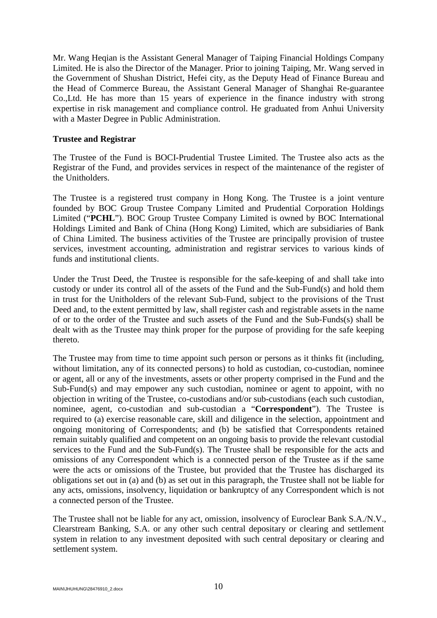Mr. Wang Heqian is the Assistant General Manager of Taiping Financial Holdings Company Limited. He is also the Director of the Manager. Prior to joining Taiping, Mr. Wang served in the Government of Shushan District, Hefei city, as the Deputy Head of Finance Bureau and the Head of Commerce Bureau, the Assistant General Manager of Shanghai Re-guarantee Co.,Ltd. He has more than 15 years of experience in the finance industry with strong expertise in risk management and compliance control. He graduated from Anhui University with a Master Degree in Public Administration.

#### **Trustee and Registrar**

The Trustee of the Fund is BOCI-Prudential Trustee Limited. The Trustee also acts as the Registrar of the Fund, and provides services in respect of the maintenance of the register of the Unitholders.

The Trustee is a registered trust company in Hong Kong. The Trustee is a joint venture founded by BOC Group Trustee Company Limited and Prudential Corporation Holdings Limited ("**PCHL**"). BOC Group Trustee Company Limited is owned by BOC International Holdings Limited and Bank of China (Hong Kong) Limited, which are subsidiaries of Bank of China Limited. The business activities of the Trustee are principally provision of trustee services, investment accounting, administration and registrar services to various kinds of funds and institutional clients.

Under the Trust Deed, the Trustee is responsible for the safe-keeping of and shall take into custody or under its control all of the assets of the Fund and the Sub-Fund(s) and hold them in trust for the Unitholders of the relevant Sub-Fund, subject to the provisions of the Trust Deed and, to the extent permitted by law, shall register cash and registrable assets in the name of or to the order of the Trustee and such assets of the Fund and the Sub-Funds(s) shall be dealt with as the Trustee may think proper for the purpose of providing for the safe keeping thereto.

The Trustee may from time to time appoint such person or persons as it thinks fit (including, without limitation, any of its connected persons) to hold as custodian, co-custodian, nominee or agent, all or any of the investments, assets or other property comprised in the Fund and the Sub-Fund(s) and may empower any such custodian, nominee or agent to appoint, with no objection in writing of the Trustee, co-custodians and/or sub-custodians (each such custodian, nominee, agent, co-custodian and sub-custodian a "**Correspondent**"). The Trustee is required to (a) exercise reasonable care, skill and diligence in the selection, appointment and ongoing monitoring of Correspondents; and (b) be satisfied that Correspondents retained remain suitably qualified and competent on an ongoing basis to provide the relevant custodial services to the Fund and the Sub-Fund(s). The Trustee shall be responsible for the acts and omissions of any Correspondent which is a connected person of the Trustee as if the same were the acts or omissions of the Trustee, but provided that the Trustee has discharged its obligations set out in (a) and (b) as set out in this paragraph, the Trustee shall not be liable for any acts, omissions, insolvency, liquidation or bankruptcy of any Correspondent which is not a connected person of the Trustee.

The Trustee shall not be liable for any act, omission, insolvency of Euroclear Bank S.A./N.V., Clearstream Banking, S.A. or any other such central depositary or clearing and settlement system in relation to any investment deposited with such central depositary or clearing and settlement system.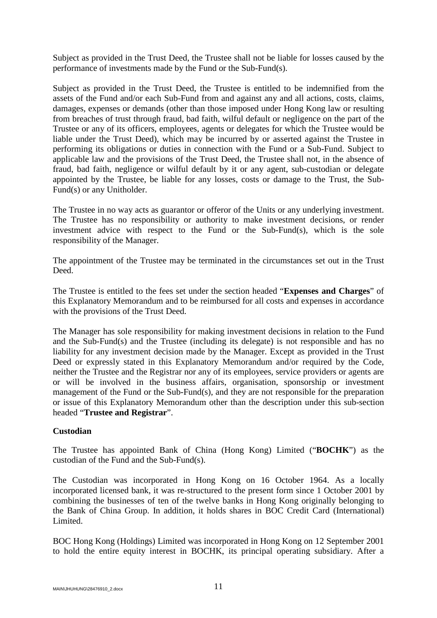Subject as provided in the Trust Deed, the Trustee shall not be liable for losses caused by the performance of investments made by the Fund or the Sub-Fund(s).

Subject as provided in the Trust Deed, the Trustee is entitled to be indemnified from the assets of the Fund and/or each Sub-Fund from and against any and all actions, costs, claims, damages, expenses or demands (other than those imposed under Hong Kong law or resulting from breaches of trust through fraud, bad faith, wilful default or negligence on the part of the Trustee or any of its officers, employees, agents or delegates for which the Trustee would be liable under the Trust Deed), which may be incurred by or asserted against the Trustee in performing its obligations or duties in connection with the Fund or a Sub-Fund. Subject to applicable law and the provisions of the Trust Deed, the Trustee shall not, in the absence of fraud, bad faith, negligence or wilful default by it or any agent, sub-custodian or delegate appointed by the Trustee, be liable for any losses, costs or damage to the Trust, the Sub-Fund(s) or any Unitholder.

The Trustee in no way acts as guarantor or offeror of the Units or any underlying investment. The Trustee has no responsibility or authority to make investment decisions, or render investment advice with respect to the Fund or the Sub-Fund(s), which is the sole responsibility of the Manager.

The appointment of the Trustee may be terminated in the circumstances set out in the Trust Deed.

The Trustee is entitled to the fees set under the section headed "**Expenses and Charges**" of this Explanatory Memorandum and to be reimbursed for all costs and expenses in accordance with the provisions of the Trust Deed.

The Manager has sole responsibility for making investment decisions in relation to the Fund and the Sub-Fund(s) and the Trustee (including its delegate) is not responsible and has no liability for any investment decision made by the Manager. Except as provided in the Trust Deed or expressly stated in this Explanatory Memorandum and/or required by the Code, neither the Trustee and the Registrar nor any of its employees, service providers or agents are or will be involved in the business affairs, organisation, sponsorship or investment management of the Fund or the Sub-Fund(s), and they are not responsible for the preparation or issue of this Explanatory Memorandum other than the description under this sub-section headed "**Trustee and Registrar**".

## **Custodian**

The Trustee has appointed Bank of China (Hong Kong) Limited ("**BOCHK**") as the custodian of the Fund and the Sub-Fund(s).

The Custodian was incorporated in Hong Kong on 16 October 1964. As a locally incorporated licensed bank, it was re-structured to the present form since 1 October 2001 by combining the businesses of ten of the twelve banks in Hong Kong originally belonging to the Bank of China Group. In addition, it holds shares in BOC Credit Card (International) Limited.

BOC Hong Kong (Holdings) Limited was incorporated in Hong Kong on 12 September 2001 to hold the entire equity interest in BOCHK, its principal operating subsidiary. After a

MAIN\JHUHUNG\28476910\_2.docx  $11$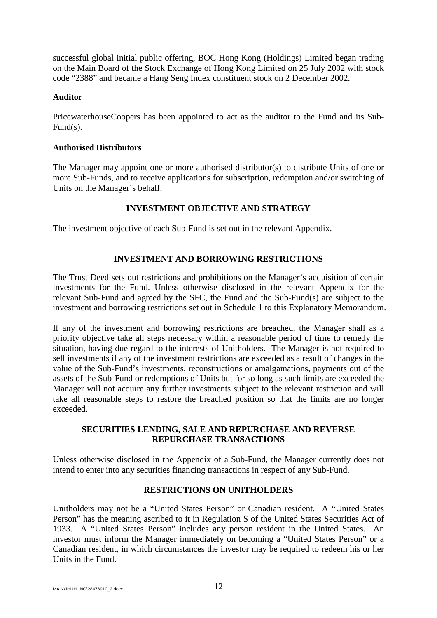successful global initial public offering, BOC Hong Kong (Holdings) Limited began trading on the Main Board of the Stock Exchange of Hong Kong Limited on 25 July 2002 with stock code "2388" and became a Hang Seng Index constituent stock on 2 December 2002.

#### **Auditor**

PricewaterhouseCoopers has been appointed to act as the auditor to the Fund and its Sub-Fund(s).

#### **Authorised Distributors**

The Manager may appoint one or more authorised distributor(s) to distribute Units of one or more Sub-Funds, and to receive applications for subscription, redemption and/or switching of Units on the Manager's behalf.

#### **INVESTMENT OBJECTIVE AND STRATEGY**

<span id="page-14-0"></span>The investment objective of each Sub-Fund is set out in the relevant Appendix.

## **INVESTMENT AND BORROWING RESTRICTIONS**

<span id="page-14-1"></span>The Trust Deed sets out restrictions and prohibitions on the Manager's acquisition of certain investments for the Fund. Unless otherwise disclosed in the relevant Appendix for the relevant Sub-Fund and agreed by the SFC, the Fund and the Sub-Fund(s) are subject to the investment and borrowing restrictions set out in Schedule 1 to this Explanatory Memorandum.

If any of the investment and borrowing restrictions are breached, the Manager shall as a priority objective take all steps necessary within a reasonable period of time to remedy the situation, having due regard to the interests of Unitholders. The Manager is not required to sell investments if any of the investment restrictions are exceeded as a result of changes in the value of the Sub-Fund's investments, reconstructions or amalgamations, payments out of the assets of the Sub-Fund or redemptions of Units but for so long as such limits are exceeded the Manager will not acquire any further investments subject to the relevant restriction and will take all reasonable steps to restore the breached position so that the limits are no longer exceeded.

## <span id="page-14-2"></span>**SECURITIES LENDING, SALE AND REPURCHASE AND REVERSE REPURCHASE TRANSACTIONS**

Unless otherwise disclosed in the Appendix of a Sub-Fund, the Manager currently does not intend to enter into any securities financing transactions in respect of any Sub-Fund.

#### **RESTRICTIONS ON UNITHOLDERS**

<span id="page-14-3"></span>Unitholders may not be a "United States Person" or Canadian resident. A "United States Person" has the meaning ascribed to it in Regulation S of the United States Securities Act of 1933. A "United States Person" includes any person resident in the United States. An investor must inform the Manager immediately on becoming a "United States Person" or a Canadian resident, in which circumstances the investor may be required to redeem his or her Units in the Fund.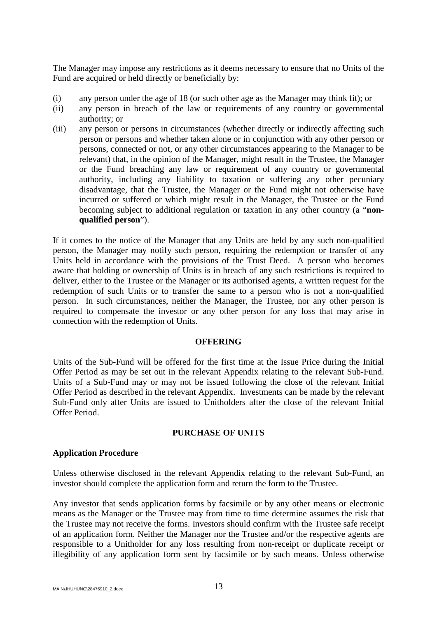The Manager may impose any restrictions as it deems necessary to ensure that no Units of the Fund are acquired or held directly or beneficially by:

- (i) any person under the age of 18 (or such other age as the Manager may think fit); or
- (ii) any person in breach of the law or requirements of any country or governmental authority; or
- (iii) any person or persons in circumstances (whether directly or indirectly affecting such person or persons and whether taken alone or in conjunction with any other person or persons, connected or not, or any other circumstances appearing to the Manager to be relevant) that, in the opinion of the Manager, might result in the Trustee, the Manager or the Fund breaching any law or requirement of any country or governmental authority, including any liability to taxation or suffering any other pecuniary disadvantage, that the Trustee, the Manager or the Fund might not otherwise have incurred or suffered or which might result in the Manager, the Trustee or the Fund becoming subject to additional regulation or taxation in any other country (a "**nonqualified person**").

If it comes to the notice of the Manager that any Units are held by any such non-qualified person, the Manager may notify such person, requiring the redemption or transfer of any Units held in accordance with the provisions of the Trust Deed. A person who becomes aware that holding or ownership of Units is in breach of any such restrictions is required to deliver, either to the Trustee or the Manager or its authorised agents, a written request for the redemption of such Units or to transfer the same to a person who is not a non-qualified person. In such circumstances, neither the Manager, the Trustee, nor any other person is required to compensate the investor or any other person for any loss that may arise in connection with the redemption of Units.

#### **OFFERING**

<span id="page-15-0"></span>Units of the Sub-Fund will be offered for the first time at the Issue Price during the Initial Offer Period as may be set out in the relevant Appendix relating to the relevant Sub-Fund. Units of a Sub-Fund may or may not be issued following the close of the relevant Initial Offer Period as described in the relevant Appendix. Investments can be made by the relevant Sub-Fund only after Units are issued to Unitholders after the close of the relevant Initial Offer Period.

## **PURCHASE OF UNITS**

#### <span id="page-15-1"></span>**Application Procedure**

Unless otherwise disclosed in the relevant Appendix relating to the relevant Sub-Fund, an investor should complete the application form and return the form to the Trustee.

Any investor that sends application forms by facsimile or by any other means or electronic means as the Manager or the Trustee may from time to time determine assumes the risk that the Trustee may not receive the forms. Investors should confirm with the Trustee safe receipt of an application form. Neither the Manager nor the Trustee and/or the respective agents are responsible to a Unitholder for any loss resulting from non-receipt or duplicate receipt or illegibility of any application form sent by facsimile or by such means. Unless otherwise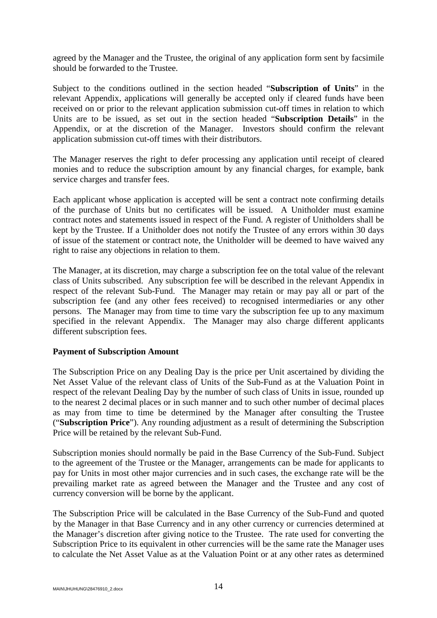agreed by the Manager and the Trustee, the original of any application form sent by facsimile should be forwarded to the Trustee.

Subject to the conditions outlined in the section headed "**Subscription of Units**" in the relevant Appendix, applications will generally be accepted only if cleared funds have been received on or prior to the relevant application submission cut-off times in relation to which Units are to be issued, as set out in the section headed "**Subscription Details**" in the Appendix, or at the discretion of the Manager. Investors should confirm the relevant application submission cut-off times with their distributors.

The Manager reserves the right to defer processing any application until receipt of cleared monies and to reduce the subscription amount by any financial charges, for example, bank service charges and transfer fees.

Each applicant whose application is accepted will be sent a contract note confirming details of the purchase of Units but no certificates will be issued. A Unitholder must examine contract notes and statements issued in respect of the Fund. A register of Unitholders shall be kept by the Trustee. If a Unitholder does not notify the Trustee of any errors within 30 days of issue of the statement or contract note, the Unitholder will be deemed to have waived any right to raise any objections in relation to them.

The Manager, at its discretion, may charge a subscription fee on the total value of the relevant class of Units subscribed. Any subscription fee will be described in the relevant Appendix in respect of the relevant Sub-Fund. The Manager may retain or may pay all or part of the subscription fee (and any other fees received) to recognised intermediaries or any other persons. The Manager may from time to time vary the subscription fee up to any maximum specified in the relevant Appendix. The Manager may also charge different applicants different subscription fees.

#### **Payment of Subscription Amount**

The Subscription Price on any Dealing Day is the price per Unit ascertained by dividing the Net Asset Value of the relevant class of Units of the Sub-Fund as at the Valuation Point in respect of the relevant Dealing Day by the number of such class of Units in issue, rounded up to the nearest 2 decimal places or in such manner and to such other number of decimal places as may from time to time be determined by the Manager after consulting the Trustee ("**Subscription Price**"). Any rounding adjustment as a result of determining the Subscription Price will be retained by the relevant Sub-Fund.

Subscription monies should normally be paid in the Base Currency of the Sub-Fund. Subject to the agreement of the Trustee or the Manager, arrangements can be made for applicants to pay for Units in most other major currencies and in such cases, the exchange rate will be the prevailing market rate as agreed between the Manager and the Trustee and any cost of currency conversion will be borne by the applicant.

The Subscription Price will be calculated in the Base Currency of the Sub-Fund and quoted by the Manager in that Base Currency and in any other currency or currencies determined at the Manager's discretion after giving notice to the Trustee. The rate used for converting the Subscription Price to its equivalent in other currencies will be the same rate the Manager uses to calculate the Net Asset Value as at the Valuation Point or at any other rates as determined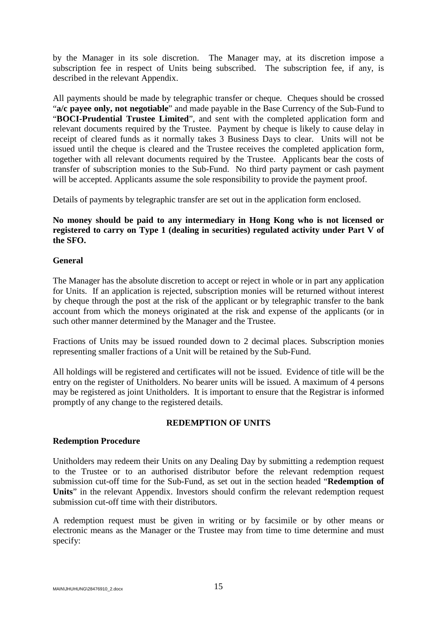by the Manager in its sole discretion. The Manager may, at its discretion impose a subscription fee in respect of Units being subscribed. The subscription fee, if any, is described in the relevant Appendix.

All payments should be made by telegraphic transfer or cheque. Cheques should be crossed "**a/c payee only, not negotiable**" and made payable in the Base Currency of the Sub-Fund to "**BOCI-Prudential Trustee Limited**", and sent with the completed application form and relevant documents required by the Trustee. Payment by cheque is likely to cause delay in receipt of cleared funds as it normally takes 3 Business Days to clear. Units will not be issued until the cheque is cleared and the Trustee receives the completed application form, together with all relevant documents required by the Trustee. Applicants bear the costs of transfer of subscription monies to the Sub-Fund. No third party payment or cash payment will be accepted. Applicants assume the sole responsibility to provide the payment proof.

Details of payments by telegraphic transfer are set out in the application form enclosed.

## **No money should be paid to any intermediary in Hong Kong who is not licensed or registered to carry on Type 1 (dealing in securities) regulated activity under Part V of the SFO.**

## **General**

The Manager has the absolute discretion to accept or reject in whole or in part any application for Units. If an application is rejected, subscription monies will be returned without interest by cheque through the post at the risk of the applicant or by telegraphic transfer to the bank account from which the moneys originated at the risk and expense of the applicants (or in such other manner determined by the Manager and the Trustee.

Fractions of Units may be issued rounded down to 2 decimal places. Subscription monies representing smaller fractions of a Unit will be retained by the Sub-Fund.

All holdings will be registered and certificates will not be issued. Evidence of title will be the entry on the register of Unitholders. No bearer units will be issued. A maximum of 4 persons may be registered as joint Unitholders. It is important to ensure that the Registrar is informed promptly of any change to the registered details.

## **REDEMPTION OF UNITS**

#### <span id="page-17-0"></span>**Redemption Procedure**

Unitholders may redeem their Units on any Dealing Day by submitting a redemption request to the Trustee or to an authorised distributor before the relevant redemption request submission cut-off time for the Sub-Fund, as set out in the section headed "**Redemption of Units**" in the relevant Appendix. Investors should confirm the relevant redemption request submission cut-off time with their distributors.

A redemption request must be given in writing or by facsimile or by other means or electronic means as the Manager or the Trustee may from time to time determine and must specify: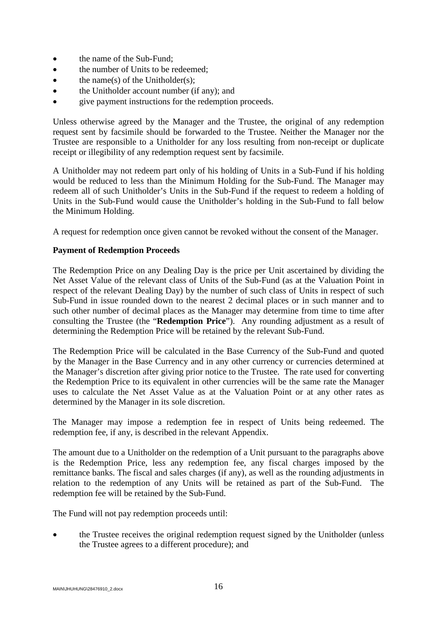- the name of the Sub-Fund;
- the number of Units to be redeemed;
- $\bullet$  the name(s) of the Unitholder(s);
- the Unitholder account number (if any); and
- give payment instructions for the redemption proceeds.

Unless otherwise agreed by the Manager and the Trustee, the original of any redemption request sent by facsimile should be forwarded to the Trustee. Neither the Manager nor the Trustee are responsible to a Unitholder for any loss resulting from non-receipt or duplicate receipt or illegibility of any redemption request sent by facsimile.

A Unitholder may not redeem part only of his holding of Units in a Sub-Fund if his holding would be reduced to less than the Minimum Holding for the Sub-Fund. The Manager may redeem all of such Unitholder's Units in the Sub-Fund if the request to redeem a holding of Units in the Sub-Fund would cause the Unitholder's holding in the Sub-Fund to fall below the Minimum Holding.

A request for redemption once given cannot be revoked without the consent of the Manager.

#### **Payment of Redemption Proceeds**

The Redemption Price on any Dealing Day is the price per Unit ascertained by dividing the Net Asset Value of the relevant class of Units of the Sub-Fund (as at the Valuation Point in respect of the relevant Dealing Day) by the number of such class of Units in respect of such Sub-Fund in issue rounded down to the nearest 2 decimal places or in such manner and to such other number of decimal places as the Manager may determine from time to time after consulting the Trustee (the "**Redemption Price**"). Any rounding adjustment as a result of determining the Redemption Price will be retained by the relevant Sub-Fund.

The Redemption Price will be calculated in the Base Currency of the Sub-Fund and quoted by the Manager in the Base Currency and in any other currency or currencies determined at the Manager's discretion after giving prior notice to the Trustee. The rate used for converting the Redemption Price to its equivalent in other currencies will be the same rate the Manager uses to calculate the Net Asset Value as at the Valuation Point or at any other rates as determined by the Manager in its sole discretion.

The Manager may impose a redemption fee in respect of Units being redeemed. The redemption fee, if any, is described in the relevant Appendix.

The amount due to a Unitholder on the redemption of a Unit pursuant to the paragraphs above is the Redemption Price, less any redemption fee, any fiscal charges imposed by the remittance banks. The fiscal and sales charges (if any), as well as the rounding adjustments in relation to the redemption of any Units will be retained as part of the Sub-Fund. The redemption fee will be retained by the Sub-Fund.

The Fund will not pay redemption proceeds until:

• the Trustee receives the original redemption request signed by the Unitholder (unless the Trustee agrees to a different procedure); and

MAIN\JHUHUNG\28476910\_2.docx  $16$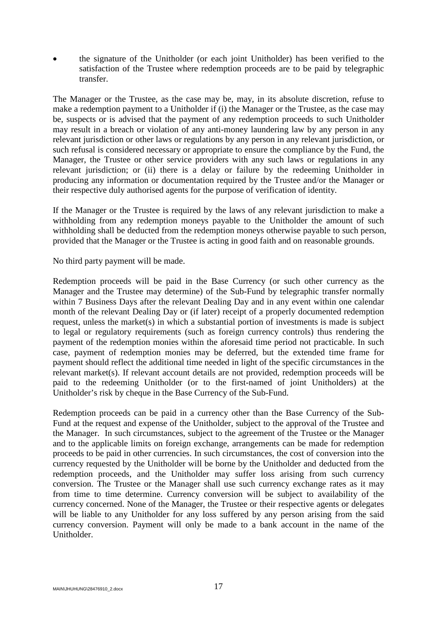• the signature of the Unitholder (or each joint Unitholder) has been verified to the satisfaction of the Trustee where redemption proceeds are to be paid by telegraphic transfer.

The Manager or the Trustee, as the case may be, may, in its absolute discretion, refuse to make a redemption payment to a Unitholder if (i) the Manager or the Trustee, as the case may be, suspects or is advised that the payment of any redemption proceeds to such Unitholder may result in a breach or violation of any anti-money laundering law by any person in any relevant jurisdiction or other laws or regulations by any person in any relevant jurisdiction, or such refusal is considered necessary or appropriate to ensure the compliance by the Fund, the Manager, the Trustee or other service providers with any such laws or regulations in any relevant jurisdiction; or (ii) there is a delay or failure by the redeeming Unitholder in producing any information or documentation required by the Trustee and/or the Manager or their respective duly authorised agents for the purpose of verification of identity.

If the Manager or the Trustee is required by the laws of any relevant jurisdiction to make a withholding from any redemption moneys payable to the Unitholder the amount of such withholding shall be deducted from the redemption moneys otherwise payable to such person, provided that the Manager or the Trustee is acting in good faith and on reasonable grounds.

No third party payment will be made.

Redemption proceeds will be paid in the Base Currency (or such other currency as the Manager and the Trustee may determine) of the Sub-Fund by telegraphic transfer normally within 7 Business Days after the relevant Dealing Day and in any event within one calendar month of the relevant Dealing Day or (if later) receipt of a properly documented redemption request, unless the market(s) in which a substantial portion of investments is made is subject to legal or regulatory requirements (such as foreign currency controls) thus rendering the payment of the redemption monies within the aforesaid time period not practicable. In such case, payment of redemption monies may be deferred, but the extended time frame for payment should reflect the additional time needed in light of the specific circumstances in the relevant market(s). If relevant account details are not provided, redemption proceeds will be paid to the redeeming Unitholder (or to the first-named of joint Unitholders) at the Unitholder's risk by cheque in the Base Currency of the Sub-Fund.

Redemption proceeds can be paid in a currency other than the Base Currency of the Sub-Fund at the request and expense of the Unitholder, subject to the approval of the Trustee and the Manager. In such circumstances, subject to the agreement of the Trustee or the Manager and to the applicable limits on foreign exchange, arrangements can be made for redemption proceeds to be paid in other currencies. In such circumstances, the cost of conversion into the currency requested by the Unitholder will be borne by the Unitholder and deducted from the redemption proceeds, and the Unitholder may suffer loss arising from such currency conversion. The Trustee or the Manager shall use such currency exchange rates as it may from time to time determine. Currency conversion will be subject to availability of the currency concerned. None of the Manager, the Trustee or their respective agents or delegates will be liable to any Unitholder for any loss suffered by any person arising from the said currency conversion. Payment will only be made to a bank account in the name of the Unitholder.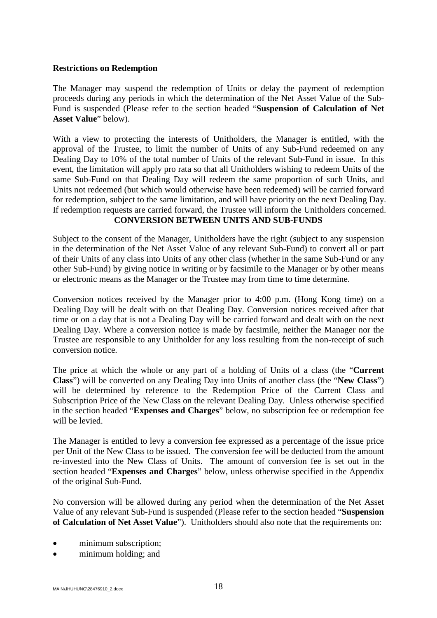#### **Restrictions on Redemption**

The Manager may suspend the redemption of Units or delay the payment of redemption proceeds during any periods in which the determination of the Net Asset Value of the Sub-Fund is suspended (Please refer to the section headed "**Suspension of Calculation of Net Asset Value**" below).

With a view to protecting the interests of Unitholders, the Manager is entitled, with the approval of the Trustee, to limit the number of Units of any Sub-Fund redeemed on any Dealing Day to 10% of the total number of Units of the relevant Sub-Fund in issue. In this event, the limitation will apply pro rata so that all Unitholders wishing to redeem Units of the same Sub-Fund on that Dealing Day will redeem the same proportion of such Units, and Units not redeemed (but which would otherwise have been redeemed) will be carried forward for redemption, subject to the same limitation, and will have priority on the next Dealing Day. If redemption requests are carried forward, the Trustee will inform the Unitholders concerned. **CONVERSION BETWEEN UNITS AND SUB-FUNDS**

<span id="page-20-0"></span>Subject to the consent of the Manager, Unitholders have the right (subject to any suspension in the determination of the Net Asset Value of any relevant Sub-Fund) to convert all or part of their Units of any class into Units of any other class (whether in the same Sub-Fund or any other Sub-Fund) by giving notice in writing or by facsimile to the Manager or by other means or electronic means as the Manager or the Trustee may from time to time determine.

Conversion notices received by the Manager prior to 4:00 p.m. (Hong Kong time) on a Dealing Day will be dealt with on that Dealing Day. Conversion notices received after that time or on a day that is not a Dealing Day will be carried forward and dealt with on the next Dealing Day. Where a conversion notice is made by facsimile, neither the Manager nor the Trustee are responsible to any Unitholder for any loss resulting from the non-receipt of such conversion notice.

The price at which the whole or any part of a holding of Units of a class (the "**Current Class**") will be converted on any Dealing Day into Units of another class (the "**New Class**") will be determined by reference to the Redemption Price of the Current Class and Subscription Price of the New Class on the relevant Dealing Day. Unless otherwise specified in the section headed "**Expenses and Charges**" below, no subscription fee or redemption fee will be levied.

The Manager is entitled to levy a conversion fee expressed as a percentage of the issue price per Unit of the New Class to be issued. The conversion fee will be deducted from the amount re-invested into the New Class of Units. The amount of conversion fee is set out in the section headed "**Expenses and Charges**" below, unless otherwise specified in the Appendix of the original Sub-Fund.

No conversion will be allowed during any period when the determination of the Net Asset Value of any relevant Sub-Fund is suspended (Please refer to the section headed "**Suspension of Calculation of Net Asset Value**"). Unitholders should also note that the requirements on:

- minimum subscription;
- minimum holding; and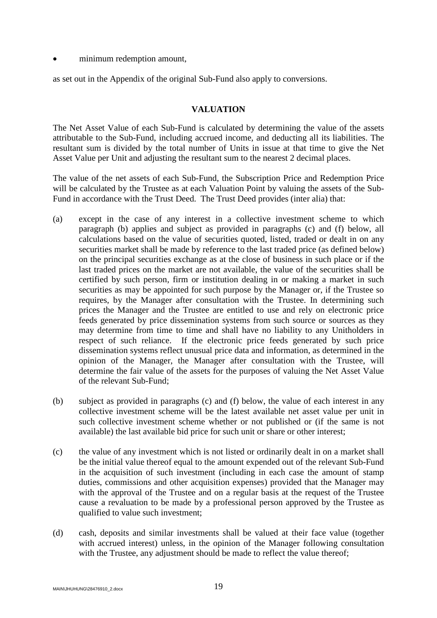• minimum redemption amount,

as set out in the Appendix of the original Sub-Fund also apply to conversions.

#### **VALUATION**

<span id="page-21-0"></span>The Net Asset Value of each Sub-Fund is calculated by determining the value of the assets attributable to the Sub-Fund, including accrued income, and deducting all its liabilities. The resultant sum is divided by the total number of Units in issue at that time to give the Net Asset Value per Unit and adjusting the resultant sum to the nearest 2 decimal places.

The value of the net assets of each Sub-Fund, the Subscription Price and Redemption Price will be calculated by the Trustee as at each Valuation Point by valuing the assets of the Sub-Fund in accordance with the Trust Deed. The Trust Deed provides (inter alia) that:

- (a) except in the case of any interest in a collective investment scheme to which paragraph (b) applies and subject as provided in paragraphs (c) and (f) below, all calculations based on the value of securities quoted, listed, traded or dealt in on any securities market shall be made by reference to the last traded price (as defined below) on the principal securities exchange as at the close of business in such place or if the last traded prices on the market are not available, the value of the securities shall be certified by such person, firm or institution dealing in or making a market in such securities as may be appointed for such purpose by the Manager or, if the Trustee so requires, by the Manager after consultation with the Trustee. In determining such prices the Manager and the Trustee are entitled to use and rely on electronic price feeds generated by price dissemination systems from such source or sources as they may determine from time to time and shall have no liability to any Unitholders in respect of such reliance. If the electronic price feeds generated by such price dissemination systems reflect unusual price data and information, as determined in the opinion of the Manager, the Manager after consultation with the Trustee, will determine the fair value of the assets for the purposes of valuing the Net Asset Value of the relevant Sub-Fund;
- (b) subject as provided in paragraphs (c) and (f) below, the value of each interest in any collective investment scheme will be the latest available net asset value per unit in such collective investment scheme whether or not published or (if the same is not available) the last available bid price for such unit or share or other interest;
- (c) the value of any investment which is not listed or ordinarily dealt in on a market shall be the initial value thereof equal to the amount expended out of the relevant Sub-Fund in the acquisition of such investment (including in each case the amount of stamp duties, commissions and other acquisition expenses) provided that the Manager may with the approval of the Trustee and on a regular basis at the request of the Trustee cause a revaluation to be made by a professional person approved by the Trustee as qualified to value such investment;
- (d) cash, deposits and similar investments shall be valued at their face value (together with accrued interest) unless, in the opinion of the Manager following consultation with the Trustee, any adjustment should be made to reflect the value thereof;

MAIN\JHUHUNG\28476910\_2.docx 19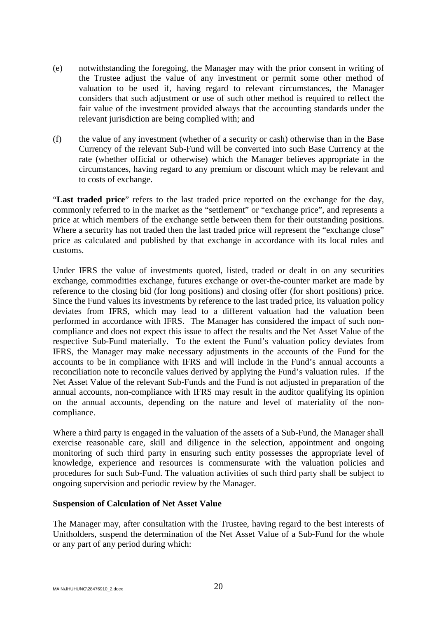- (e) notwithstanding the foregoing, the Manager may with the prior consent in writing of the Trustee adjust the value of any investment or permit some other method of valuation to be used if, having regard to relevant circumstances, the Manager considers that such adjustment or use of such other method is required to reflect the fair value of the investment provided always that the accounting standards under the relevant jurisdiction are being complied with; and
- (f) the value of any investment (whether of a security or cash) otherwise than in the Base Currency of the relevant Sub-Fund will be converted into such Base Currency at the rate (whether official or otherwise) which the Manager believes appropriate in the circumstances, having regard to any premium or discount which may be relevant and to costs of exchange.

"**Last traded price**" refers to the last traded price reported on the exchange for the day, commonly referred to in the market as the "settlement" or "exchange price", and represents a price at which members of the exchange settle between them for their outstanding positions. Where a security has not traded then the last traded price will represent the "exchange close" price as calculated and published by that exchange in accordance with its local rules and customs.

Under IFRS the value of investments quoted, listed, traded or dealt in on any securities exchange, commodities exchange, futures exchange or over-the-counter market are made by reference to the closing bid (for long positions) and closing offer (for short positions) price. Since the Fund values its investments by reference to the last traded price, its valuation policy deviates from IFRS, which may lead to a different valuation had the valuation been performed in accordance with IFRS. The Manager has considered the impact of such noncompliance and does not expect this issue to affect the results and the Net Asset Value of the respective Sub-Fund materially. To the extent the Fund's valuation policy deviates from IFRS, the Manager may make necessary adjustments in the accounts of the Fund for the accounts to be in compliance with IFRS and will include in the Fund's annual accounts a reconciliation note to reconcile values derived by applying the Fund's valuation rules. If the Net Asset Value of the relevant Sub-Funds and the Fund is not adjusted in preparation of the annual accounts, non-compliance with IFRS may result in the auditor qualifying its opinion on the annual accounts, depending on the nature and level of materiality of the noncompliance.

Where a third party is engaged in the valuation of the assets of a Sub-Fund, the Manager shall exercise reasonable care, skill and diligence in the selection, appointment and ongoing monitoring of such third party in ensuring such entity possesses the appropriate level of knowledge, experience and resources is commensurate with the valuation policies and procedures for such Sub-Fund. The valuation activities of such third party shall be subject to ongoing supervision and periodic review by the Manager.

#### **Suspension of Calculation of Net Asset Value**

The Manager may, after consultation with the Trustee, having regard to the best interests of Unitholders, suspend the determination of the Net Asset Value of a Sub-Fund for the whole or any part of any period during which: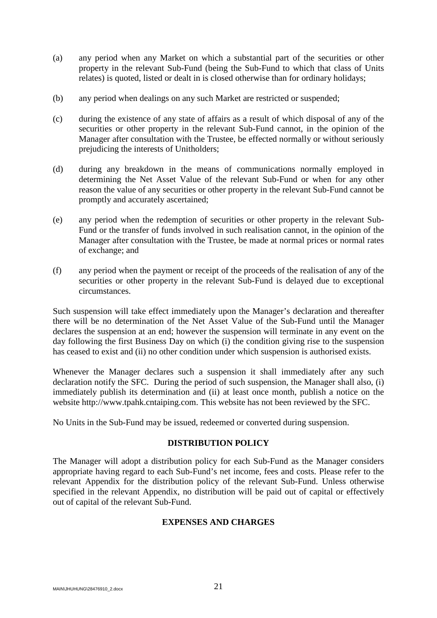- (a) any period when any Market on which a substantial part of the securities or other property in the relevant Sub-Fund (being the Sub-Fund to which that class of Units relates) is quoted, listed or dealt in is closed otherwise than for ordinary holidays;
- (b) any period when dealings on any such Market are restricted or suspended;
- (c) during the existence of any state of affairs as a result of which disposal of any of the securities or other property in the relevant Sub-Fund cannot, in the opinion of the Manager after consultation with the Trustee, be effected normally or without seriously prejudicing the interests of Unitholders;
- (d) during any breakdown in the means of communications normally employed in determining the Net Asset Value of the relevant Sub-Fund or when for any other reason the value of any securities or other property in the relevant Sub-Fund cannot be promptly and accurately ascertained;
- (e) any period when the redemption of securities or other property in the relevant Sub-Fund or the transfer of funds involved in such realisation cannot, in the opinion of the Manager after consultation with the Trustee, be made at normal prices or normal rates of exchange; and
- (f) any period when the payment or receipt of the proceeds of the realisation of any of the securities or other property in the relevant Sub-Fund is delayed due to exceptional circumstances.

Such suspension will take effect immediately upon the Manager's declaration and thereafter there will be no determination of the Net Asset Value of the Sub-Fund until the Manager declares the suspension at an end; however the suspension will terminate in any event on the day following the first Business Day on which (i) the condition giving rise to the suspension has ceased to exist and (ii) no other condition under which suspension is authorised exists.

Whenever the Manager declares such a suspension it shall immediately after any such declaration notify the SFC. During the period of such suspension, the Manager shall also, (i) immediately publish its determination and (ii) at least once month, publish a notice on the website http://www.tpahk.cntaiping.com. This website has not been reviewed by the SFC.

<span id="page-23-0"></span>No Units in the Sub-Fund may be issued, redeemed or converted during suspension.

#### **DISTRIBUTION POLICY**

<span id="page-23-1"></span>The Manager will adopt a distribution policy for each Sub-Fund as the Manager considers appropriate having regard to each Sub-Fund's net income, fees and costs. Please refer to the relevant Appendix for the distribution policy of the relevant Sub-Fund. Unless otherwise specified in the relevant Appendix, no distribution will be paid out of capital or effectively out of capital of the relevant Sub-Fund.

#### **EXPENSES AND CHARGES**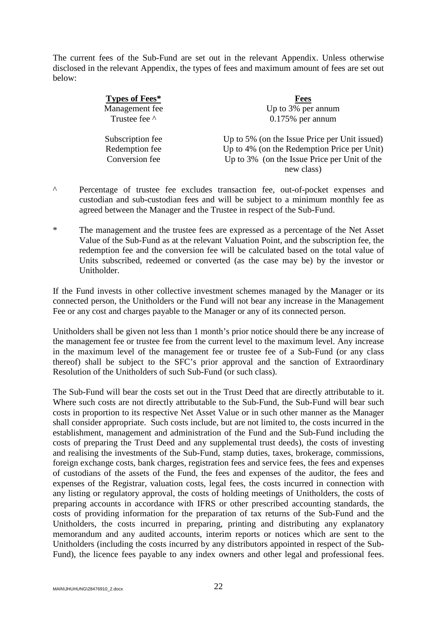The current fees of the Sub-Fund are set out in the relevant Appendix. Unless otherwise disclosed in the relevant Appendix, the types of fees and maximum amount of fees are set out below:

| Types of Fees*   | <b>Fees</b>                                   |
|------------------|-----------------------------------------------|
| Management fee   | Up to 3% per annum                            |
| Trustee fee ^    | $0.175%$ per annum                            |
| Subscription fee | Up to 5% (on the Issue Price per Unit issued) |
| Redemption fee   | Up to 4% (on the Redemption Price per Unit)   |
| Conversion fee   | Up to 3% (on the Issue Price per Unit of the  |
|                  | new class)                                    |

- ^ Percentage of trustee fee excludes transaction fee, out-of-pocket expenses and custodian and sub-custodian fees and will be subject to a minimum monthly fee as agreed between the Manager and the Trustee in respect of the Sub-Fund.
- \* The management and the trustee fees are expressed as a percentage of the Net Asset Value of the Sub-Fund as at the relevant Valuation Point, and the subscription fee, the redemption fee and the conversion fee will be calculated based on the total value of Units subscribed, redeemed or converted (as the case may be) by the investor or Unitholder.

If the Fund invests in other collective investment schemes managed by the Manager or its connected person, the Unitholders or the Fund will not bear any increase in the Management Fee or any cost and charges payable to the Manager or any of its connected person.

Unitholders shall be given not less than 1 month's prior notice should there be any increase of the management fee or trustee fee from the current level to the maximum level. Any increase in the maximum level of the management fee or trustee fee of a Sub-Fund (or any class thereof) shall be subject to the SFC's prior approval and the sanction of Extraordinary Resolution of the Unitholders of such Sub-Fund (or such class).

The Sub-Fund will bear the costs set out in the Trust Deed that are directly attributable to it. Where such costs are not directly attributable to the Sub-Fund, the Sub-Fund will bear such costs in proportion to its respective Net Asset Value or in such other manner as the Manager shall consider appropriate. Such costs include, but are not limited to, the costs incurred in the establishment, management and administration of the Fund and the Sub-Fund including the costs of preparing the Trust Deed and any supplemental trust deeds), the costs of investing and realising the investments of the Sub-Fund, stamp duties, taxes, brokerage, commissions, foreign exchange costs, bank charges, registration fees and service fees, the fees and expenses of custodians of the assets of the Fund, the fees and expenses of the auditor, the fees and expenses of the Registrar, valuation costs, legal fees, the costs incurred in connection with any listing or regulatory approval, the costs of holding meetings of Unitholders, the costs of preparing accounts in accordance with IFRS or other prescribed accounting standards, the costs of providing information for the preparation of tax returns of the Sub-Fund and the Unitholders, the costs incurred in preparing, printing and distributing any explanatory memorandum and any audited accounts, interim reports or notices which are sent to the Unitholders (including the costs incurred by any distributors appointed in respect of the Sub-Fund), the licence fees payable to any index owners and other legal and professional fees.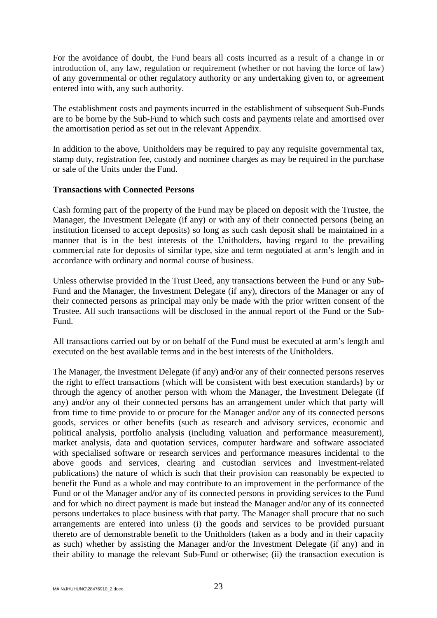For the avoidance of doubt, the Fund bears all costs incurred as a result of a change in or introduction of, any law, regulation or requirement (whether or not having the force of law) of any governmental or other regulatory authority or any undertaking given to, or agreement entered into with, any such authority.

The establishment costs and payments incurred in the establishment of subsequent Sub-Funds are to be borne by the Sub-Fund to which such costs and payments relate and amortised over the amortisation period as set out in the relevant Appendix.

In addition to the above, Unitholders may be required to pay any requisite governmental tax, stamp duty, registration fee, custody and nominee charges as may be required in the purchase or sale of the Units under the Fund.

#### **Transactions with Connected Persons**

Cash forming part of the property of the Fund may be placed on deposit with the Trustee, the Manager, the Investment Delegate (if any) or with any of their connected persons (being an institution licensed to accept deposits) so long as such cash deposit shall be maintained in a manner that is in the best interests of the Unitholders, having regard to the prevailing commercial rate for deposits of similar type, size and term negotiated at arm's length and in accordance with ordinary and normal course of business.

Unless otherwise provided in the Trust Deed, any transactions between the Fund or any Sub-Fund and the Manager, the Investment Delegate (if any), directors of the Manager or any of their connected persons as principal may only be made with the prior written consent of the Trustee. All such transactions will be disclosed in the annual report of the Fund or the Sub-Fund.

All transactions carried out by or on behalf of the Fund must be executed at arm's length and executed on the best available terms and in the best interests of the Unitholders.

The Manager, the Investment Delegate (if any) and/or any of their connected persons reserves the right to effect transactions (which will be consistent with best execution standards) by or through the agency of another person with whom the Manager, the Investment Delegate (if any) and/or any of their connected persons has an arrangement under which that party will from time to time provide to or procure for the Manager and/or any of its connected persons goods, services or other benefits (such as research and advisory services, economic and political analysis, portfolio analysis (including valuation and performance measurement), market analysis, data and quotation services, computer hardware and software associated with specialised software or research services and performance measures incidental to the above goods and service*s*, clearing and custodian services and investment-related publications) the nature of which is such that their provision can reasonably be expected to benefit the Fund as a whole and may contribute to an improvement in the performance of the Fund or of the Manager and/or any of its connected persons in providing services to the Fund and for which no direct payment is made but instead the Manager and/or any of its connected persons undertakes to place business with that party. The Manager shall procure that no such arrangements are entered into unless (i) the goods and services to be provided pursuant thereto are of demonstrable benefit to the Unitholders (taken as a body and in their capacity as such) whether by assisting the Manager and/or the Investment Delegate (if any) and in their ability to manage the relevant Sub-Fund or otherwise; (ii) the transaction execution is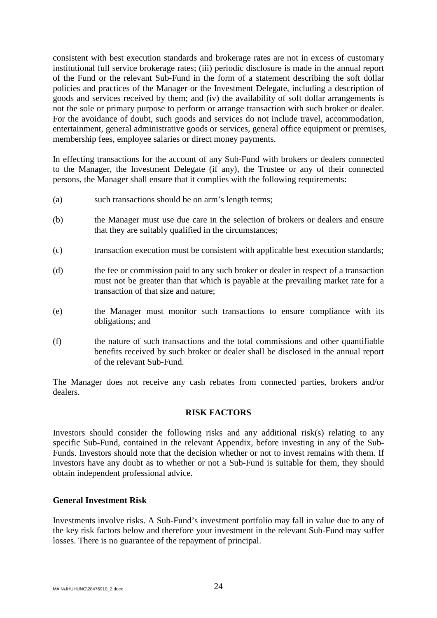consistent with best execution standards and brokerage rates are not in excess of customary institutional full service brokerage rates; (iii) periodic disclosure is made in the annual report of the Fund or the relevant Sub-Fund in the form of a statement describing the soft dollar policies and practices of the Manager or the Investment Delegate, including a description of goods and services received by them; and (iv) the availability of soft dollar arrangements is not the sole or primary purpose to perform or arrange transaction with such broker or dealer. For the avoidance of doubt, such goods and services do not include travel, accommodation, entertainment, general administrative goods or services, general office equipment or premises, membership fees, employee salaries or direct money payments.

In effecting transactions for the account of any Sub-Fund with brokers or dealers connected to the Manager, the Investment Delegate (if any), the Trustee or any of their connected persons, the Manager shall ensure that it complies with the following requirements:

- (a) such transactions should be on arm's length terms;
- (b) the Manager must use due care in the selection of brokers or dealers and ensure that they are suitably qualified in the circumstances;
- (c) transaction execution must be consistent with applicable best execution standards;
- (d) the fee or commission paid to any such broker or dealer in respect of a transaction must not be greater than that which is payable at the prevailing market rate for a transaction of that size and nature;
- (e) the Manager must monitor such transactions to ensure compliance with its obligations; and
- (f) the nature of such transactions and the total commissions and other quantifiable benefits received by such broker or dealer shall be disclosed in the annual report of the relevant Sub-Fund.

The Manager does not receive any cash rebates from connected parties, brokers and/or dealers.

#### **RISK FACTORS**

<span id="page-26-0"></span>Investors should consider the following risks and any additional risk(s) relating to any specific Sub-Fund, contained in the relevant Appendix, before investing in any of the Sub-Funds. Investors should note that the decision whether or not to invest remains with them. If investors have any doubt as to whether or not a Sub-Fund is suitable for them, they should obtain independent professional advice.

#### **General Investment Risk**

Investments involve risks. A Sub-Fund's investment portfolio may fall in value due to any of the key risk factors below and therefore your investment in the relevant Sub-Fund may suffer losses. There is no guarantee of the repayment of principal.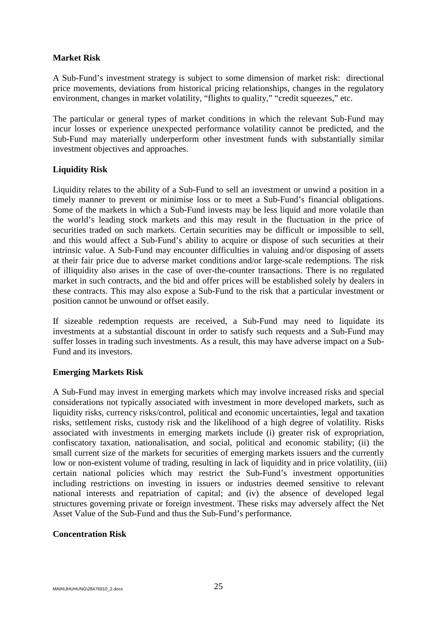## **Market Risk**

A Sub-Fund's investment strategy is subject to some dimension of market risk: directional price movements, deviations from historical pricing relationships, changes in the regulatory environment, changes in market volatility, "flights to quality," "credit squeezes," etc.

The particular or general types of market conditions in which the relevant Sub-Fund may incur losses or experience unexpected performance volatility cannot be predicted, and the Sub-Fund may materially underperform other investment funds with substantially similar investment objectives and approaches.

## **Liquidity Risk**

Liquidity relates to the ability of a Sub-Fund to sell an investment or unwind a position in a timely manner to prevent or minimise loss or to meet a Sub-Fund's financial obligations. Some of the markets in which a Sub-Fund invests may be less liquid and more volatile than the world's leading stock markets and this may result in the fluctuation in the price of securities traded on such markets. Certain securities may be difficult or impossible to sell, and this would affect a Sub-Fund's ability to acquire or dispose of such securities at their intrinsic value. A Sub-Fund may encounter difficulties in valuing and/or disposing of assets at their fair price due to adverse market conditions and/or large-scale redemptions. The risk of illiquidity also arises in the case of over-the-counter transactions. There is no regulated market in such contracts, and the bid and offer prices will be established solely by dealers in these contracts. This may also expose a Sub-Fund to the risk that a particular investment or position cannot be unwound or offset easily.

If sizeable redemption requests are received, a Sub-Fund may need to liquidate its investments at a substantial discount in order to satisfy such requests and a Sub-Fund may suffer losses in trading such investments. As a result, this may have adverse impact on a Sub-Fund and its investors.

## **Emerging Markets Risk**

A Sub-Fund may invest in emerging markets which may involve increased risks and special considerations not typically associated with investment in more developed markets, such as liquidity risks, currency risks/control, political and economic uncertainties, legal and taxation risks, settlement risks, custody risk and the likelihood of a high degree of volatility. Risks associated with investments in emerging markets include (i) greater risk of expropriation, confiscatory taxation, nationalisation, and social, political and economic stability; (ii) the small current size of the markets for securities of emerging markets issuers and the currently low or non-existent volume of trading, resulting in lack of liquidity and in price volatility, (iii) certain national policies which may restrict the Sub-Fund's investment opportunities including restrictions on investing in issuers or industries deemed sensitive to relevant national interests and repatriation of capital; and (iv) the absence of developed legal structures governing private or foreign investment. These risks may adversely affect the Net Asset Value of the Sub-Fund and thus the Sub-Fund's performance.

#### **Concentration Risk**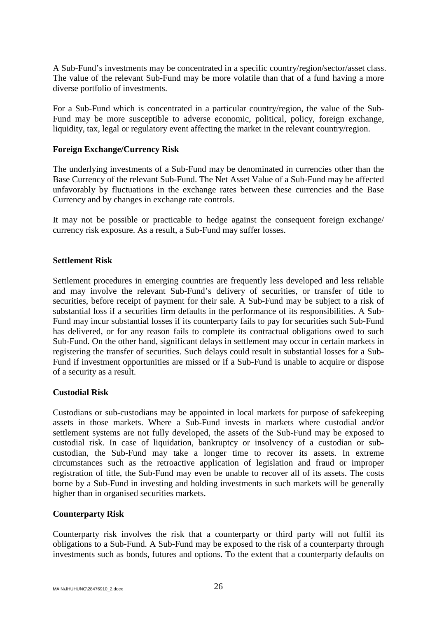A Sub-Fund's investments may be concentrated in a specific country/region/sector/asset class. The value of the relevant Sub-Fund may be more volatile than that of a fund having a more diverse portfolio of investments.

For a Sub-Fund which is concentrated in a particular country/region, the value of the Sub-Fund may be more susceptible to adverse economic, political, policy, foreign exchange, liquidity, tax, legal or regulatory event affecting the market in the relevant country/region.

## **Foreign Exchange/Currency Risk**

The underlying investments of a Sub-Fund may be denominated in currencies other than the Base Currency of the relevant Sub-Fund. The Net Asset Value of a Sub-Fund may be affected unfavorably by fluctuations in the exchange rates between these currencies and the Base Currency and by changes in exchange rate controls.

It may not be possible or practicable to hedge against the consequent foreign exchange/ currency risk exposure. As a result, a Sub-Fund may suffer losses.

#### **Settlement Risk**

Settlement procedures in emerging countries are frequently less developed and less reliable and may involve the relevant Sub-Fund's delivery of securities, or transfer of title to securities, before receipt of payment for their sale. A Sub-Fund may be subject to a risk of substantial loss if a securities firm defaults in the performance of its responsibilities. A Sub-Fund may incur substantial losses if its counterparty fails to pay for securities such Sub-Fund has delivered, or for any reason fails to complete its contractual obligations owed to such Sub-Fund. On the other hand, significant delays in settlement may occur in certain markets in registering the transfer of securities. Such delays could result in substantial losses for a Sub-Fund if investment opportunities are missed or if a Sub-Fund is unable to acquire or dispose of a security as a result.

#### **Custodial Risk**

Custodians or sub-custodians may be appointed in local markets for purpose of safekeeping assets in those markets. Where a Sub-Fund invests in markets where custodial and/or settlement systems are not fully developed, the assets of the Sub-Fund may be exposed to custodial risk. In case of liquidation, bankruptcy or insolvency of a custodian or subcustodian, the Sub-Fund may take a longer time to recover its assets. In extreme circumstances such as the retroactive application of legislation and fraud or improper registration of title, the Sub-Fund may even be unable to recover all of its assets. The costs borne by a Sub-Fund in investing and holding investments in such markets will be generally higher than in organised securities markets.

#### **Counterparty Risk**

Counterparty risk involves the risk that a counterparty or third party will not fulfil its obligations to a Sub-Fund. A Sub-Fund may be exposed to the risk of a counterparty through investments such as bonds, futures and options. To the extent that a counterparty defaults on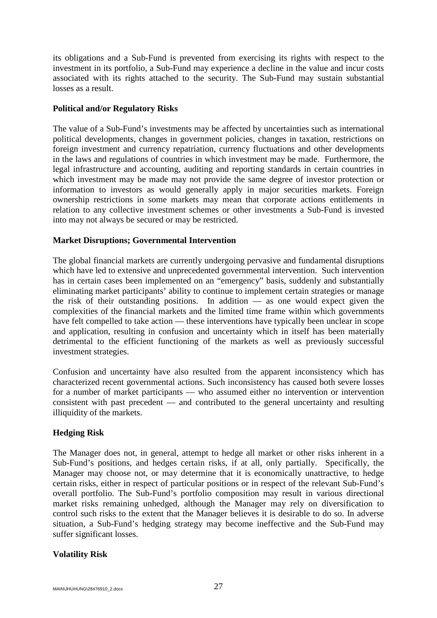its obligations and a Sub-Fund is prevented from exercising its rights with respect to the investment in its portfolio, a Sub-Fund may experience a decline in the value and incur costs associated with its rights attached to the security. The Sub-Fund may sustain substantial losses as a result.

## **Political and/or Regulatory Risks**

The value of a Sub-Fund's investments may be affected by uncertainties such as international political developments, changes in government policies, changes in taxation, restrictions on foreign investment and currency repatriation, currency fluctuations and other developments in the laws and regulations of countries in which investment may be made. Furthermore, the legal infrastructure and accounting, auditing and reporting standards in certain countries in which investment may be made may not provide the same degree of investor protection or information to investors as would generally apply in major securities markets. Foreign ownership restrictions in some markets may mean that corporate actions entitlements in relation to any collective investment schemes or other investments a Sub-Fund is invested into may not always be secured or may be restricted.

## **Market Disruptions; Governmental Intervention**

The global financial markets are currently undergoing pervasive and fundamental disruptions which have led to extensive and unprecedented governmental intervention. Such intervention has in certain cases been implemented on an "emergency" basis, suddenly and substantially eliminating market participants' ability to continue to implement certain strategies or manage the risk of their outstanding positions. In addition — as one would expect given the complexities of the financial markets and the limited time frame within which governments have felt compelled to take action — these interventions have typically been unclear in scope and application, resulting in confusion and uncertainty which in itself has been materially detrimental to the efficient functioning of the markets as well as previously successful investment strategies.

Confusion and uncertainty have also resulted from the apparent inconsistency which has characterized recent governmental actions. Such inconsistency has caused both severe losses for a number of market participants — who assumed either no intervention or intervention consistent with past precedent — and contributed to the general uncertainty and resulting illiquidity of the markets.

## **Hedging Risk**

The Manager does not, in general, attempt to hedge all market or other risks inherent in a Sub-Fund's positions, and hedges certain risks, if at all, only partially. Specifically, the Manager may choose not, or may determine that it is economically unattractive, to hedge certain risks, either in respect of particular positions or in respect of the relevant Sub-Fund's overall portfolio. The Sub-Fund's portfolio composition may result in various directional market risks remaining unhedged, although the Manager may rely on diversification to control such risks to the extent that the Manager believes it is desirable to do so. In adverse situation, a Sub-Fund's hedging strategy may become ineffective and the Sub-Fund may suffer significant losses.

## **Volatility Risk**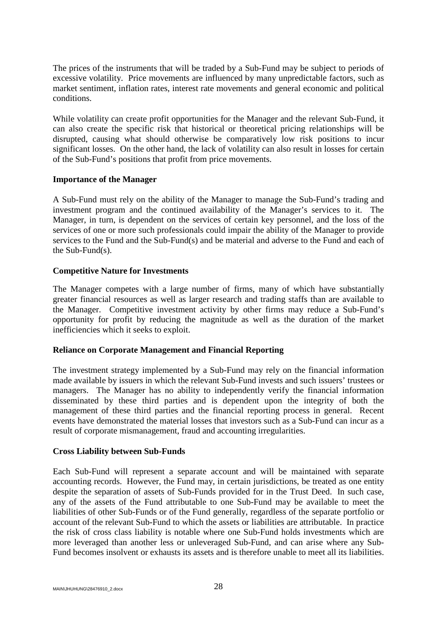The prices of the instruments that will be traded by a Sub-Fund may be subject to periods of excessive volatility. Price movements are influenced by many unpredictable factors, such as market sentiment, inflation rates, interest rate movements and general economic and political conditions.

While volatility can create profit opportunities for the Manager and the relevant Sub-Fund, it can also create the specific risk that historical or theoretical pricing relationships will be disrupted, causing what should otherwise be comparatively low risk positions to incur significant losses. On the other hand, the lack of volatility can also result in losses for certain of the Sub-Fund's positions that profit from price movements.

#### **Importance of the Manager**

A Sub-Fund must rely on the ability of the Manager to manage the Sub-Fund's trading and investment program and the continued availability of the Manager's services to it. The Manager, in turn, is dependent on the services of certain key personnel, and the loss of the services of one or more such professionals could impair the ability of the Manager to provide services to the Fund and the Sub-Fund(s) and be material and adverse to the Fund and each of the Sub-Fund(s).

## **Competitive Nature for Investments**

The Manager competes with a large number of firms, many of which have substantially greater financial resources as well as larger research and trading staffs than are available to the Manager. Competitive investment activity by other firms may reduce a Sub-Fund's opportunity for profit by reducing the magnitude as well as the duration of the market inefficiencies which it seeks to exploit.

## **Reliance on Corporate Management and Financial Reporting**

The investment strategy implemented by a Sub-Fund may rely on the financial information made available by issuers in which the relevant Sub-Fund invests and such issuers' trustees or managers. The Manager has no ability to independently verify the financial information disseminated by these third parties and is dependent upon the integrity of both the management of these third parties and the financial reporting process in general. Recent events have demonstrated the material losses that investors such as a Sub-Fund can incur as a result of corporate mismanagement, fraud and accounting irregularities.

#### **Cross Liability between Sub-Funds**

Each Sub-Fund will represent a separate account and will be maintained with separate accounting records. However, the Fund may, in certain jurisdictions, be treated as one entity despite the separation of assets of Sub-Funds provided for in the Trust Deed. In such case, any of the assets of the Fund attributable to one Sub-Fund may be available to meet the liabilities of other Sub-Funds or of the Fund generally, regardless of the separate portfolio or account of the relevant Sub-Fund to which the assets or liabilities are attributable. In practice the risk of cross class liability is notable where one Sub-Fund holds investments which are more leveraged than another less or unleveraged Sub-Fund, and can arise where any Sub-Fund becomes insolvent or exhausts its assets and is therefore unable to meet all its liabilities.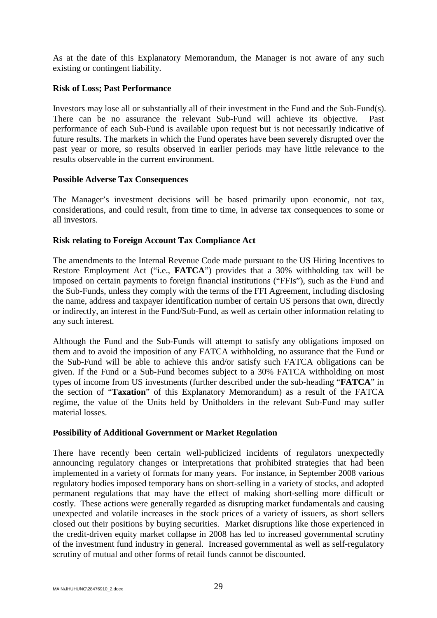As at the date of this Explanatory Memorandum, the Manager is not aware of any such existing or contingent liability.

## **Risk of Loss; Past Performance**

Investors may lose all or substantially all of their investment in the Fund and the Sub-Fund(s). There can be no assurance the relevant Sub-Fund will achieve its objective. Past performance of each Sub-Fund is available upon request but is not necessarily indicative of future results. The markets in which the Fund operates have been severely disrupted over the past year or more, so results observed in earlier periods may have little relevance to the results observable in the current environment.

#### **Possible Adverse Tax Consequences**

The Manager's investment decisions will be based primarily upon economic, not tax, considerations, and could result, from time to time, in adverse tax consequences to some or all investors.

## **Risk relating to Foreign Account Tax Compliance Act**

The amendments to the Internal Revenue Code made pursuant to the US Hiring Incentives to Restore Employment Act ("i.e., **FATCA**") provides that a 30% withholding tax will be imposed on certain payments to foreign financial institutions ("FFIs"), such as the Fund and the Sub-Funds, unless they comply with the terms of the FFI Agreement, including disclosing the name, address and taxpayer identification number of certain US persons that own, directly or indirectly, an interest in the Fund/Sub-Fund, as well as certain other information relating to any such interest.

Although the Fund and the Sub-Funds will attempt to satisfy any obligations imposed on them and to avoid the imposition of any FATCA withholding, no assurance that the Fund or the Sub-Fund will be able to achieve this and/or satisfy such FATCA obligations can be given. If the Fund or a Sub-Fund becomes subject to a 30% FATCA withholding on most types of income from US investments (further described under the sub-heading "**FATCA**" in the section of "**Taxation**" of this Explanatory Memorandum) as a result of the FATCA regime, the value of the Units held by Unitholders in the relevant Sub-Fund may suffer material losses.

## **Possibility of Additional Government or Market Regulation**

There have recently been certain well-publicized incidents of regulators unexpectedly announcing regulatory changes or interpretations that prohibited strategies that had been implemented in a variety of formats for many years. For instance, in September 2008 various regulatory bodies imposed temporary bans on short-selling in a variety of stocks, and adopted permanent regulations that may have the effect of making short-selling more difficult or costly. These actions were generally regarded as disrupting market fundamentals and causing unexpected and volatile increases in the stock prices of a variety of issuers, as short sellers closed out their positions by buying securities. Market disruptions like those experienced in the credit-driven equity market collapse in 2008 has led to increased governmental scrutiny of the investment fund industry in general. Increased governmental as well as self-regulatory scrutiny of mutual and other forms of retail funds cannot be discounted.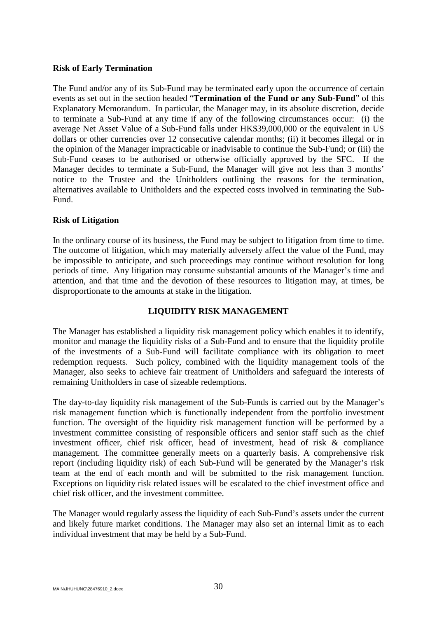#### **Risk of Early Termination**

The Fund and/or any of its Sub-Fund may be terminated early upon the occurrence of certain events as set out in the section headed "**Termination of the Fund or any Sub-Fund**" of this Explanatory Memorandum. In particular, the Manager may, in its absolute discretion, decide to terminate a Sub-Fund at any time if any of the following circumstances occur: (i) the average Net Asset Value of a Sub-Fund falls under HK\$39,000,000 or the equivalent in US dollars or other currencies over 12 consecutive calendar months; (ii) it becomes illegal or in the opinion of the Manager impracticable or inadvisable to continue the Sub-Fund; or (iii) the Sub-Fund ceases to be authorised or otherwise officially approved by the SFC. If the Manager decides to terminate a Sub-Fund, the Manager will give not less than 3 months' notice to the Trustee and the Unitholders outlining the reasons for the termination, alternatives available to Unitholders and the expected costs involved in terminating the Sub-Fund.

#### **Risk of Litigation**

In the ordinary course of its business, the Fund may be subject to litigation from time to time. The outcome of litigation, which may materially adversely affect the value of the Fund, may be impossible to anticipate, and such proceedings may continue without resolution for long periods of time. Any litigation may consume substantial amounts of the Manager's time and attention, and that time and the devotion of these resources to litigation may, at times, be disproportionate to the amounts at stake in the litigation.

#### **LIQUIDITY RISK MANAGEMENT**

<span id="page-32-0"></span>The Manager has established a liquidity risk management policy which enables it to identify, monitor and manage the liquidity risks of a Sub-Fund and to ensure that the liquidity profile of the investments of a Sub-Fund will facilitate compliance with its obligation to meet redemption requests. Such policy, combined with the liquidity management tools of the Manager, also seeks to achieve fair treatment of Unitholders and safeguard the interests of remaining Unitholders in case of sizeable redemptions.

The day-to-day liquidity risk management of the Sub-Funds is carried out by the Manager's risk management function which is functionally independent from the portfolio investment function. The oversight of the liquidity risk management function will be performed by a investment committee consisting of responsible officers and senior staff such as the chief investment officer, chief risk officer, head of investment, head of risk & compliance management. The committee generally meets on a quarterly basis. A comprehensive risk report (including liquidity risk) of each Sub-Fund will be generated by the Manager's risk team at the end of each month and will be submitted to the risk management function. Exceptions on liquidity risk related issues will be escalated to the chief investment office and chief risk officer, and the investment committee.

The Manager would regularly assess the liquidity of each Sub-Fund's assets under the current and likely future market conditions. The Manager may also set an internal limit as to each individual investment that may be held by a Sub-Fund.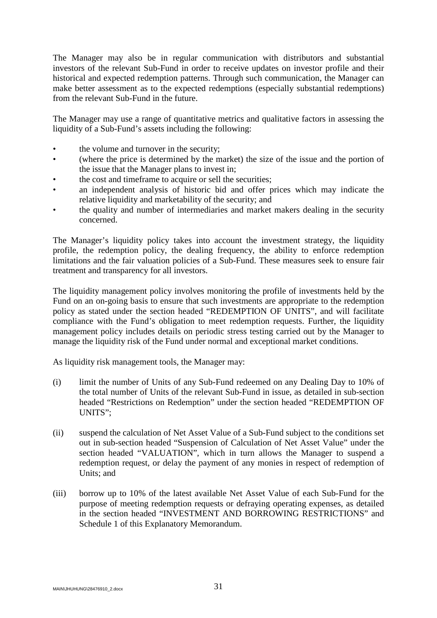The Manager may also be in regular communication with distributors and substantial investors of the relevant Sub-Fund in order to receive updates on investor profile and their historical and expected redemption patterns. Through such communication, the Manager can make better assessment as to the expected redemptions (especially substantial redemptions) from the relevant Sub-Fund in the future.

The Manager may use a range of quantitative metrics and qualitative factors in assessing the liquidity of a Sub-Fund's assets including the following:

- the volume and turnover in the security;
- (where the price is determined by the market) the size of the issue and the portion of the issue that the Manager plans to invest in;
- the cost and timeframe to acquire or sell the securities;
- an independent analysis of historic bid and offer prices which may indicate the relative liquidity and marketability of the security; and
- the quality and number of intermediaries and market makers dealing in the security concerned.

The Manager's liquidity policy takes into account the investment strategy, the liquidity profile, the redemption policy, the dealing frequency, the ability to enforce redemption limitations and the fair valuation policies of a Sub-Fund. These measures seek to ensure fair treatment and transparency for all investors.

The liquidity management policy involves monitoring the profile of investments held by the Fund on an on-going basis to ensure that such investments are appropriate to the redemption policy as stated under the section headed "REDEMPTION OF UNITS", and will facilitate compliance with the Fund's obligation to meet redemption requests. Further, the liquidity management policy includes details on periodic stress testing carried out by the Manager to manage the liquidity risk of the Fund under normal and exceptional market conditions.

As liquidity risk management tools, the Manager may:

- (i) limit the number of Units of any Sub-Fund redeemed on any Dealing Day to 10% of the total number of Units of the relevant Sub-Fund in issue, as detailed in sub-section headed "Restrictions on Redemption" under the section headed "REDEMPTION OF UNITS";
- (ii) suspend the calculation of Net Asset Value of a Sub-Fund subject to the conditions set out in sub-section headed "Suspension of Calculation of Net Asset Value" under the section headed "VALUATION", which in turn allows the Manager to suspend a redemption request, or delay the payment of any monies in respect of redemption of Units; and
- (iii) borrow up to 10% of the latest available Net Asset Value of each Sub-Fund for the purpose of meeting redemption requests or defraying operating expenses, as detailed in the section headed "INVESTMENT AND BORROWING RESTRICTIONS" and Schedule 1 of this Explanatory Memorandum.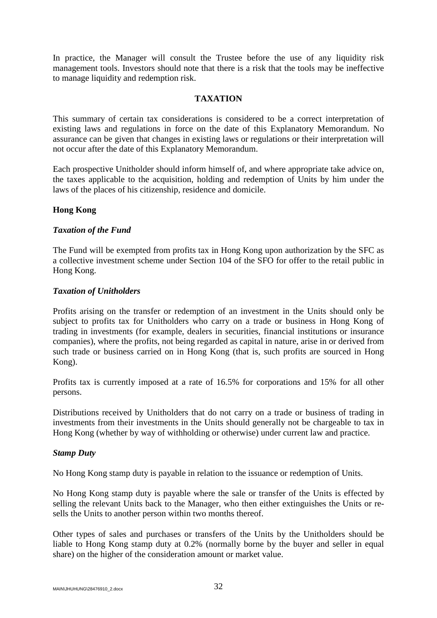In practice, the Manager will consult the Trustee before the use of any liquidity risk management tools. Investors should note that there is a risk that the tools may be ineffective to manage liquidity and redemption risk.

## **TAXATION**

<span id="page-34-0"></span>This summary of certain tax considerations is considered to be a correct interpretation of existing laws and regulations in force on the date of this Explanatory Memorandum. No assurance can be given that changes in existing laws or regulations or their interpretation will not occur after the date of this Explanatory Memorandum.

Each prospective Unitholder should inform himself of, and where appropriate take advice on, the taxes applicable to the acquisition, holding and redemption of Units by him under the laws of the places of his citizenship, residence and domicile.

## **Hong Kong**

## *Taxation of the Fund*

The Fund will be exempted from profits tax in Hong Kong upon authorization by the SFC as a collective investment scheme under Section 104 of the SFO for offer to the retail public in Hong Kong.

#### *Taxation of Unitholders*

Profits arising on the transfer or redemption of an investment in the Units should only be subject to profits tax for Unitholders who carry on a trade or business in Hong Kong of trading in investments (for example, dealers in securities, financial institutions or insurance companies), where the profits, not being regarded as capital in nature, arise in or derived from such trade or business carried on in Hong Kong (that is, such profits are sourced in Hong Kong).

Profits tax is currently imposed at a rate of 16.5% for corporations and 15% for all other persons.

Distributions received by Unitholders that do not carry on a trade or business of trading in investments from their investments in the Units should generally not be chargeable to tax in Hong Kong (whether by way of withholding or otherwise) under current law and practice.

#### *Stamp Duty*

No Hong Kong stamp duty is payable in relation to the issuance or redemption of Units.

No Hong Kong stamp duty is payable where the sale or transfer of the Units is effected by selling the relevant Units back to the Manager, who then either extinguishes the Units or resells the Units to another person within two months thereof.

Other types of sales and purchases or transfers of the Units by the Unitholders should be liable to Hong Kong stamp duty at 0.2% (normally borne by the buyer and seller in equal share) on the higher of the consideration amount or market value.

MAIN\JHUHUNG\28476910\_2.docx  $32$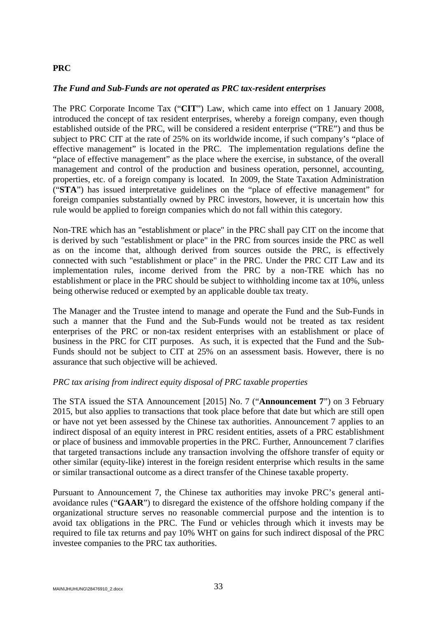#### **PRC**

#### *The Fund and Sub-Funds are not operated as PRC tax-resident enterprises*

The PRC Corporate Income Tax ("**CIT**") Law, which came into effect on 1 January 2008, introduced the concept of tax resident enterprises, whereby a foreign company, even though established outside of the PRC, will be considered a resident enterprise ("TRE") and thus be subject to PRC CIT at the rate of 25% on its worldwide income, if such company's "place of effective management" is located in the PRC. The implementation regulations define the "place of effective management" as the place where the exercise, in substance, of the overall management and control of the production and business operation, personnel, accounting, properties, etc. of a foreign company is located. In 2009, the State Taxation Administration ("**STA**") has issued interpretative guidelines on the "place of effective management" for foreign companies substantially owned by PRC investors, however, it is uncertain how this rule would be applied to foreign companies which do not fall within this category.

Non-TRE which has an "establishment or place" in the PRC shall pay CIT on the income that is derived by such "establishment or place" in the PRC from sources inside the PRC as well as on the income that, although derived from sources outside the PRC, is effectively connected with such "establishment or place" in the PRC. Under the PRC CIT Law and its implementation rules, income derived from the PRC by a non-TRE which has no establishment or place in the PRC should be subject to withholding income tax at 10%, unless being otherwise reduced or exempted by an applicable double tax treaty.

The Manager and the Trustee intend to manage and operate the Fund and the Sub-Funds in such a manner that the Fund and the Sub-Funds would not be treated as tax resident enterprises of the PRC or non-tax resident enterprises with an establishment or place of business in the PRC for CIT purposes. As such, it is expected that the Fund and the Sub-Funds should not be subject to CIT at 25% on an assessment basis. However, there is no assurance that such objective will be achieved.

#### *PRC tax arising from indirect equity disposal of PRC taxable properties*

The STA issued the STA Announcement [2015] No. 7 ("**Announcement 7**") on 3 February 2015, but also applies to transactions that took place before that date but which are still open or have not yet been assessed by the Chinese tax authorities. Announcement 7 applies to an indirect disposal of an equity interest in PRC resident entities, assets of a PRC establishment or place of business and immovable properties in the PRC. Further, Announcement 7 clarifies that targeted transactions include any transaction involving the offshore transfer of equity or other similar (equity-like) interest in the foreign resident enterprise which results in the same or similar transactional outcome as a direct transfer of the Chinese taxable property.

Pursuant to Announcement 7, the Chinese tax authorities may invoke PRC's general antiavoidance rules ("**GAAR**") to disregard the existence of the offshore holding company if the organizational structure serves no reasonable commercial purpose and the intention is to avoid tax obligations in the PRC. The Fund or vehicles through which it invests may be required to file tax returns and pay 10% WHT on gains for such indirect disposal of the PRC investee companies to the PRC tax authorities.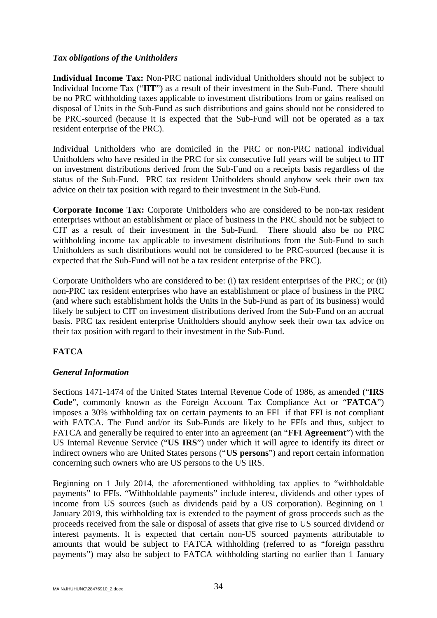## *Tax obligations of the Unitholders*

**Individual Income Tax:** Non-PRC national individual Unitholders should not be subject to Individual Income Tax ("**IIT**") as a result of their investment in the Sub-Fund. There should be no PRC withholding taxes applicable to investment distributions from or gains realised on disposal of Units in the Sub-Fund as such distributions and gains should not be considered to be PRC-sourced (because it is expected that the Sub-Fund will not be operated as a tax resident enterprise of the PRC).

Individual Unitholders who are domiciled in the PRC or non-PRC national individual Unitholders who have resided in the PRC for six consecutive full years will be subject to IIT on investment distributions derived from the Sub-Fund on a receipts basis regardless of the status of the Sub-Fund. PRC tax resident Unitholders should anyhow seek their own tax advice on their tax position with regard to their investment in the Sub-Fund.

**Corporate Income Tax:** Corporate Unitholders who are considered to be non-tax resident enterprises without an establishment or place of business in the PRC should not be subject to CIT as a result of their investment in the Sub-Fund. There should also be no PRC withholding income tax applicable to investment distributions from the Sub-Fund to such Unitholders as such distributions would not be considered to be PRC-sourced (because it is expected that the Sub-Fund will not be a tax resident enterprise of the PRC).

Corporate Unitholders who are considered to be: (i) tax resident enterprises of the PRC; or (ii) non-PRC tax resident enterprises who have an establishment or place of business in the PRC (and where such establishment holds the Units in the Sub-Fund as part of its business) would likely be subject to CIT on investment distributions derived from the Sub-Fund on an accrual basis. PRC tax resident enterprise Unitholders should anyhow seek their own tax advice on their tax position with regard to their investment in the Sub-Fund.

# **FATCA**

# *General Information*

Sections 1471-1474 of the United States Internal Revenue Code of 1986, as amended ("**IRS Code**", commonly known as the Foreign Account Tax Compliance Act or "**FATCA**") imposes a 30% withholding tax on certain payments to an FFI if that FFI is not compliant with FATCA. The Fund and/or its Sub-Funds are likely to be FFIs and thus, subject to FATCA and generally be required to enter into an agreement (an "**FFI Agreement**") with the US Internal Revenue Service ("**US IRS**") under which it will agree to identify its direct or indirect owners who are United States persons ("**US persons**") and report certain information concerning such owners who are US persons to the US IRS.

Beginning on 1 July 2014, the aforementioned withholding tax applies to "withholdable payments" to FFIs. "Withholdable payments" include interest, dividends and other types of income from US sources (such as dividends paid by a US corporation). Beginning on 1 January 2019, this withholding tax is extended to the payment of gross proceeds such as the proceeds received from the sale or disposal of assets that give rise to US sourced dividend or interest payments. It is expected that certain non-US sourced payments attributable to amounts that would be subject to FATCA withholding (referred to as "foreign passthru payments") may also be subject to FATCA withholding starting no earlier than 1 January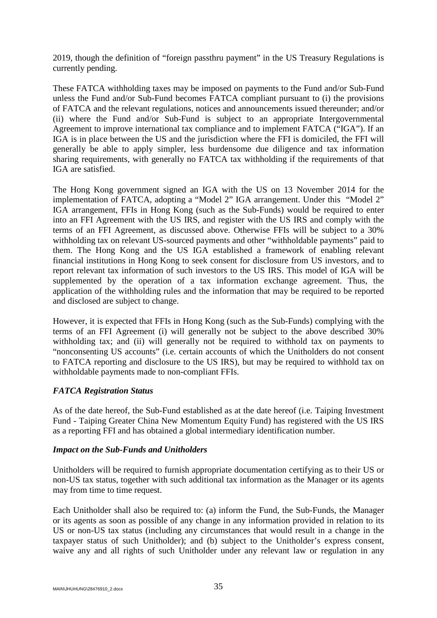2019, though the definition of "foreign passthru payment" in the US Treasury Regulations is currently pending.

These FATCA withholding taxes may be imposed on payments to the Fund and/or Sub-Fund unless the Fund and/or Sub-Fund becomes FATCA compliant pursuant to (i) the provisions of FATCA and the relevant regulations, notices and announcements issued thereunder; and/or (ii) where the Fund and/or Sub-Fund is subject to an appropriate Intergovernmental Agreement to improve international tax compliance and to implement FATCA ("IGA"). If an IGA is in place between the US and the jurisdiction where the FFI is domiciled, the FFI will generally be able to apply simpler, less burdensome due diligence and tax information sharing requirements, with generally no FATCA tax withholding if the requirements of that IGA are satisfied.

The Hong Kong government signed an IGA with the US on 13 November 2014 for the implementation of FATCA, adopting a "Model 2" IGA arrangement. Under this "Model 2" IGA arrangement, FFIs in Hong Kong (such as the Sub-Funds) would be required to enter into an FFI Agreement with the US IRS, and register with the US IRS and comply with the terms of an FFI Agreement, as discussed above. Otherwise FFIs will be subject to a 30% withholding tax on relevant US-sourced payments and other "withholdable payments" paid to them. The Hong Kong and the US IGA established a framework of enabling relevant financial institutions in Hong Kong to seek consent for disclosure from US investors, and to report relevant tax information of such investors to the US IRS. This model of IGA will be supplemented by the operation of a tax information exchange agreement. Thus, the application of the withholding rules and the information that may be required to be reported and disclosed are subject to change.

However, it is expected that FFIs in Hong Kong (such as the Sub-Funds) complying with the terms of an FFI Agreement (i) will generally not be subject to the above described 30% withholding tax; and (ii) will generally not be required to withhold tax on payments to "nonconsenting US accounts" (i.e. certain accounts of which the Unitholders do not consent to FATCA reporting and disclosure to the US IRS), but may be required to withhold tax on withholdable payments made to non-compliant FFIs.

# *FATCA Registration Status*

As of the date hereof, the Sub-Fund established as at the date hereof (i.e. Taiping Investment Fund - Taiping Greater China New Momentum Equity Fund) has registered with the US IRS as a reporting FFI and has obtained a global intermediary identification number.

### *Impact on the Sub-Funds and Unitholders*

Unitholders will be required to furnish appropriate documentation certifying as to their US or non-US tax status, together with such additional tax information as the Manager or its agents may from time to time request.

Each Unitholder shall also be required to: (a) inform the Fund, the Sub-Funds, the Manager or its agents as soon as possible of any change in any information provided in relation to its US or non-US tax status (including any circumstances that would result in a change in the taxpayer status of such Unitholder); and (b) subject to the Unitholder's express consent, waive any and all rights of such Unitholder under any relevant law or regulation in any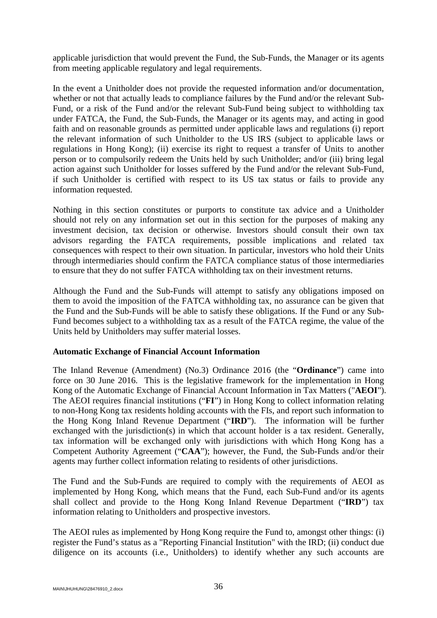applicable jurisdiction that would prevent the Fund, the Sub-Funds, the Manager or its agents from meeting applicable regulatory and legal requirements.

In the event a Unitholder does not provide the requested information and/or documentation, whether or not that actually leads to compliance failures by the Fund and/or the relevant Sub-Fund, or a risk of the Fund and/or the relevant Sub-Fund being subject to withholding tax under FATCA, the Fund, the Sub-Funds, the Manager or its agents may, and acting in good faith and on reasonable grounds as permitted under applicable laws and regulations (i) report the relevant information of such Unitholder to the US IRS (subject to applicable laws or regulations in Hong Kong); (ii) exercise its right to request a transfer of Units to another person or to compulsorily redeem the Units held by such Unitholder; and/or (iii) bring legal action against such Unitholder for losses suffered by the Fund and/or the relevant Sub-Fund, if such Unitholder is certified with respect to its US tax status or fails to provide any information requested.

Nothing in this section constitutes or purports to constitute tax advice and a Unitholder should not rely on any information set out in this section for the purposes of making any investment decision, tax decision or otherwise. Investors should consult their own tax advisors regarding the FATCA requirements, possible implications and related tax consequences with respect to their own situation. In particular, investors who hold their Units through intermediaries should confirm the FATCA compliance status of those intermediaries to ensure that they do not suffer FATCA withholding tax on their investment returns.

Although the Fund and the Sub-Funds will attempt to satisfy any obligations imposed on them to avoid the imposition of the FATCA withholding tax, no assurance can be given that the Fund and the Sub-Funds will be able to satisfy these obligations. If the Fund or any Sub-Fund becomes subject to a withholding tax as a result of the FATCA regime, the value of the Units held by Unitholders may suffer material losses.

### **Automatic Exchange of Financial Account Information**

The Inland Revenue (Amendment) (No.3) Ordinance 2016 (the "**Ordinance**") came into force on 30 June 2016. This is the legislative framework for the implementation in Hong Kong of the Automatic Exchange of Financial Account Information in Tax Matters ("**AEOI**"). The AEOI requires financial institutions ("**FI**") in Hong Kong to collect information relating to non-Hong Kong tax residents holding accounts with the FIs, and report such information to the Hong Kong Inland Revenue Department ("**IRD**"). The information will be further exchanged with the jurisdiction(s) in which that account holder is a tax resident. Generally, tax information will be exchanged only with jurisdictions with which Hong Kong has a Competent Authority Agreement ("**CAA**"); however, the Fund, the Sub-Funds and/or their agents may further collect information relating to residents of other jurisdictions.

The Fund and the Sub-Funds are required to comply with the requirements of AEOI as implemented by Hong Kong, which means that the Fund, each Sub-Fund and/or its agents shall collect and provide to the Hong Kong Inland Revenue Department ("**IRD**") tax information relating to Unitholders and prospective investors.

The AEOI rules as implemented by Hong Kong require the Fund to, amongst other things: (i) register the Fund's status as a "Reporting Financial Institution" with the IRD; (ii) conduct due diligence on its accounts (i.e., Unitholders) to identify whether any such accounts are

MAIN\JHUHUNG\28476910\_2.docx  $36$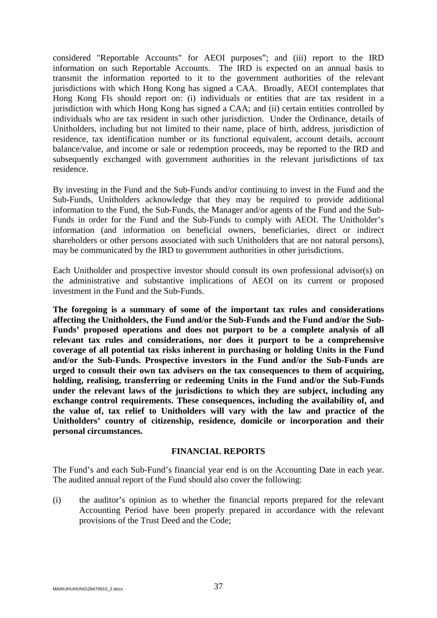considered "Reportable Accounts" for AEOI purposes"; and (iii) report to the IRD information on such Reportable Accounts. The IRD is expected on an annual basis to transmit the information reported to it to the government authorities of the relevant jurisdictions with which Hong Kong has signed a CAA. Broadly, AEOI contemplates that Hong Kong FIs should report on: (i) individuals or entities that are tax resident in a jurisdiction with which Hong Kong has signed a CAA; and (ii) certain entities controlled by individuals who are tax resident in such other jurisdiction. Under the Ordinance, details of Unitholders, including but not limited to their name, place of birth, address, jurisdiction of residence, tax identification number or its functional equivalent, account details, account balance/value, and income or sale or redemption proceeds, may be reported to the IRD and subsequently exchanged with government authorities in the relevant jurisdictions of tax residence.

By investing in the Fund and the Sub-Funds and/or continuing to invest in the Fund and the Sub-Funds, Unitholders acknowledge that they may be required to provide additional information to the Fund, the Sub-Funds, the Manager and/or agents of the Fund and the Sub-Funds in order for the Fund and the Sub-Funds to comply with AEOI. The Unitholder's information (and information on beneficial owners, beneficiaries, direct or indirect shareholders or other persons associated with such Unitholders that are not natural persons), may be communicated by the IRD to government authorities in other jurisdictions.

Each Unitholder and prospective investor should consult its own professional advisor(s) on the administrative and substantive implications of AEOI on its current or proposed investment in the Fund and the Sub-Funds.

**The foregoing is a summary of some of the important tax rules and considerations affecting the Unitholders, the Fund and/or the Sub-Funds and the Fund and/or the Sub-Funds' proposed operations and does not purport to be a complete analysis of all relevant tax rules and considerations, nor does it purport to be a comprehensive coverage of all potential tax risks inherent in purchasing or holding Units in the Fund and/or the Sub-Funds. Prospective investors in the Fund and/or the Sub-Funds are urged to consult their own tax advisers on the tax consequences to them of acquiring, holding, realising, transferring or redeeming Units in the Fund and/or the Sub-Funds under the relevant laws of the jurisdictions to which they are subject, including any exchange control requirements. These consequences, including the availability of, and the value of, tax relief to Unitholders will vary with the law and practice of the Unitholders' country of citizenship, residence, domicile or incorporation and their personal circumstances.**

#### **FINANCIAL REPORTS**

The Fund's and each Sub-Fund's financial year end is on the Accounting Date in each year. The audited annual report of the Fund should also cover the following:

(i) the auditor's opinion as to whether the financial reports prepared for the relevant Accounting Period have been properly prepared in accordance with the relevant provisions of the Trust Deed and the Code;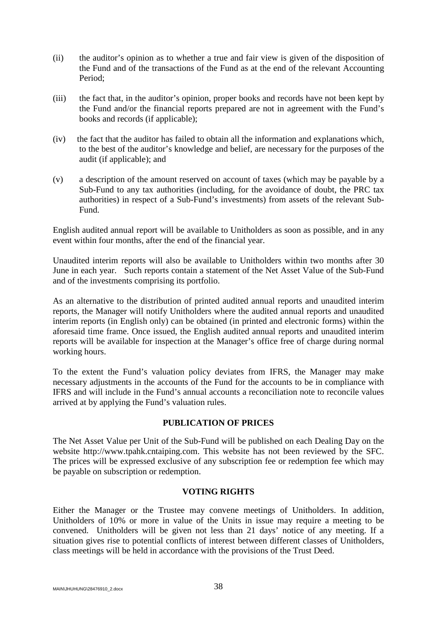- (ii) the auditor's opinion as to whether a true and fair view is given of the disposition of the Fund and of the transactions of the Fund as at the end of the relevant Accounting Period;
- (iii) the fact that, in the auditor's opinion, proper books and records have not been kept by the Fund and/or the financial reports prepared are not in agreement with the Fund's books and records (if applicable);
- (iv) the fact that the auditor has failed to obtain all the information and explanations which, to the best of the auditor's knowledge and belief, are necessary for the purposes of the audit (if applicable); and
- (v) a description of the amount reserved on account of taxes (which may be payable by a Sub-Fund to any tax authorities (including, for the avoidance of doubt, the PRC tax authorities) in respect of a Sub-Fund's investments) from assets of the relevant Sub-Fund.

English audited annual report will be available to Unitholders as soon as possible, and in any event within four months, after the end of the financial year.

Unaudited interim reports will also be available to Unitholders within two months after 30 June in each year. Such reports contain a statement of the Net Asset Value of the Sub-Fund and of the investments comprising its portfolio.

As an alternative to the distribution of printed audited annual reports and unaudited interim reports, the Manager will notify Unitholders where the audited annual reports and unaudited interim reports (in English only) can be obtained (in printed and electronic forms) within the aforesaid time frame. Once issued, the English audited annual reports and unaudited interim reports will be available for inspection at the Manager's office free of charge during normal working hours.

To the extent the Fund's valuation policy deviates from IFRS, the Manager may make necessary adjustments in the accounts of the Fund for the accounts to be in compliance with IFRS and will include in the Fund's annual accounts a reconciliation note to reconcile values arrived at by applying the Fund's valuation rules.

# **PUBLICATION OF PRICES**

The Net Asset Value per Unit of the Sub-Fund will be published on each Dealing Day on the website http://www.tpahk.cntaiping.com. This website has not been reviewed by the SFC. The prices will be expressed exclusive of any subscription fee or redemption fee which may be payable on subscription or redemption.

### **VOTING RIGHTS**

Either the Manager or the Trustee may convene meetings of Unitholders. In addition, Unitholders of 10% or more in value of the Units in issue may require a meeting to be convened. Unitholders will be given not less than 21 days' notice of any meeting. If a situation gives rise to potential conflicts of interest between different classes of Unitholders, class meetings will be held in accordance with the provisions of the Trust Deed.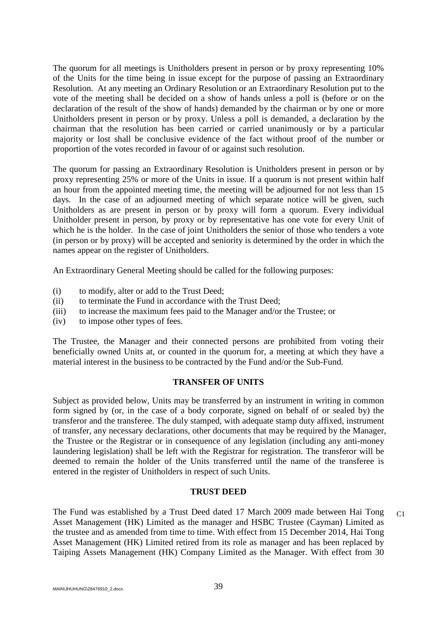The quorum for all meetings is Unitholders present in person or by proxy representing 10% of the Units for the time being in issue except for the purpose of passing an Extraordinary Resolution. At any meeting an Ordinary Resolution or an Extraordinary Resolution put to the vote of the meeting shall be decided on a show of hands unless a poll is (before or on the declaration of the result of the show of hands) demanded by the chairman or by one or more Unitholders present in person or by proxy. Unless a poll is demanded, a declaration by the chairman that the resolution has been carried or carried unanimously or by a particular majority or lost shall be conclusive evidence of the fact without proof of the number or proportion of the votes recorded in favour of or against such resolution.

The quorum for passing an Extraordinary Resolution is Unitholders present in person or by proxy representing 25% or more of the Units in issue. If a quorum is not present within half an hour from the appointed meeting time, the meeting will be adjourned for not less than 15 days. In the case of an adjourned meeting of which separate notice will be given, such Unitholders as are present in person or by proxy will form a quorum. Every individual Unitholder present in person, by proxy or by representative has one vote for every Unit of which he is the holder. In the case of joint Unitholders the senior of those who tenders a vote (in person or by proxy) will be accepted and seniority is determined by the order in which the names appear on the register of Unitholders.

An Extraordinary General Meeting should be called for the following purposes:

- (i) to modify, alter or add to the Trust Deed;
- (ii) to terminate the Fund in accordance with the Trust Deed;
- (iii) to increase the maximum fees paid to the Manager and/or the Trustee; or
- (iv) to impose other types of fees.

The Trustee, the Manager and their connected persons are prohibited from voting their beneficially owned Units at, or counted in the quorum for, a meeting at which they have a material interest in the business to be contracted by the Fund and/or the Sub-Fund.

### **TRANSFER OF UNITS**

Subject as provided below, Units may be transferred by an instrument in writing in common form signed by (or, in the case of a body corporate, signed on behalf of or sealed by) the transferor and the transferee. The duly stamped, with adequate stamp duty affixed, instrument of transfer, any necessary declarations, other documents that may be required by the Manager, the Trustee or the Registrar or in consequence of any legislation (including any anti-money laundering legislation) shall be left with the Registrar for registration. The transferor will be deemed to remain the holder of the Units transferred until the name of the transferee is entered in the register of Unitholders in respect of such Units.

#### **TRUST DEED**

The Fund was established by a Trust Deed dated 17 March 2009 made between Hai Tong Asset Management (HK) Limited as the manager and HSBC Trustee (Cayman) Limited as the trustee and as amended from time to time. With effect from 15 December 2014, Hai Tong Asset Management (HK) Limited retired from its role as manager and has been replaced by Taiping Assets Management (HK) Company Limited as the Manager. With effect from 30  $C<sub>1</sub>$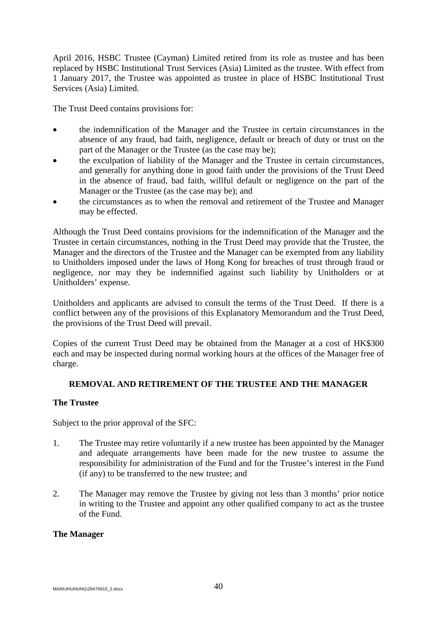April 2016, HSBC Trustee (Cayman) Limited retired from its role as trustee and has been replaced by HSBC Institutional Trust Services (Asia) Limited as the trustee. With effect from 1 January 2017, the Trustee was appointed as trustee in place of HSBC Institutional Trust Services (Asia) Limited.

The Trust Deed contains provisions for:

- the indemnification of the Manager and the Trustee in certain circumstances in the absence of any fraud, bad faith, negligence, default or breach of duty or trust on the part of the Manager or the Trustee (as the case may be);
- the exculpation of liability of the Manager and the Trustee in certain circumstances, and generally for anything done in good faith under the provisions of the Trust Deed in the absence of fraud, bad faith, willful default or negligence on the part of the Manager or the Trustee (as the case may be); and
- the circumstances as to when the removal and retirement of the Trustee and Manager may be effected.

Although the Trust Deed contains provisions for the indemnification of the Manager and the Trustee in certain circumstances, nothing in the Trust Deed may provide that the Trustee, the Manager and the directors of the Trustee and the Manager can be exempted from any liability to Unitholders imposed under the laws of Hong Kong for breaches of trust through fraud or negligence, nor may they be indemnified against such liability by Unitholders or at Unitholders' expense.

Unitholders and applicants are advised to consult the terms of the Trust Deed. If there is a conflict between any of the provisions of this Explanatory Memorandum and the Trust Deed, the provisions of the Trust Deed will prevail.

Copies of the current Trust Deed may be obtained from the Manager at a cost of HK\$300 each and may be inspected during normal working hours at the offices of the Manager free of charge.

# **REMOVAL AND RETIREMENT OF THE TRUSTEE AND THE MANAGER**

### **The Trustee**

Subject to the prior approval of the SFC:

- 1. The Trustee may retire voluntarily if a new trustee has been appointed by the Manager and adequate arrangements have been made for the new trustee to assume the responsibility for administration of the Fund and for the Trustee's interest in the Fund (if any) to be transferred to the new trustee; and
- 2. The Manager may remove the Trustee by giving not less than 3 months' prior notice in writing to the Trustee and appoint any other qualified company to act as the trustee of the Fund.

### **The Manager**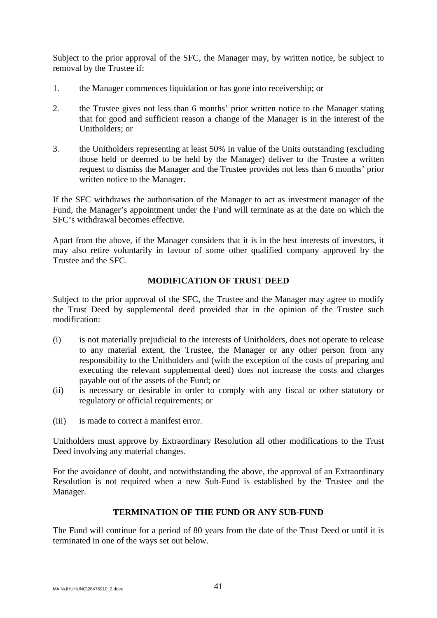Subject to the prior approval of the SFC, the Manager may, by written notice, be subject to removal by the Trustee if:

- 1. the Manager commences liquidation or has gone into receivership; or
- 2. the Trustee gives not less than 6 months' prior written notice to the Manager stating that for good and sufficient reason a change of the Manager is in the interest of the Unitholders; or
- 3. the Unitholders representing at least 50% in value of the Units outstanding (excluding those held or deemed to be held by the Manager) deliver to the Trustee a written request to dismiss the Manager and the Trustee provides not less than 6 months' prior written notice to the Manager.

If the SFC withdraws the authorisation of the Manager to act as investment manager of the Fund, the Manager's appointment under the Fund will terminate as at the date on which the SFC's withdrawal becomes effective.

Apart from the above, if the Manager considers that it is in the best interests of investors, it may also retire voluntarily in favour of some other qualified company approved by the Trustee and the SFC.

# **MODIFICATION OF TRUST DEED**

Subject to the prior approval of the SFC, the Trustee and the Manager may agree to modify the Trust Deed by supplemental deed provided that in the opinion of the Trustee such modification:

- (i) is not materially prejudicial to the interests of Unitholders, does not operate to release to any material extent, the Trustee, the Manager or any other person from any responsibility to the Unitholders and (with the exception of the costs of preparing and executing the relevant supplemental deed) does not increase the costs and charges payable out of the assets of the Fund; or
- (ii) is necessary or desirable in order to comply with any fiscal or other statutory or regulatory or official requirements; or
- (iii) is made to correct a manifest error.

Unitholders must approve by Extraordinary Resolution all other modifications to the Trust Deed involving any material changes.

For the avoidance of doubt, and notwithstanding the above, the approval of an Extraordinary Resolution is not required when a new Sub-Fund is established by the Trustee and the Manager.

# **TERMINATION OF THE FUND OR ANY SUB-FUND**

The Fund will continue for a period of 80 years from the date of the Trust Deed or until it is terminated in one of the ways set out below.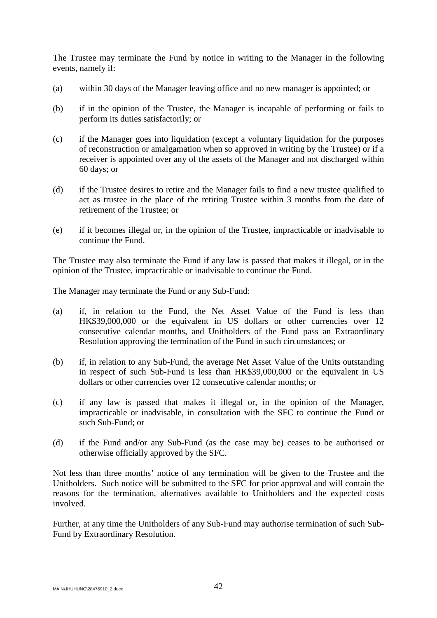The Trustee may terminate the Fund by notice in writing to the Manager in the following events, namely if:

- (a) within 30 days of the Manager leaving office and no new manager is appointed; or
- (b) if in the opinion of the Trustee, the Manager is incapable of performing or fails to perform its duties satisfactorily; or
- (c) if the Manager goes into liquidation (except a voluntary liquidation for the purposes of reconstruction or amalgamation when so approved in writing by the Trustee) or if a receiver is appointed over any of the assets of the Manager and not discharged within 60 days; or
- (d) if the Trustee desires to retire and the Manager fails to find a new trustee qualified to act as trustee in the place of the retiring Trustee within 3 months from the date of retirement of the Trustee; or
- (e) if it becomes illegal or, in the opinion of the Trustee, impracticable or inadvisable to continue the Fund.

The Trustee may also terminate the Fund if any law is passed that makes it illegal, or in the opinion of the Trustee, impracticable or inadvisable to continue the Fund.

The Manager may terminate the Fund or any Sub-Fund:

- (a) if, in relation to the Fund, the Net Asset Value of the Fund is less than HK\$39,000,000 or the equivalent in US dollars or other currencies over 12 consecutive calendar months, and Unitholders of the Fund pass an Extraordinary Resolution approving the termination of the Fund in such circumstances; or
- (b) if, in relation to any Sub-Fund, the average Net Asset Value of the Units outstanding in respect of such Sub-Fund is less than HK\$39,000,000 or the equivalent in US dollars or other currencies over 12 consecutive calendar months; or
- (c) if any law is passed that makes it illegal or, in the opinion of the Manager, impracticable or inadvisable, in consultation with the SFC to continue the Fund or such Sub-Fund; or
- (d) if the Fund and/or any Sub-Fund (as the case may be) ceases to be authorised or otherwise officially approved by the SFC.

Not less than three months' notice of any termination will be given to the Trustee and the Unitholders. Such notice will be submitted to the SFC for prior approval and will contain the reasons for the termination, alternatives available to Unitholders and the expected costs involved.

Further, at any time the Unitholders of any Sub-Fund may authorise termination of such Sub-Fund by Extraordinary Resolution.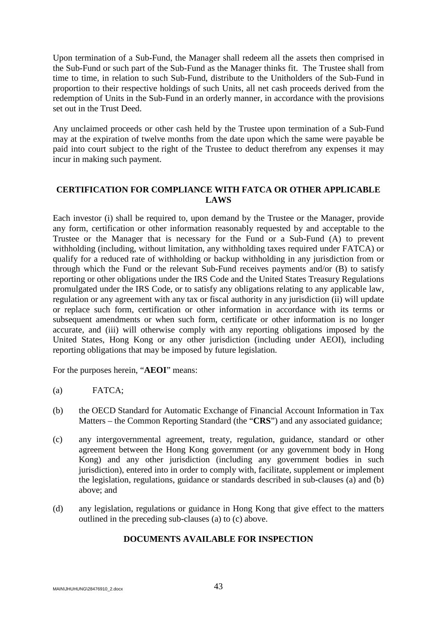Upon termination of a Sub-Fund, the Manager shall redeem all the assets then comprised in the Sub-Fund or such part of the Sub-Fund as the Manager thinks fit. The Trustee shall from time to time, in relation to such Sub-Fund, distribute to the Unitholders of the Sub-Fund in proportion to their respective holdings of such Units, all net cash proceeds derived from the redemption of Units in the Sub-Fund in an orderly manner, in accordance with the provisions set out in the Trust Deed.

Any unclaimed proceeds or other cash held by the Trustee upon termination of a Sub-Fund may at the expiration of twelve months from the date upon which the same were payable be paid into court subject to the right of the Trustee to deduct therefrom any expenses it may incur in making such payment.

## **CERTIFICATION FOR COMPLIANCE WITH FATCA OR OTHER APPLICABLE LAWS**

Each investor (i) shall be required to, upon demand by the Trustee or the Manager, provide any form, certification or other information reasonably requested by and acceptable to the Trustee or the Manager that is necessary for the Fund or a Sub-Fund (A) to prevent withholding (including, without limitation, any withholding taxes required under FATCA) or qualify for a reduced rate of withholding or backup withholding in any jurisdiction from or through which the Fund or the relevant Sub-Fund receives payments and/or (B) to satisfy reporting or other obligations under the IRS Code and the United States Treasury Regulations promulgated under the IRS Code, or to satisfy any obligations relating to any applicable law, regulation or any agreement with any tax or fiscal authority in any jurisdiction (ii) will update or replace such form, certification or other information in accordance with its terms or subsequent amendments or when such form, certificate or other information is no longer accurate, and (iii) will otherwise comply with any reporting obligations imposed by the United States, Hong Kong or any other jurisdiction (including under AEOI), including reporting obligations that may be imposed by future legislation.

For the purposes herein, "**AEOI**" means:

- (a) FATCA;
- (b) the OECD Standard for Automatic Exchange of Financial Account Information in Tax Matters – the Common Reporting Standard (the "**CRS**") and any associated guidance;
- (c) any intergovernmental agreement, treaty, regulation, guidance, standard or other agreement between the Hong Kong government (or any government body in Hong Kong) and any other jurisdiction (including any government bodies in such jurisdiction), entered into in order to comply with, facilitate, supplement or implement the legislation, regulations, guidance or standards described in sub-clauses (a) and (b) above; and
- (d) any legislation, regulations or guidance in Hong Kong that give effect to the matters outlined in the preceding sub-clauses (a) to (c) above.

## **DOCUMENTS AVAILABLE FOR INSPECTION**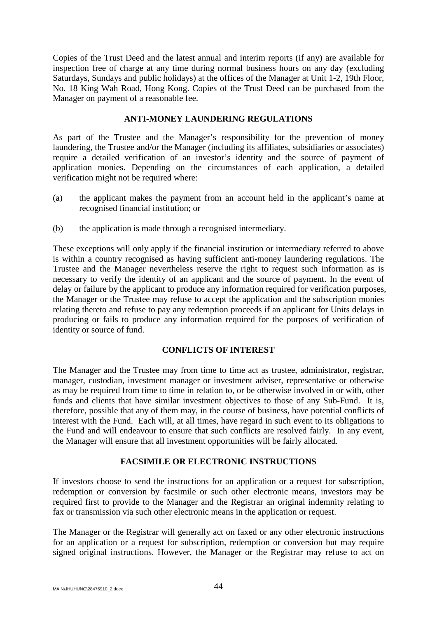Copies of the Trust Deed and the latest annual and interim reports (if any) are available for inspection free of charge at any time during normal business hours on any day (excluding Saturdays, Sundays and public holidays) at the offices of the Manager at Unit 1-2, 19th Floor, No. 18 King Wah Road, Hong Kong. Copies of the Trust Deed can be purchased from the Manager on payment of a reasonable fee.

### **ANTI-MONEY LAUNDERING REGULATIONS**

As part of the Trustee and the Manager's responsibility for the prevention of money laundering, the Trustee and/or the Manager (including its affiliates, subsidiaries or associates) require a detailed verification of an investor's identity and the source of payment of application monies. Depending on the circumstances of each application, a detailed verification might not be required where:

- (a) the applicant makes the payment from an account held in the applicant's name at recognised financial institution; or
- (b) the application is made through a recognised intermediary.

These exceptions will only apply if the financial institution or intermediary referred to above is within a country recognised as having sufficient anti-money laundering regulations. The Trustee and the Manager nevertheless reserve the right to request such information as is necessary to verify the identity of an applicant and the source of payment. In the event of delay or failure by the applicant to produce any information required for verification purposes, the Manager or the Trustee may refuse to accept the application and the subscription monies relating thereto and refuse to pay any redemption proceeds if an applicant for Units delays in producing or fails to produce any information required for the purposes of verification of identity or source of fund.

# **CONFLICTS OF INTEREST**

The Manager and the Trustee may from time to time act as trustee, administrator, registrar, manager, custodian, investment manager or investment adviser, representative or otherwise as may be required from time to time in relation to, or be otherwise involved in or with, other funds and clients that have similar investment objectives to those of any Sub-Fund. It is, therefore, possible that any of them may, in the course of business, have potential conflicts of interest with the Fund. Each will, at all times, have regard in such event to its obligations to the Fund and will endeavour to ensure that such conflicts are resolved fairly. In any event, the Manager will ensure that all investment opportunities will be fairly allocated.

# **FACSIMILE OR ELECTRONIC INSTRUCTIONS**

If investors choose to send the instructions for an application or a request for subscription, redemption or conversion by facsimile or such other electronic means, investors may be required first to provide to the Manager and the Registrar an original indemnity relating to fax or transmission via such other electronic means in the application or request.

The Manager or the Registrar will generally act on faxed or any other electronic instructions for an application or a request for subscription, redemption or conversion but may require signed original instructions. However, the Manager or the Registrar may refuse to act on

MAIN\JHUHUNG\28476910\_2.docx 44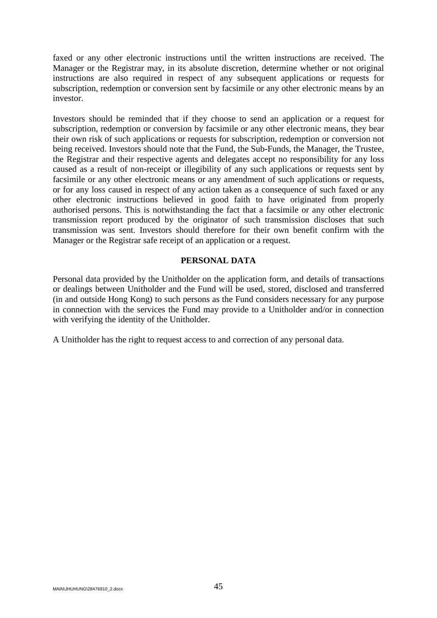faxed or any other electronic instructions until the written instructions are received. The Manager or the Registrar may, in its absolute discretion, determine whether or not original instructions are also required in respect of any subsequent applications or requests for subscription, redemption or conversion sent by facsimile or any other electronic means by an investor.

Investors should be reminded that if they choose to send an application or a request for subscription, redemption or conversion by facsimile or any other electronic means, they bear their own risk of such applications or requests for subscription, redemption or conversion not being received. Investors should note that the Fund, the Sub-Funds, the Manager, the Trustee, the Registrar and their respective agents and delegates accept no responsibility for any loss caused as a result of non-receipt or illegibility of any such applications or requests sent by facsimile or any other electronic means or any amendment of such applications or requests, or for any loss caused in respect of any action taken as a consequence of such faxed or any other electronic instructions believed in good faith to have originated from properly authorised persons. This is notwithstanding the fact that a facsimile or any other electronic transmission report produced by the originator of such transmission discloses that such transmission was sent. Investors should therefore for their own benefit confirm with the Manager or the Registrar safe receipt of an application or a request.

### **PERSONAL DATA**

Personal data provided by the Unitholder on the application form, and details of transactions or dealings between Unitholder and the Fund will be used, stored, disclosed and transferred (in and outside Hong Kong) to such persons as the Fund considers necessary for any purpose in connection with the services the Fund may provide to a Unitholder and/or in connection with verifying the identity of the Unitholder.

A Unitholder has the right to request access to and correction of any personal data.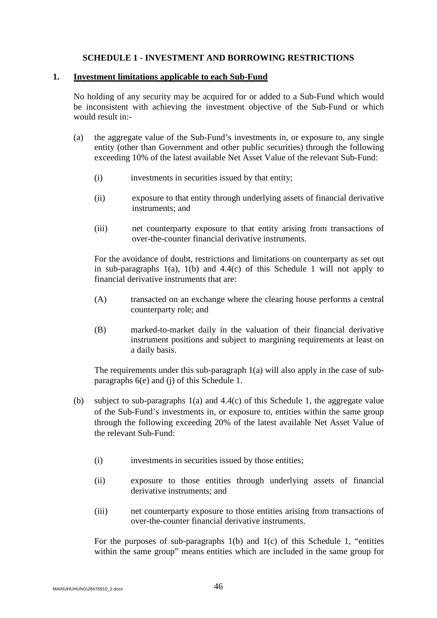### **SCHEDULE 1 - INVESTMENT AND BORROWING RESTRICTIONS**

#### **1. Investment limitations applicable to each Sub-Fund**

No holding of any security may be acquired for or added to a Sub-Fund which would be inconsistent with achieving the investment objective of the Sub-Fund or which would result in:-

- (a) the aggregate value of the Sub-Fund's investments in, or exposure to, any single entity (other than Government and other public securities) through the following exceeding 10% of the latest available Net Asset Value of the relevant Sub-Fund:
	- (i) investments in securities issued by that entity;
	- (ii) exposure to that entity through underlying assets of financial derivative instruments; and
	- (iii) net counterparty exposure to that entity arising from transactions of over-the-counter financial derivative instruments.

For the avoidance of doubt, restrictions and limitations on counterparty as set out in sub-paragraphs  $1(a)$ ,  $1(b)$  and  $4.4(c)$  of this Schedule 1 will not apply to financial derivative instruments that are:

- (A) transacted on an exchange where the clearing house performs a central counterparty role; and
- (B) marked-to-market daily in the valuation of their financial derivative instrument positions and subject to margining requirements at least on a daily basis.

The requirements under this sub-paragraph 1(a) will also apply in the case of subparagraphs 6(e) and (j) of this Schedule 1.

- (b) subject to sub-paragraphs 1(a) and 4.4(c) of this Schedule 1, the aggregate value of the Sub-Fund's investments in, or exposure to, entities within the same group through the following exceeding 20% of the latest available Net Asset Value of the relevant Sub-Fund:
	- (i) investments in securities issued by those entities;
	- (ii) exposure to those entities through underlying assets of financial derivative instruments; and
	- (iii) net counterparty exposure to those entities arising from transactions of over-the-counter financial derivative instruments.

For the purposes of sub-paragraphs 1(b) and 1(c) of this Schedule 1, "entities within the same group" means entities which are included in the same group for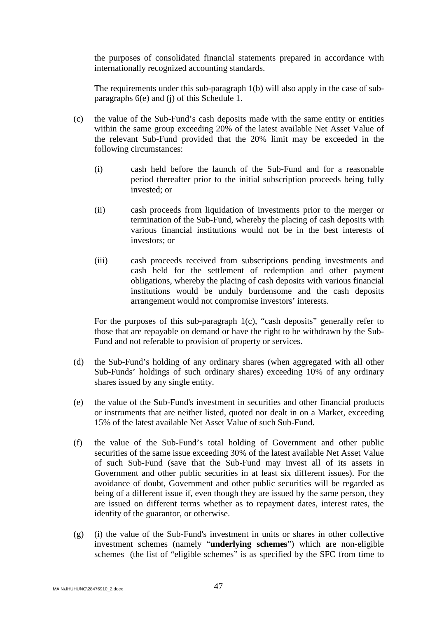the purposes of consolidated financial statements prepared in accordance with internationally recognized accounting standards.

The requirements under this sub-paragraph 1(b) will also apply in the case of subparagraphs 6(e) and (j) of this Schedule 1.

- (c) the value of the Sub-Fund's cash deposits made with the same entity or entities within the same group exceeding 20% of the latest available Net Asset Value of the relevant Sub-Fund provided that the 20% limit may be exceeded in the following circumstances:
	- (i) cash held before the launch of the Sub-Fund and for a reasonable period thereafter prior to the initial subscription proceeds being fully invested; or
	- (ii) cash proceeds from liquidation of investments prior to the merger or termination of the Sub-Fund, whereby the placing of cash deposits with various financial institutions would not be in the best interests of investors; or
	- (iii) cash proceeds received from subscriptions pending investments and cash held for the settlement of redemption and other payment obligations, whereby the placing of cash deposits with various financial institutions would be unduly burdensome and the cash deposits arrangement would not compromise investors' interests.

For the purposes of this sub-paragraph 1(c), "cash deposits" generally refer to those that are repayable on demand or have the right to be withdrawn by the Sub-Fund and not referable to provision of property or services.

- (d) the Sub-Fund's holding of any ordinary shares (when aggregated with all other Sub-Funds' holdings of such ordinary shares) exceeding 10% of any ordinary shares issued by any single entity.
- (e) the value of the Sub-Fund's investment in securities and other financial products or instruments that are neither listed, quoted nor dealt in on a Market, exceeding 15% of the latest available Net Asset Value of such Sub-Fund.
- (f) the value of the Sub-Fund's total holding of Government and other public securities of the same issue exceeding 30% of the latest available Net Asset Value of such Sub-Fund (save that the Sub-Fund may invest all of its assets in Government and other public securities in at least six different issues). For the avoidance of doubt, Government and other public securities will be regarded as being of a different issue if, even though they are issued by the same person, they are issued on different terms whether as to repayment dates, interest rates, the identity of the guarantor, or otherwise.
- (g) (i) the value of the Sub-Fund's investment in units or shares in other collective investment schemes (namely "**underlying schemes**") which are non-eligible schemes (the list of "eligible schemes" is as specified by the SFC from time to

MAIN\JHUHUNG\28476910\_2.docx 47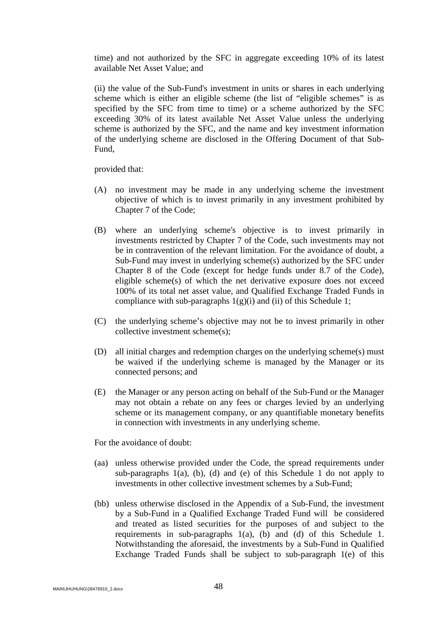time) and not authorized by the SFC in aggregate exceeding 10% of its latest available Net Asset Value; and

(ii) the value of the Sub-Fund's investment in units or shares in each underlying scheme which is either an eligible scheme (the list of "eligible schemes" is as specified by the SFC from time to time) or a scheme authorized by the SFC exceeding 30% of its latest available Net Asset Value unless the underlying scheme is authorized by the SFC, and the name and key investment information of the underlying scheme are disclosed in the Offering Document of that Sub-Fund,

provided that:

- (A) no investment may be made in any underlying scheme the investment objective of which is to invest primarily in any investment prohibited by Chapter 7 of the Code;
- (B) where an underlying scheme's objective is to invest primarily in investments restricted by Chapter 7 of the Code, such investments may not be in contravention of the relevant limitation. For the avoidance of doubt, a Sub-Fund may invest in underlying scheme(s) authorized by the SFC under Chapter 8 of the Code (except for hedge funds under 8.7 of the Code), eligible scheme(s) of which the net derivative exposure does not exceed 100% of its total net asset value, and Qualified Exchange Traded Funds in compliance with sub-paragraphs  $1(g)(i)$  and (ii) of this Schedule 1;
- (C) the underlying scheme's objective may not be to invest primarily in other collective investment scheme(s);
- (D) all initial charges and redemption charges on the underlying scheme(s) must be waived if the underlying scheme is managed by the Manager or its connected persons; and
- (E) the Manager or any person acting on behalf of the Sub-Fund or the Manager may not obtain a rebate on any fees or charges levied by an underlying scheme or its management company, or any quantifiable monetary benefits in connection with investments in any underlying scheme.

For the avoidance of doubt:

- (aa) unless otherwise provided under the Code, the spread requirements under sub-paragraphs 1(a), (b), (d) and (e) of this Schedule 1 do not apply to investments in other collective investment schemes by a Sub-Fund;
- (bb) unless otherwise disclosed in the Appendix of a Sub-Fund, the investment by a Sub-Fund in a Qualified Exchange Traded Fund will be considered and treated as listed securities for the purposes of and subject to the requirements in sub-paragraphs 1(a), (b) and (d) of this Schedule 1. Notwithstanding the aforesaid, the investments by a Sub-Fund in Qualified Exchange Traded Funds shall be subject to sub-paragraph 1(e) of this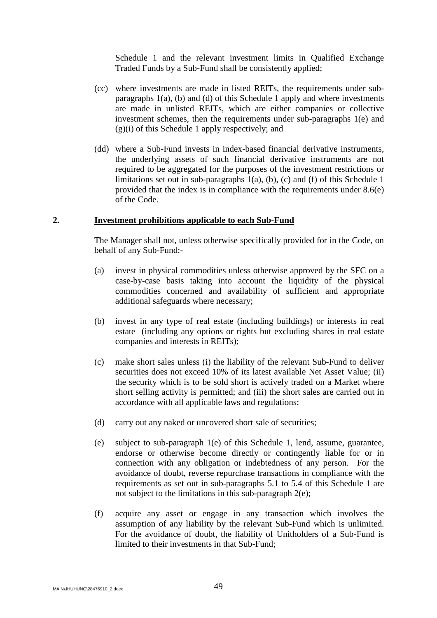Schedule 1 and the relevant investment limits in Qualified Exchange Traded Funds by a Sub-Fund shall be consistently applied;

- (cc) where investments are made in listed REITs, the requirements under subparagraphs 1(a), (b) and (d) of this Schedule 1 apply and where investments are made in unlisted REITs, which are either companies or collective investment schemes, then the requirements under sub-paragraphs 1(e) and  $(g)(i)$  of this Schedule 1 apply respectively; and
- (dd) where a Sub-Fund invests in index-based financial derivative instruments, the underlying assets of such financial derivative instruments are not required to be aggregated for the purposes of the investment restrictions or limitations set out in sub-paragraphs  $1(a)$ ,  $(b)$ ,  $(c)$  and  $(f)$  of this Schedule 1 provided that the index is in compliance with the requirements under 8.6(e) of the Code.

#### **2. Investment prohibitions applicable to each Sub-Fund**

The Manager shall not, unless otherwise specifically provided for in the Code, on behalf of any Sub-Fund:-

- (a) invest in physical commodities unless otherwise approved by the SFC on a case-by-case basis taking into account the liquidity of the physical commodities concerned and availability of sufficient and appropriate additional safeguards where necessary;
- (b) invest in any type of real estate (including buildings) or interests in real estate (including any options or rights but excluding shares in real estate companies and interests in REITs);
- (c) make short sales unless (i) the liability of the relevant Sub-Fund to deliver securities does not exceed 10% of its latest available Net Asset Value; (ii) the security which is to be sold short is actively traded on a Market where short selling activity is permitted; and (iii) the short sales are carried out in accordance with all applicable laws and regulations;
- (d) carry out any naked or uncovered short sale of securities;
- (e) subject to sub-paragraph 1(e) of this Schedule 1, lend, assume, guarantee, endorse or otherwise become directly or contingently liable for or in connection with any obligation or indebtedness of any person. For the avoidance of doubt, reverse repurchase transactions in compliance with the requirements as set out in sub-paragraphs 5.1 to 5.4 of this Schedule 1 are not subject to the limitations in this sub-paragraph 2(e);
- (f) acquire any asset or engage in any transaction which involves the assumption of any liability by the relevant Sub-Fund which is unlimited. For the avoidance of doubt, the liability of Unitholders of a Sub-Fund is limited to their investments in that Sub-Fund;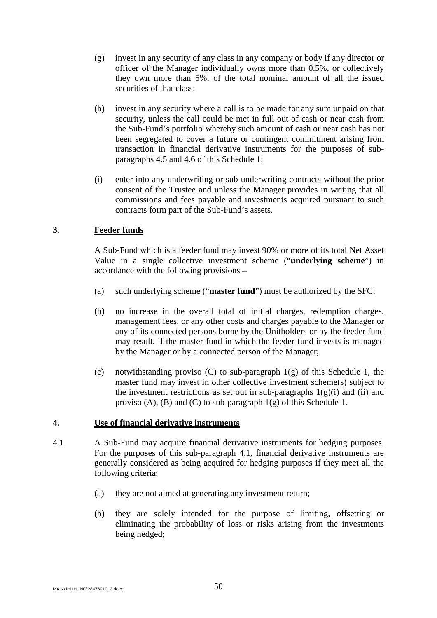- (g) invest in any security of any class in any company or body if any director or officer of the Manager individually owns more than 0.5%, or collectively they own more than 5%, of the total nominal amount of all the issued securities of that class;
- (h) invest in any security where a call is to be made for any sum unpaid on that security, unless the call could be met in full out of cash or near cash from the Sub-Fund's portfolio whereby such amount of cash or near cash has not been segregated to cover a future or contingent commitment arising from transaction in financial derivative instruments for the purposes of subparagraphs 4.5 and 4.6 of this Schedule 1;
- (i) enter into any underwriting or sub-underwriting contracts without the prior consent of the Trustee and unless the Manager provides in writing that all commissions and fees payable and investments acquired pursuant to such contracts form part of the Sub-Fund's assets.

# **3. Feeder funds**

A Sub-Fund which is a feeder fund may invest 90% or more of its total Net Asset Value in a single collective investment scheme ("**underlying scheme**") in accordance with the following provisions –

- (a) such underlying scheme ("**master fund**") must be authorized by the SFC;
- (b) no increase in the overall total of initial charges, redemption charges, management fees, or any other costs and charges payable to the Manager or any of its connected persons borne by the Unitholders or by the feeder fund may result, if the master fund in which the feeder fund invests is managed by the Manager or by a connected person of the Manager;
- (c) notwithstanding proviso (C) to sub-paragraph  $1(g)$  of this Schedule 1, the master fund may invest in other collective investment scheme(s) subject to the investment restrictions as set out in sub-paragraphs  $1(g)(i)$  and (ii) and proviso (A), (B) and (C) to sub-paragraph  $1(g)$  of this Schedule 1.

# **4. Use of financial derivative instruments**

- 4.1 A Sub-Fund may acquire financial derivative instruments for hedging purposes. For the purposes of this sub-paragraph 4.1, financial derivative instruments are generally considered as being acquired for hedging purposes if they meet all the following criteria:
	- (a) they are not aimed at generating any investment return;
	- (b) they are solely intended for the purpose of limiting, offsetting or eliminating the probability of loss or risks arising from the investments being hedged;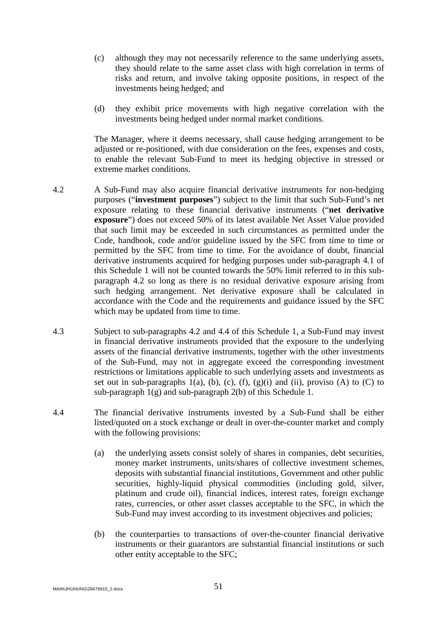- (c) although they may not necessarily reference to the same underlying assets, they should relate to the same asset class with high correlation in terms of risks and return, and involve taking opposite positions, in respect of the investments being hedged; and
- (d) they exhibit price movements with high negative correlation with the investments being hedged under normal market conditions.

The Manager, where it deems necessary, shall cause hedging arrangement to be adjusted or re-positioned, with due consideration on the fees, expenses and costs, to enable the relevant Sub-Fund to meet its hedging objective in stressed or extreme market conditions.

- 4.2 A Sub-Fund may also acquire financial derivative instruments for non-hedging purposes ("**investment purposes**") subject to the limit that such Sub-Fund's net exposure relating to these financial derivative instruments ("**net derivative exposure**") does not exceed 50% of its latest available Net Asset Value provided that such limit may be exceeded in such circumstances as permitted under the Code, handbook, code and/or guideline issued by the SFC from time to time or permitted by the SFC from time to time. For the avoidance of doubt, financial derivative instruments acquired for hedging purposes under sub-paragraph 4.1 of this Schedule 1 will not be counted towards the 50% limit referred to in this subparagraph 4.2 so long as there is no residual derivative exposure arising from such hedging arrangement. Net derivative exposure shall be calculated in accordance with the Code and the requirements and guidance issued by the SFC which may be updated from time to time.
- 4.3 Subject to sub-paragraphs 4.2 and 4.4 of this Schedule 1, a Sub-Fund may invest in financial derivative instruments provided that the exposure to the underlying assets of the financial derivative instruments, together with the other investments of the Sub-Fund, may not in aggregate exceed the corresponding investment restrictions or limitations applicable to such underlying assets and investments as set out in sub-paragraphs 1(a), (b), (c), (f), (g)(i) and (ii), proviso (A) to (C) to sub-paragraph  $1(g)$  and sub-paragraph  $2(b)$  of this Schedule 1.
- 4.4 The financial derivative instruments invested by a Sub-Fund shall be either listed/quoted on a stock exchange or dealt in over-the-counter market and comply with the following provisions:
	- (a) the underlying assets consist solely of shares in companies, debt securities, money market instruments, units/shares of collective investment schemes, deposits with substantial financial institutions, Government and other public securities, highly-liquid physical commodities (including gold, silver, platinum and crude oil), financial indices, interest rates, foreign exchange rates, currencies, or other asset classes acceptable to the SFC, in which the Sub-Fund may invest according to its investment objectives and policies;
	- (b) the counterparties to transactions of over-the-counter financial derivative instruments or their guarantors are substantial financial institutions or such other entity acceptable to the SFC;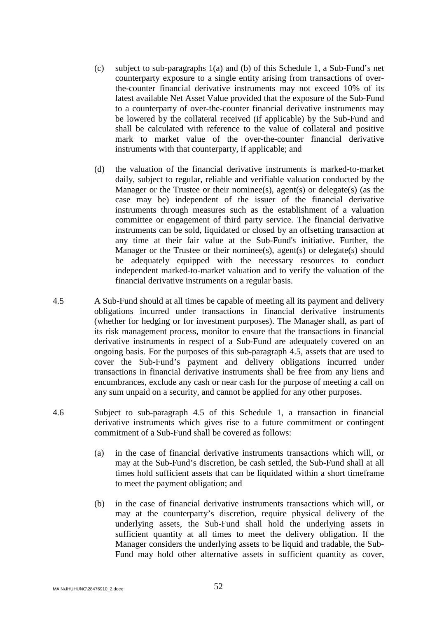- (c) subject to sub-paragraphs 1(a) and (b) of this Schedule 1, a Sub-Fund's net counterparty exposure to a single entity arising from transactions of overthe-counter financial derivative instruments may not exceed 10% of its latest available Net Asset Value provided that the exposure of the Sub-Fund to a counterparty of over-the-counter financial derivative instruments may be lowered by the collateral received (if applicable) by the Sub-Fund and shall be calculated with reference to the value of collateral and positive mark to market value of the over-the-counter financial derivative instruments with that counterparty, if applicable; and
- (d) the valuation of the financial derivative instruments is marked-to-market daily, subject to regular, reliable and verifiable valuation conducted by the Manager or the Trustee or their nominee(s), agent(s) or delegate(s) (as the case may be) independent of the issuer of the financial derivative instruments through measures such as the establishment of a valuation committee or engagement of third party service. The financial derivative instruments can be sold, liquidated or closed by an offsetting transaction at any time at their fair value at the Sub-Fund's initiative. Further, the Manager or the Trustee or their nominee(s), agent(s) or delegate(s) should be adequately equipped with the necessary resources to conduct independent marked-to-market valuation and to verify the valuation of the financial derivative instruments on a regular basis.
- 4.5 A Sub-Fund should at all times be capable of meeting all its payment and delivery obligations incurred under transactions in financial derivative instruments (whether for hedging or for investment purposes). The Manager shall, as part of its risk management process, monitor to ensure that the transactions in financial derivative instruments in respect of a Sub-Fund are adequately covered on an ongoing basis. For the purposes of this sub-paragraph 4.5, assets that are used to cover the Sub-Fund's payment and delivery obligations incurred under transactions in financial derivative instruments shall be free from any liens and encumbrances, exclude any cash or near cash for the purpose of meeting a call on any sum unpaid on a security, and cannot be applied for any other purposes.
- 4.6 Subject to sub-paragraph 4.5 of this Schedule 1, a transaction in financial derivative instruments which gives rise to a future commitment or contingent commitment of a Sub-Fund shall be covered as follows:
	- (a) in the case of financial derivative instruments transactions which will, or may at the Sub-Fund's discretion, be cash settled, the Sub-Fund shall at all times hold sufficient assets that can be liquidated within a short timeframe to meet the payment obligation; and
	- (b) in the case of financial derivative instruments transactions which will, or may at the counterparty's discretion, require physical delivery of the underlying assets, the Sub-Fund shall hold the underlying assets in sufficient quantity at all times to meet the delivery obligation. If the Manager considers the underlying assets to be liquid and tradable, the Sub-Fund may hold other alternative assets in sufficient quantity as cover,

MAIN\JHUHUNG\28476910\_2.docx  $52$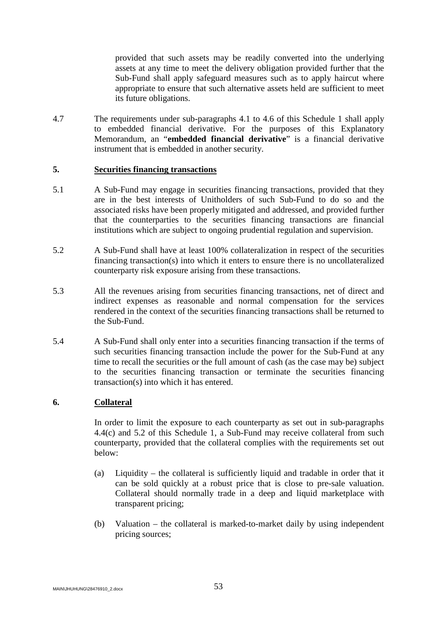provided that such assets may be readily converted into the underlying assets at any time to meet the delivery obligation provided further that the Sub-Fund shall apply safeguard measures such as to apply haircut where appropriate to ensure that such alternative assets held are sufficient to meet its future obligations.

4.7 The requirements under sub-paragraphs 4.1 to 4.6 of this Schedule 1 shall apply to embedded financial derivative. For the purposes of this Explanatory Memorandum, an "**embedded financial derivative**" is a financial derivative instrument that is embedded in another security.

### **5. Securities financing transactions**

- 5.1 A Sub-Fund may engage in securities financing transactions, provided that they are in the best interests of Unitholders of such Sub-Fund to do so and the associated risks have been properly mitigated and addressed, and provided further that the counterparties to the securities financing transactions are financial institutions which are subject to ongoing prudential regulation and supervision.
- 5.2 A Sub-Fund shall have at least 100% collateralization in respect of the securities financing transaction(s) into which it enters to ensure there is no uncollateralized counterparty risk exposure arising from these transactions.
- 5.3 All the revenues arising from securities financing transactions, net of direct and indirect expenses as reasonable and normal compensation for the services rendered in the context of the securities financing transactions shall be returned to the Sub-Fund.
- 5.4 A Sub-Fund shall only enter into a securities financing transaction if the terms of such securities financing transaction include the power for the Sub-Fund at any time to recall the securities or the full amount of cash (as the case may be) subject to the securities financing transaction or terminate the securities financing transaction(s) into which it has entered.

### **6. Collateral**

In order to limit the exposure to each counterparty as set out in sub-paragraphs 4.4(c) and 5.2 of this Schedule 1, a Sub-Fund may receive collateral from such counterparty, provided that the collateral complies with the requirements set out below:

- (a) Liquidity the collateral is sufficiently liquid and tradable in order that it can be sold quickly at a robust price that is close to pre-sale valuation. Collateral should normally trade in a deep and liquid marketplace with transparent pricing;
- (b) Valuation the collateral is marked-to-market daily by using independent pricing sources;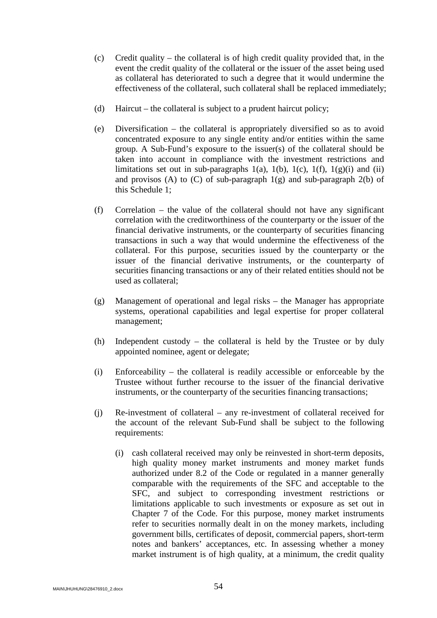- (c) Credit quality the collateral is of high credit quality provided that, in the event the credit quality of the collateral or the issuer of the asset being used as collateral has deteriorated to such a degree that it would undermine the effectiveness of the collateral, such collateral shall be replaced immediately;
- (d) Haircut the collateral is subject to a prudent haircut policy;
- (e) Diversification the collateral is appropriately diversified so as to avoid concentrated exposure to any single entity and/or entities within the same group. A Sub-Fund's exposure to the issuer(s) of the collateral should be taken into account in compliance with the investment restrictions and limitations set out in sub-paragraphs 1(a), 1(b), 1(c), 1(f), 1(g)(i) and (ii) and provisos (A) to (C) of sub-paragraph  $1(g)$  and sub-paragraph  $2(b)$  of this Schedule 1;
- (f) Correlation the value of the collateral should not have any significant correlation with the creditworthiness of the counterparty or the issuer of the financial derivative instruments, or the counterparty of securities financing transactions in such a way that would undermine the effectiveness of the collateral. For this purpose, securities issued by the counterparty or the issuer of the financial derivative instruments, or the counterparty of securities financing transactions or any of their related entities should not be used as collateral;
- (g) Management of operational and legal risks the Manager has appropriate systems, operational capabilities and legal expertise for proper collateral management;
- (h) Independent custody the collateral is held by the Trustee or by duly appointed nominee, agent or delegate;
- (i) Enforceability the collateral is readily accessible or enforceable by the Trustee without further recourse to the issuer of the financial derivative instruments, or the counterparty of the securities financing transactions;
- (j) Re-investment of collateral any re-investment of collateral received for the account of the relevant Sub-Fund shall be subject to the following requirements:
	- (i) cash collateral received may only be reinvested in short-term deposits, high quality money market instruments and money market funds authorized under 8.2 of the Code or regulated in a manner generally comparable with the requirements of the SFC and acceptable to the SFC, and subject to corresponding investment restrictions or limitations applicable to such investments or exposure as set out in Chapter 7 of the Code. For this purpose, money market instruments refer to securities normally dealt in on the money markets, including government bills, certificates of deposit, commercial papers, short-term notes and bankers' acceptances, etc. In assessing whether a money market instrument is of high quality, at a minimum, the credit quality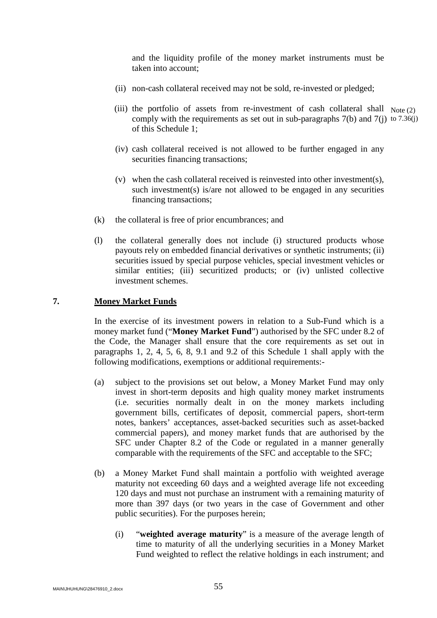and the liquidity profile of the money market instruments must be taken into account;

- (ii) non-cash collateral received may not be sold, re-invested or pledged;
- (iii) the portfolio of assets from re-investment of cash collateral shall  $Note (2)$ comply with the requirements as set out in sub-paragraphs  $7(b)$  and  $7(j)$  to  $7.36(j)$ of this Schedule 1;
	- (iv) cash collateral received is not allowed to be further engaged in any securities financing transactions;
	- (v) when the cash collateral received is reinvested into other investment(s), such investment(s) is/are not allowed to be engaged in any securities financing transactions;
- (k) the collateral is free of prior encumbrances; and
- (l) the collateral generally does not include (i) structured products whose payouts rely on embedded financial derivatives or synthetic instruments; (ii) securities issued by special purpose vehicles, special investment vehicles or similar entities; (iii) securitized products; or (iv) unlisted collective investment schemes.

#### **7. Money Market Funds**

In the exercise of its investment powers in relation to a Sub-Fund which is a money market fund ("**Money Market Fund**") authorised by the SFC under 8.2 of the Code, the Manager shall ensure that the core requirements as set out in paragraphs 1, 2, 4, 5, 6, 8, 9.1 and 9.2 of this Schedule 1 shall apply with the following modifications, exemptions or additional requirements:-

- (a) subject to the provisions set out below, a Money Market Fund may only invest in short-term deposits and high quality money market instruments (i.e. securities normally dealt in on the money markets including government bills, certificates of deposit, commercial papers, short-term notes, bankers' acceptances, asset-backed securities such as asset-backed commercial papers), and money market funds that are authorised by the SFC under Chapter 8.2 of the Code or regulated in a manner generally comparable with the requirements of the SFC and acceptable to the SFC;
- (b) a Money Market Fund shall maintain a portfolio with weighted average maturity not exceeding 60 days and a weighted average life not exceeding 120 days and must not purchase an instrument with a remaining maturity of more than 397 days (or two years in the case of Government and other public securities). For the purposes herein;
	- (i) "**weighted average maturity**" is a measure of the average length of time to maturity of all the underlying securities in a Money Market Fund weighted to reflect the relative holdings in each instrument; and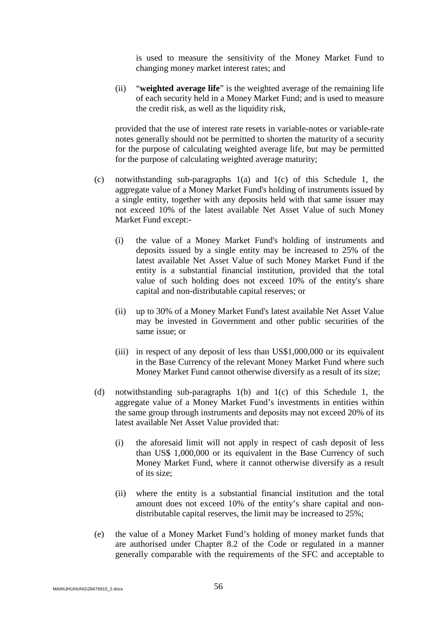is used to measure the sensitivity of the Money Market Fund to changing money market interest rates; and

(ii) "**weighted average life**" is the weighted average of the remaining life of each security held in a Money Market Fund; and is used to measure the credit risk, as well as the liquidity risk,

provided that the use of interest rate resets in variable-notes or variable-rate notes generally should not be permitted to shorten the maturity of a security for the purpose of calculating weighted average life, but may be permitted for the purpose of calculating weighted average maturity;

- (c) notwithstanding sub-paragraphs 1(a) and 1(c) of this Schedule 1, the aggregate value of a Money Market Fund's holding of instruments issued by a single entity, together with any deposits held with that same issuer may not exceed 10% of the latest available Net Asset Value of such Money Market Fund except:-
	- (i) the value of a Money Market Fund's holding of instruments and deposits issued by a single entity may be increased to 25% of the latest available Net Asset Value of such Money Market Fund if the entity is a substantial financial institution, provided that the total value of such holding does not exceed 10% of the entity's share capital and non-distributable capital reserves; or
	- (ii) up to 30% of a Money Market Fund's latest available Net Asset Value may be invested in Government and other public securities of the same issue; or
	- (iii) in respect of any deposit of less than US\$1,000,000 or its equivalent in the Base Currency of the relevant Money Market Fund where such Money Market Fund cannot otherwise diversify as a result of its size;
- (d) notwithstanding sub-paragraphs 1(b) and 1(c) of this Schedule 1, the aggregate value of a Money Market Fund's investments in entities within the same group through instruments and deposits may not exceed 20% of its latest available Net Asset Value provided that:
	- (i) the aforesaid limit will not apply in respect of cash deposit of less than US\$ 1,000,000 or its equivalent in the Base Currency of such Money Market Fund, where it cannot otherwise diversify as a result of its size;
	- (ii) where the entity is a substantial financial institution and the total amount does not exceed 10% of the entity's share capital and nondistributable capital reserves, the limit may be increased to 25%;
- (e) the value of a Money Market Fund's holding of money market funds that are authorised under Chapter 8.2 of the Code or regulated in a manner generally comparable with the requirements of the SFC and acceptable to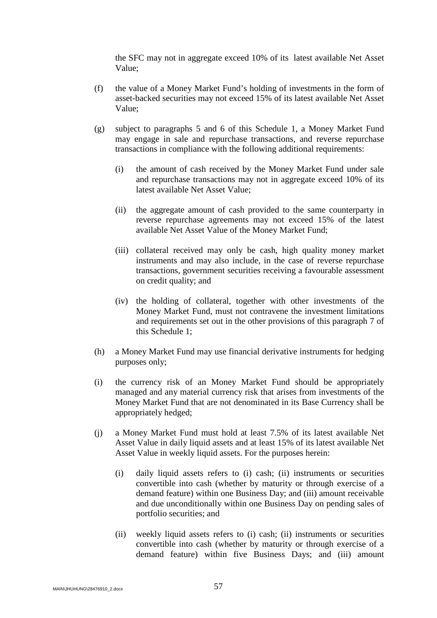the SFC may not in aggregate exceed 10% of its latest available Net Asset Value;

- (f) the value of a Money Market Fund's holding of investments in the form of asset-backed securities may not exceed 15% of its latest available Net Asset Value;
- (g) subject to paragraphs 5 and 6 of this Schedule 1, a Money Market Fund may engage in sale and repurchase transactions, and reverse repurchase transactions in compliance with the following additional requirements:
	- (i) the amount of cash received by the Money Market Fund under sale and repurchase transactions may not in aggregate exceed 10% of its latest available Net Asset Value;
	- (ii) the aggregate amount of cash provided to the same counterparty in reverse repurchase agreements may not exceed 15% of the latest available Net Asset Value of the Money Market Fund;
	- (iii) collateral received may only be cash, high quality money market instruments and may also include, in the case of reverse repurchase transactions, government securities receiving a favourable assessment on credit quality; and
	- (iv) the holding of collateral, together with other investments of the Money Market Fund, must not contravene the investment limitations and requirements set out in the other provisions of this paragraph 7 of this Schedule 1;
- (h) a Money Market Fund may use financial derivative instruments for hedging purposes only;
- (i) the currency risk of an Money Market Fund should be appropriately managed and any material currency risk that arises from investments of the Money Market Fund that are not denominated in its Base Currency shall be appropriately hedged;
- (j) a Money Market Fund must hold at least 7.5% of its latest available Net Asset Value in daily liquid assets and at least 15% of its latest available Net Asset Value in weekly liquid assets. For the purposes herein:
	- (i) daily liquid assets refers to (i) cash; (ii) instruments or securities convertible into cash (whether by maturity or through exercise of a demand feature) within one Business Day; and (iii) amount receivable and due unconditionally within one Business Day on pending sales of portfolio securities; and
	- (ii) weekly liquid assets refers to (i) cash; (ii) instruments or securities convertible into cash (whether by maturity or through exercise of a demand feature) within five Business Days; and (iii) amount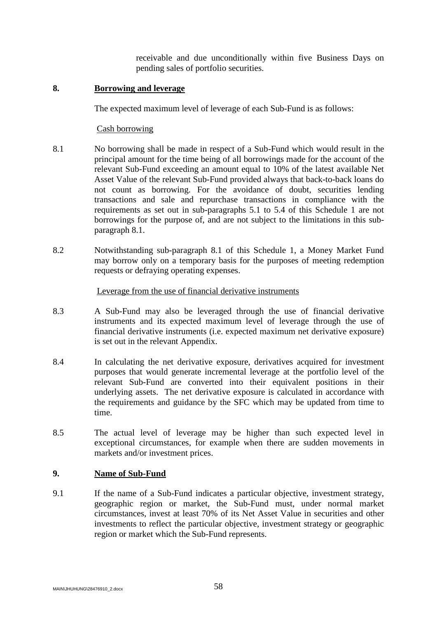receivable and due unconditionally within five Business Days on pending sales of portfolio securities.

### **8. Borrowing and leverage**

The expected maximum level of leverage of each Sub-Fund is as follows:

#### Cash borrowing

- 8.1 No borrowing shall be made in respect of a Sub-Fund which would result in the principal amount for the time being of all borrowings made for the account of the relevant Sub-Fund exceeding an amount equal to 10% of the latest available Net Asset Value of the relevant Sub-Fund provided always that back-to-back loans do not count as borrowing. For the avoidance of doubt, securities lending transactions and sale and repurchase transactions in compliance with the requirements as set out in sub-paragraphs 5.1 to 5.4 of this Schedule 1 are not borrowings for the purpose of, and are not subject to the limitations in this subparagraph 8.1.
- 8.2 Notwithstanding sub-paragraph 8.1 of this Schedule 1, a Money Market Fund may borrow only on a temporary basis for the purposes of meeting redemption requests or defraying operating expenses.

#### Leverage from the use of financial derivative instruments

- 8.3 A Sub-Fund may also be leveraged through the use of financial derivative instruments and its expected maximum level of leverage through the use of financial derivative instruments (i.e. expected maximum net derivative exposure) is set out in the relevant Appendix.
- 8.4 In calculating the net derivative exposure, derivatives acquired for investment purposes that would generate incremental leverage at the portfolio level of the relevant Sub-Fund are converted into their equivalent positions in their underlying assets. The net derivative exposure is calculated in accordance with the requirements and guidance by the SFC which may be updated from time to time.
- 8.5 The actual level of leverage may be higher than such expected level in exceptional circumstances, for example when there are sudden movements in markets and/or investment prices.

## **9. Name of Sub-Fund**

9.1 If the name of a Sub-Fund indicates a particular objective, investment strategy, geographic region or market, the Sub-Fund must, under normal market circumstances, invest at least 70% of its Net Asset Value in securities and other investments to reflect the particular objective, investment strategy or geographic region or market which the Sub-Fund represents.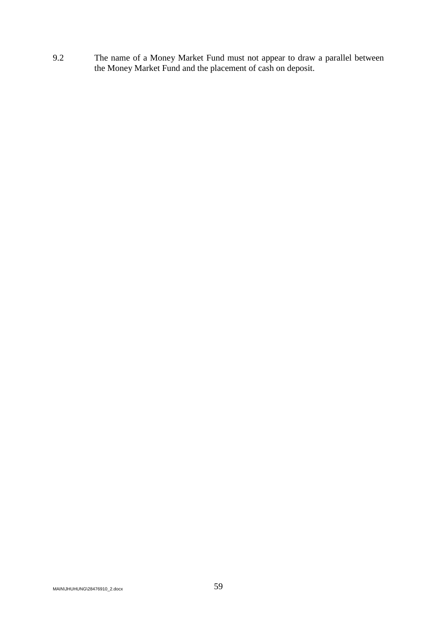9.2 The name of a Money Market Fund must not appear to draw a parallel between the Money Market Fund and the placement of cash on deposit.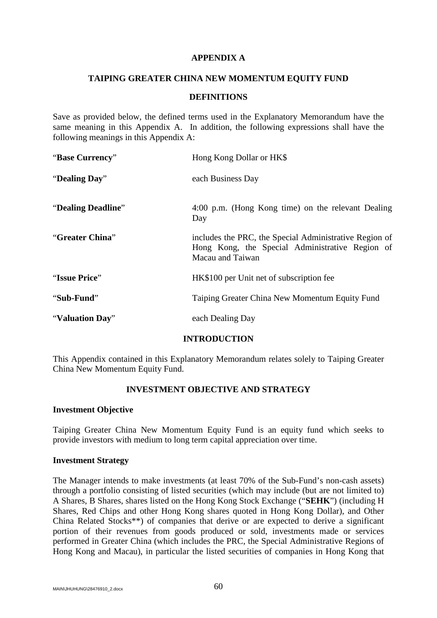### **APPENDIX A**

### **TAIPING GREATER CHINA NEW MOMENTUM EQUITY FUND**

### **DEFINITIONS**

Save as provided below, the defined terms used in the Explanatory Memorandum have the same meaning in this Appendix A. In addition, the following expressions shall have the following meanings in this Appendix A:

| "Base Currency"    | Hong Kong Dollar or HK\$                                                                                                      |  |
|--------------------|-------------------------------------------------------------------------------------------------------------------------------|--|
| "Dealing Day"      | each Business Day                                                                                                             |  |
| "Dealing Deadline" | 4:00 p.m. (Hong Kong time) on the relevant Dealing<br>Day                                                                     |  |
| "Greater China"    | includes the PRC, the Special Administrative Region of<br>Hong Kong, the Special Administrative Region of<br>Macau and Taiwan |  |
| "Issue Price"      | HK\$100 per Unit net of subscription fee                                                                                      |  |
| "Sub-Fund"         | Taiping Greater China New Momentum Equity Fund                                                                                |  |
| "Valuation Day"    | each Dealing Day                                                                                                              |  |

# **INTRODUCTION**

This Appendix contained in this Explanatory Memorandum relates solely to Taiping Greater China New Momentum Equity Fund.

# **INVESTMENT OBJECTIVE AND STRATEGY**

### **Investment Objective**

Taiping Greater China New Momentum Equity Fund is an equity fund which seeks to provide investors with medium to long term capital appreciation over time.

### **Investment Strategy**

The Manager intends to make investments (at least 70% of the Sub-Fund's non-cash assets) through a portfolio consisting of listed securities (which may include (but are not limited to) A Shares, B Shares, shares listed on the Hong Kong Stock Exchange ("**SEHK**") (including H Shares, Red Chips and other Hong Kong shares quoted in Hong Kong Dollar), and Other China Related Stocks\*\*) of companies that derive or are expected to derive a significant portion of their revenues from goods produced or sold, investments made or services performed in Greater China (which includes the PRC, the Special Administrative Regions of Hong Kong and Macau), in particular the listed securities of companies in Hong Kong that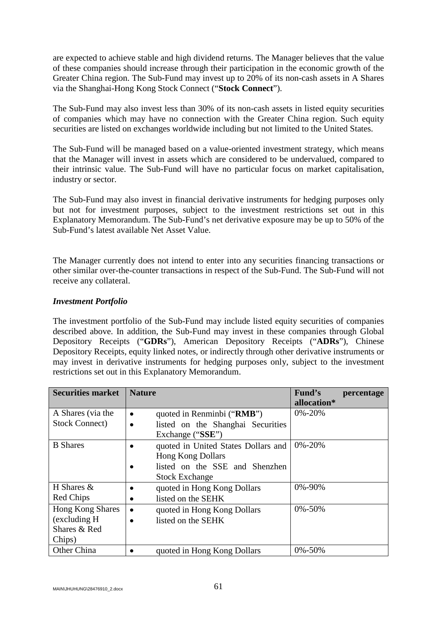are expected to achieve stable and high dividend returns. The Manager believes that the value of these companies should increase through their participation in the economic growth of the Greater China region. The Sub-Fund may invest up to 20% of its non-cash assets in A Shares via the Shanghai-Hong Kong Stock Connect ("**Stock Connect**").

The Sub-Fund may also invest less than 30% of its non-cash assets in listed equity securities of companies which may have no connection with the Greater China region. Such equity securities are listed on exchanges worldwide including but not limited to the United States.

The Sub-Fund will be managed based on a value-oriented investment strategy, which means that the Manager will invest in assets which are considered to be undervalued, compared to their intrinsic value. The Sub-Fund will have no particular focus on market capitalisation, industry or sector.

The Sub-Fund may also invest in financial derivative instruments for hedging purposes only but not for investment purposes, subject to the investment restrictions set out in this Explanatory Memorandum. The Sub-Fund's net derivative exposure may be up to 50% of the Sub-Fund's latest available Net Asset Value.

The Manager currently does not intend to enter into any securities financing transactions or other similar over-the-counter transactions in respect of the Sub-Fund. The Sub-Fund will not receive any collateral.

## *Investment Portfolio*

The investment portfolio of the Sub-Fund may include listed equity securities of companies described above. In addition, the Sub-Fund may invest in these companies through Global Depository Receipts ("**GDRs**"), American Depository Receipts ("**ADRs**"), Chinese Depository Receipts, equity linked notes, or indirectly through other derivative instruments or may invest in derivative instruments for hedging purposes only, subject to the investment restrictions set out in this Explanatory Memorandum.

| <b>Securities market</b> | <b>Nature</b>                                  | Fund's<br>percentage |
|--------------------------|------------------------------------------------|----------------------|
|                          |                                                | allocation*          |
| A Shares (via the        | quoted in Renminbi ("RMB")<br>$\bullet$        | $0\% - 20\%$         |
| <b>Stock Connect</b> )   | listed on the Shanghai Securities<br>$\bullet$ |                      |
|                          | Exchange ("SSE")                               |                      |
| <b>B</b> Shares          | quoted in United States Dollars and            | $0\% - 20\%$         |
|                          | <b>Hong Kong Dollars</b>                       |                      |
|                          | listed on the SSE and Shenzhen                 |                      |
|                          | <b>Stock Exchange</b>                          |                      |
| H Shares $&$             | quoted in Hong Kong Dollars                    | 0%-90%               |
| Red Chips                | listed on the SEHK                             |                      |
| <b>Hong Kong Shares</b>  | quoted in Hong Kong Dollars<br>$\bullet$       | $0\% - 50\%$         |
| (excluding H)            | listed on the SEHK                             |                      |
| Shares & Red             |                                                |                      |
| Chips)                   |                                                |                      |
| Other China              | quoted in Hong Kong Dollars                    | 0%-50%               |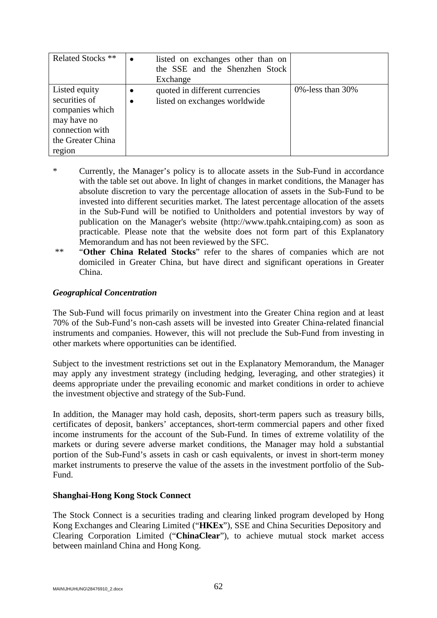| Related Stocks <sup>**</sup>                                                                                       | $\bullet$              | listed on exchanges other than on<br>the SSE and the Shenzhen Stock<br>Exchange |                       |
|--------------------------------------------------------------------------------------------------------------------|------------------------|---------------------------------------------------------------------------------|-----------------------|
| Listed equity<br>securities of<br>companies which<br>may have no<br>connection with<br>the Greater China<br>region | $\bullet$<br>$\bullet$ | quoted in different currencies<br>listed on exchanges worldwide                 | 0\% -less than $30\%$ |

- \* Currently, the Manager's policy is to allocate assets in the Sub-Fund in accordance with the table set out above. In light of changes in market conditions, the Manager has absolute discretion to vary the percentage allocation of assets in the Sub-Fund to be invested into different securities market. The latest percentage allocation of the assets in the Sub-Fund will be notified to Unitholders and potential investors by way of publication on the Manager's website (http://www.tpahk.cntaiping.com) as soon as practicable. Please note that the website does not form part of this Explanatory Memorandum and has not been reviewed by the SFC.
- \*\* "**Other China Related Stocks**" refer to the shares of companies which are not domiciled in Greater China, but have direct and significant operations in Greater China.

### *Geographical Concentration*

The Sub-Fund will focus primarily on investment into the Greater China region and at least 70% of the Sub-Fund's non-cash assets will be invested into Greater China-related financial instruments and companies. However, this will not preclude the Sub-Fund from investing in other markets where opportunities can be identified.

Subject to the investment restrictions set out in the Explanatory Memorandum, the Manager may apply any investment strategy (including hedging, leveraging, and other strategies) it deems appropriate under the prevailing economic and market conditions in order to achieve the investment objective and strategy of the Sub-Fund.

In addition, the Manager may hold cash, deposits, short-term papers such as treasury bills, certificates of deposit, bankers' acceptances, short-term commercial papers and other fixed income instruments for the account of the Sub-Fund. In times of extreme volatility of the markets or during severe adverse market conditions, the Manager may hold a substantial portion of the Sub-Fund's assets in cash or cash equivalents, or invest in short-term money market instruments to preserve the value of the assets in the investment portfolio of the Sub-Fund.

### **Shanghai-Hong Kong Stock Connect**

The Stock Connect is a securities trading and clearing linked program developed by Hong Kong Exchanges and Clearing Limited ("**HKEx**"), SSE and China Securities Depository and Clearing Corporation Limited ("**ChinaClear**"), to achieve mutual stock market access between mainland China and Hong Kong.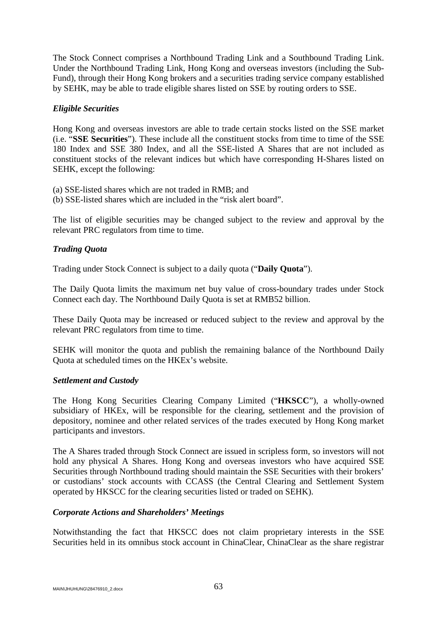The Stock Connect comprises a Northbound Trading Link and a Southbound Trading Link. Under the Northbound Trading Link, Hong Kong and overseas investors (including the Sub-Fund), through their Hong Kong brokers and a securities trading service company established by SEHK, may be able to trade eligible shares listed on SSE by routing orders to SSE.

## *Eligible Securities*

Hong Kong and overseas investors are able to trade certain stocks listed on the SSE market (i.e. "**SSE Securities**"). These include all the constituent stocks from time to time of the SSE 180 Index and SSE 380 Index, and all the SSE-listed A Shares that are not included as constituent stocks of the relevant indices but which have corresponding H-Shares listed on SEHK, except the following:

(a) SSE-listed shares which are not traded in RMB; and

(b) SSE-listed shares which are included in the "risk alert board".

The list of eligible securities may be changed subject to the review and approval by the relevant PRC regulators from time to time.

## *Trading Quota*

Trading under Stock Connect is subject to a daily quota ("**Daily Quota**").

The Daily Quota limits the maximum net buy value of cross-boundary trades under Stock Connect each day. The Northbound Daily Quota is set at RMB52 billion.

These Daily Quota may be increased or reduced subject to the review and approval by the relevant PRC regulators from time to time.

SEHK will monitor the quota and publish the remaining balance of the Northbound Daily Quota at scheduled times on the HKEx's website.

### *Settlement and Custody*

The Hong Kong Securities Clearing Company Limited ("**HKSCC**"), a wholly-owned subsidiary of HKEx, will be responsible for the clearing, settlement and the provision of depository, nominee and other related services of the trades executed by Hong Kong market participants and investors.

The A Shares traded through Stock Connect are issued in scripless form, so investors will not hold any physical A Shares. Hong Kong and overseas investors who have acquired SSE Securities through Northbound trading should maintain the SSE Securities with their brokers' or custodians' stock accounts with CCASS (the Central Clearing and Settlement System operated by HKSCC for the clearing securities listed or traded on SEHK).

### *Corporate Actions and Shareholders' Meetings*

Notwithstanding the fact that HKSCC does not claim proprietary interests in the SSE Securities held in its omnibus stock account in ChinaClear, ChinaClear as the share registrar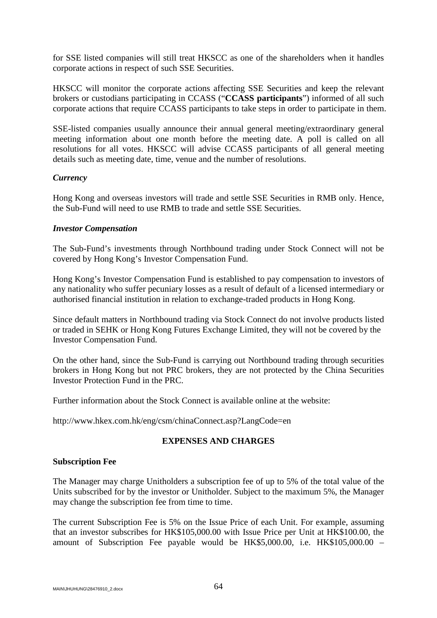for SSE listed companies will still treat HKSCC as one of the shareholders when it handles corporate actions in respect of such SSE Securities.

HKSCC will monitor the corporate actions affecting SSE Securities and keep the relevant brokers or custodians participating in CCASS ("**CCASS participants**") informed of all such corporate actions that require CCASS participants to take steps in order to participate in them.

SSE-listed companies usually announce their annual general meeting/extraordinary general meeting information about one month before the meeting date. A poll is called on all resolutions for all votes. HKSCC will advise CCASS participants of all general meeting details such as meeting date, time, venue and the number of resolutions.

## *Currency*

Hong Kong and overseas investors will trade and settle SSE Securities in RMB only. Hence, the Sub-Fund will need to use RMB to trade and settle SSE Securities.

## *Investor Compensation*

The Sub-Fund's investments through Northbound trading under Stock Connect will not be covered by Hong Kong's Investor Compensation Fund.

Hong Kong's Investor Compensation Fund is established to pay compensation to investors of any nationality who suffer pecuniary losses as a result of default of a licensed intermediary or authorised financial institution in relation to exchange-traded products in Hong Kong.

Since default matters in Northbound trading via Stock Connect do not involve products listed or traded in SEHK or Hong Kong Futures Exchange Limited, they will not be covered by the Investor Compensation Fund.

On the other hand, since the Sub-Fund is carrying out Northbound trading through securities brokers in Hong Kong but not PRC brokers, they are not protected by the China Securities Investor Protection Fund in the PRC.

Further information about the Stock Connect is available online at the website:

http://www.hkex.com.hk/eng/csm/chinaConnect.asp?LangCode=en

# **EXPENSES AND CHARGES**

### **Subscription Fee**

The Manager may charge Unitholders a subscription fee of up to 5% of the total value of the Units subscribed for by the investor or Unitholder. Subject to the maximum 5%, the Manager may change the subscription fee from time to time.

The current Subscription Fee is 5% on the Issue Price of each Unit. For example, assuming that an investor subscribes for HK\$105,000.00 with Issue Price per Unit at HK\$100.00, the amount of Subscription Fee payable would be HK\$5,000.00, i.e. HK\$105,000.00 –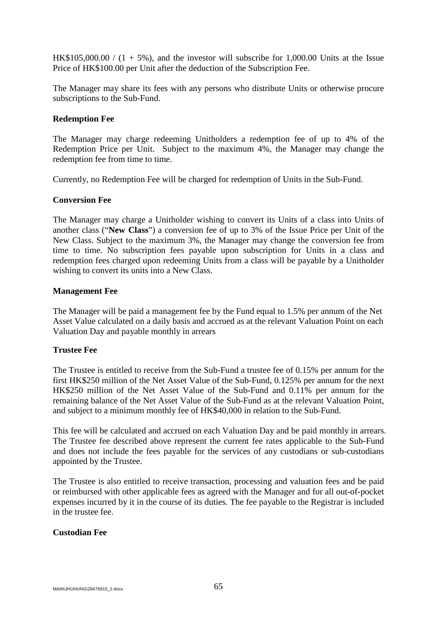HK\$105,000.00 /  $(1 + 5\%)$ , and the investor will subscribe for 1,000.00 Units at the Issue Price of HK\$100.00 per Unit after the deduction of the Subscription Fee.

The Manager may share its fees with any persons who distribute Units or otherwise procure subscriptions to the Sub-Fund.

### **Redemption Fee**

The Manager may charge redeeming Unitholders a redemption fee of up to 4% of the Redemption Price per Unit. Subject to the maximum 4%, the Manager may change the redemption fee from time to time.

Currently, no Redemption Fee will be charged for redemption of Units in the Sub-Fund.

## **Conversion Fee**

The Manager may charge a Unitholder wishing to convert its Units of a class into Units of another class ("**New Class**") a conversion fee of up to 3% of the Issue Price per Unit of the New Class. Subject to the maximum 3%, the Manager may change the conversion fee from time to time. No subscription fees payable upon subscription for Units in a class and redemption fees charged upon redeeming Units from a class will be payable by a Unitholder wishing to convert its units into a New Class.

### **Management Fee**

The Manager will be paid a management fee by the Fund equal to 1.5% per annum of the Net Asset Value calculated on a daily basis and accrued as at the relevant Valuation Point on each Valuation Day and payable monthly in arrears

# **Trustee Fee**

The Trustee is entitled to receive from the Sub-Fund a trustee fee of 0.15% per annum for the first HK\$250 million of the Net Asset Value of the Sub-Fund, 0.125% per annum for the next HK\$250 million of the Net Asset Value of the Sub-Fund and 0.11% per annum for the remaining balance of the Net Asset Value of the Sub-Fund as at the relevant Valuation Point, and subject to a minimum monthly fee of HK\$40,000 in relation to the Sub-Fund.

This fee will be calculated and accrued on each Valuation Day and be paid monthly in arrears. The Trustee fee described above represent the current fee rates applicable to the Sub-Fund and does not include the fees payable for the services of any custodians or sub-custodians appointed by the Trustee.

The Trustee is also entitled to receive transaction, processing and valuation fees and be paid or reimbursed with other applicable fees as agreed with the Manager and for all out-of-pocket expenses incurred by it in the course of its duties. The fee payable to the Registrar is included in the trustee fee.

### **Custodian Fee**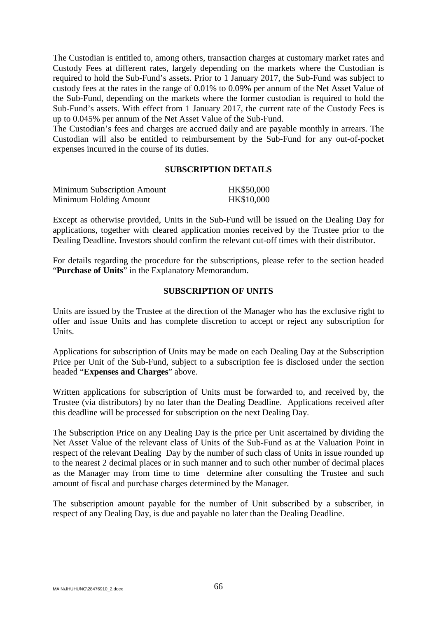The Custodian is entitled to, among others, transaction charges at customary market rates and Custody Fees at different rates, largely depending on the markets where the Custodian is required to hold the Sub-Fund's assets. Prior to 1 January 2017, the Sub-Fund was subject to custody fees at the rates in the range of 0.01% to 0.09% per annum of the Net Asset Value of the Sub-Fund, depending on the markets where the former custodian is required to hold the Sub-Fund's assets. With effect from 1 January 2017, the current rate of the Custody Fees is up to 0.045% per annum of the Net Asset Value of the Sub-Fund.

The Custodian's fees and charges are accrued daily and are payable monthly in arrears. The Custodian will also be entitled to reimbursement by the Sub-Fund for any out-of-pocket expenses incurred in the course of its duties.

### **SUBSCRIPTION DETAILS**

| <b>Minimum Subscription Amount</b> | HK\$50,000 |
|------------------------------------|------------|
| Minimum Holding Amount             | HK\$10,000 |

Except as otherwise provided, Units in the Sub-Fund will be issued on the Dealing Day for applications, together with cleared application monies received by the Trustee prior to the Dealing Deadline. Investors should confirm the relevant cut-off times with their distributor.

For details regarding the procedure for the subscriptions, please refer to the section headed "**Purchase of Units**" in the Explanatory Memorandum.

#### **SUBSCRIPTION OF UNITS**

Units are issued by the Trustee at the direction of the Manager who has the exclusive right to offer and issue Units and has complete discretion to accept or reject any subscription for Units.

Applications for subscription of Units may be made on each Dealing Day at the Subscription Price per Unit of the Sub-Fund, subject to a subscription fee is disclosed under the section headed "**Expenses and Charges**" above.

Written applications for subscription of Units must be forwarded to, and received by, the Trustee (via distributors) by no later than the Dealing Deadline. Applications received after this deadline will be processed for subscription on the next Dealing Day.

The Subscription Price on any Dealing Day is the price per Unit ascertained by dividing the Net Asset Value of the relevant class of Units of the Sub-Fund as at the Valuation Point in respect of the relevant Dealing Day by the number of such class of Units in issue rounded up to the nearest 2 decimal places or in such manner and to such other number of decimal places as the Manager may from time to time determine after consulting the Trustee and such amount of fiscal and purchase charges determined by the Manager.

The subscription amount payable for the number of Unit subscribed by a subscriber, in respect of any Dealing Day, is due and payable no later than the Dealing Deadline.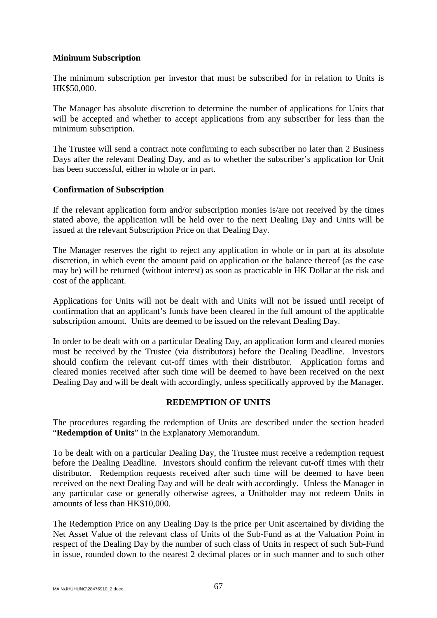### **Minimum Subscription**

The minimum subscription per investor that must be subscribed for in relation to Units is HK\$50,000.

The Manager has absolute discretion to determine the number of applications for Units that will be accepted and whether to accept applications from any subscriber for less than the minimum subscription.

The Trustee will send a contract note confirming to each subscriber no later than 2 Business Days after the relevant Dealing Day, and as to whether the subscriber's application for Unit has been successful, either in whole or in part.

### **Confirmation of Subscription**

If the relevant application form and/or subscription monies is/are not received by the times stated above, the application will be held over to the next Dealing Day and Units will be issued at the relevant Subscription Price on that Dealing Day.

The Manager reserves the right to reject any application in whole or in part at its absolute discretion, in which event the amount paid on application or the balance thereof (as the case may be) will be returned (without interest) as soon as practicable in HK Dollar at the risk and cost of the applicant.

Applications for Units will not be dealt with and Units will not be issued until receipt of confirmation that an applicant's funds have been cleared in the full amount of the applicable subscription amount. Units are deemed to be issued on the relevant Dealing Day.

In order to be dealt with on a particular Dealing Day, an application form and cleared monies must be received by the Trustee (via distributors) before the Dealing Deadline. Investors should confirm the relevant cut-off times with their distributor. Application forms and cleared monies received after such time will be deemed to have been received on the next Dealing Day and will be dealt with accordingly, unless specifically approved by the Manager.

# **REDEMPTION OF UNITS**

The procedures regarding the redemption of Units are described under the section headed "**Redemption of Units**" in the Explanatory Memorandum.

To be dealt with on a particular Dealing Day, the Trustee must receive a redemption request before the Dealing Deadline. Investors should confirm the relevant cut-off times with their distributor. Redemption requests received after such time will be deemed to have been received on the next Dealing Day and will be dealt with accordingly. Unless the Manager in any particular case or generally otherwise agrees, a Unitholder may not redeem Units in amounts of less than HK\$10,000.

The Redemption Price on any Dealing Day is the price per Unit ascertained by dividing the Net Asset Value of the relevant class of Units of the Sub-Fund as at the Valuation Point in respect of the Dealing Day by the number of such class of Units in respect of such Sub-Fund in issue, rounded down to the nearest 2 decimal places or in such manner and to such other

MAIN\JHUHUNG\28476910\_2.docx 67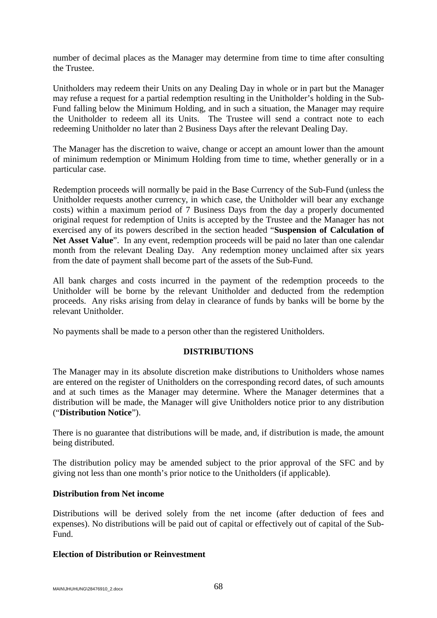number of decimal places as the Manager may determine from time to time after consulting the Trustee.

Unitholders may redeem their Units on any Dealing Day in whole or in part but the Manager may refuse a request for a partial redemption resulting in the Unitholder's holding in the Sub-Fund falling below the Minimum Holding, and in such a situation, the Manager may require the Unitholder to redeem all its Units. The Trustee will send a contract note to each redeeming Unitholder no later than 2 Business Days after the relevant Dealing Day.

The Manager has the discretion to waive, change or accept an amount lower than the amount of minimum redemption or Minimum Holding from time to time, whether generally or in a particular case.

Redemption proceeds will normally be paid in the Base Currency of the Sub-Fund (unless the Unitholder requests another currency, in which case, the Unitholder will bear any exchange costs) within a maximum period of 7 Business Days from the day a properly documented original request for redemption of Units is accepted by the Trustee and the Manager has not exercised any of its powers described in the section headed "**Suspension of Calculation of**  Net Asset Value". In any event, redemption proceeds will be paid no later than one calendar month from the relevant Dealing Day. Any redemption money unclaimed after six years from the date of payment shall become part of the assets of the Sub-Fund.

All bank charges and costs incurred in the payment of the redemption proceeds to the Unitholder will be borne by the relevant Unitholder and deducted from the redemption proceeds. Any risks arising from delay in clearance of funds by banks will be borne by the relevant Unitholder.

No payments shall be made to a person other than the registered Unitholders.

### **DISTRIBUTIONS**

The Manager may in its absolute discretion make distributions to Unitholders whose names are entered on the register of Unitholders on the corresponding record dates, of such amounts and at such times as the Manager may determine. Where the Manager determines that a distribution will be made, the Manager will give Unitholders notice prior to any distribution ("**Distribution Notice**").

There is no guarantee that distributions will be made, and, if distribution is made, the amount being distributed.

The distribution policy may be amended subject to the prior approval of the SFC and by giving not less than one month's prior notice to the Unitholders (if applicable).

### **Distribution from Net income**

Distributions will be derived solely from the net income (after deduction of fees and expenses). No distributions will be paid out of capital or effectively out of capital of the Sub-Fund.

### **Election of Distribution or Reinvestment**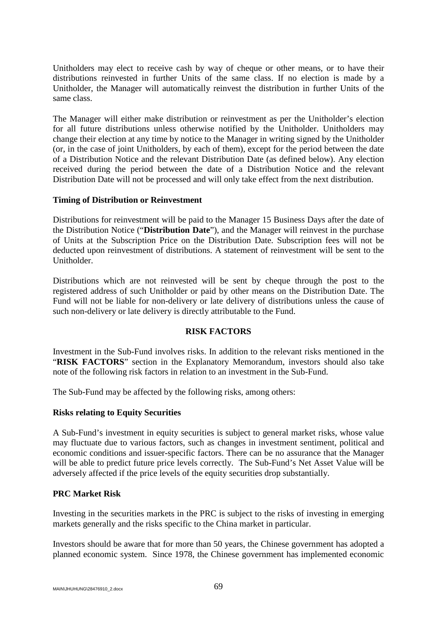Unitholders may elect to receive cash by way of cheque or other means, or to have their distributions reinvested in further Units of the same class. If no election is made by a Unitholder, the Manager will automatically reinvest the distribution in further Units of the same class.

The Manager will either make distribution or reinvestment as per the Unitholder's election for all future distributions unless otherwise notified by the Unitholder. Unitholders may change their election at any time by notice to the Manager in writing signed by the Unitholder (or, in the case of joint Unitholders, by each of them), except for the period between the date of a Distribution Notice and the relevant Distribution Date (as defined below). Any election received during the period between the date of a Distribution Notice and the relevant Distribution Date will not be processed and will only take effect from the next distribution.

## **Timing of Distribution or Reinvestment**

Distributions for reinvestment will be paid to the Manager 15 Business Days after the date of the Distribution Notice ("**Distribution Date**"), and the Manager will reinvest in the purchase of Units at the Subscription Price on the Distribution Date. Subscription fees will not be deducted upon reinvestment of distributions. A statement of reinvestment will be sent to the Unitholder.

Distributions which are not reinvested will be sent by cheque through the post to the registered address of such Unitholder or paid by other means on the Distribution Date. The Fund will not be liable for non-delivery or late delivery of distributions unless the cause of such non-delivery or late delivery is directly attributable to the Fund.

### **RISK FACTORS**

Investment in the Sub-Fund involves risks. In addition to the relevant risks mentioned in the "**RISK FACTORS**" section in the Explanatory Memorandum, investors should also take note of the following risk factors in relation to an investment in the Sub-Fund.

The Sub-Fund may be affected by the following risks, among others:

### **Risks relating to Equity Securities**

A Sub-Fund's investment in equity securities is subject to general market risks, whose value may fluctuate due to various factors, such as changes in investment sentiment, political and economic conditions and issuer-specific factors. There can be no assurance that the Manager will be able to predict future price levels correctly. The Sub-Fund's Net Asset Value will be adversely affected if the price levels of the equity securities drop substantially.

# **PRC Market Risk**

Investing in the securities markets in the PRC is subject to the risks of investing in emerging markets generally and the risks specific to the China market in particular.

Investors should be aware that for more than 50 years, the Chinese government has adopted a planned economic system. Since 1978, the Chinese government has implemented economic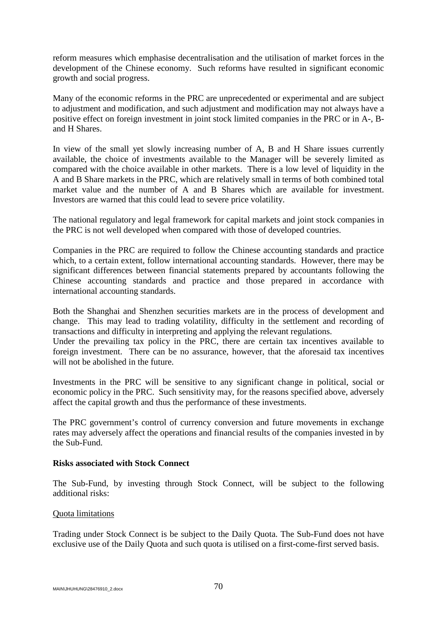reform measures which emphasise decentralisation and the utilisation of market forces in the development of the Chinese economy. Such reforms have resulted in significant economic growth and social progress.

Many of the economic reforms in the PRC are unprecedented or experimental and are subject to adjustment and modification, and such adjustment and modification may not always have a positive effect on foreign investment in joint stock limited companies in the PRC or in A-, Band H Shares.

In view of the small yet slowly increasing number of A, B and H Share issues currently available, the choice of investments available to the Manager will be severely limited as compared with the choice available in other markets. There is a low level of liquidity in the A and B Share markets in the PRC, which are relatively small in terms of both combined total market value and the number of A and B Shares which are available for investment. Investors are warned that this could lead to severe price volatility.

The national regulatory and legal framework for capital markets and joint stock companies in the PRC is not well developed when compared with those of developed countries.

Companies in the PRC are required to follow the Chinese accounting standards and practice which, to a certain extent, follow international accounting standards. However, there may be significant differences between financial statements prepared by accountants following the Chinese accounting standards and practice and those prepared in accordance with international accounting standards.

Both the Shanghai and Shenzhen securities markets are in the process of development and change. This may lead to trading volatility, difficulty in the settlement and recording of transactions and difficulty in interpreting and applying the relevant regulations.

Under the prevailing tax policy in the PRC, there are certain tax incentives available to foreign investment. There can be no assurance, however, that the aforesaid tax incentives will not be abolished in the future.

Investments in the PRC will be sensitive to any significant change in political, social or economic policy in the PRC. Such sensitivity may, for the reasons specified above, adversely affect the capital growth and thus the performance of these investments.

The PRC government's control of currency conversion and future movements in exchange rates may adversely affect the operations and financial results of the companies invested in by the Sub-Fund.

### **Risks associated with Stock Connect**

The Sub-Fund, by investing through Stock Connect, will be subject to the following additional risks:

#### Quota limitations

Trading under Stock Connect is be subject to the Daily Quota. The Sub-Fund does not have exclusive use of the Daily Quota and such quota is utilised on a first-come-first served basis.

MAIN\JHUHUNG\28476910\_2.docx  $70$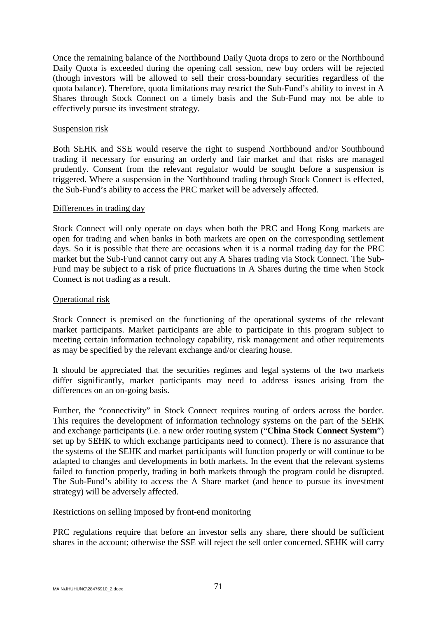Once the remaining balance of the Northbound Daily Quota drops to zero or the Northbound Daily Quota is exceeded during the opening call session, new buy orders will be rejected (though investors will be allowed to sell their cross-boundary securities regardless of the quota balance). Therefore, quota limitations may restrict the Sub-Fund's ability to invest in A Shares through Stock Connect on a timely basis and the Sub-Fund may not be able to effectively pursue its investment strategy.

#### Suspension risk

Both SEHK and SSE would reserve the right to suspend Northbound and/or Southbound trading if necessary for ensuring an orderly and fair market and that risks are managed prudently. Consent from the relevant regulator would be sought before a suspension is triggered. Where a suspension in the Northbound trading through Stock Connect is effected, the Sub-Fund's ability to access the PRC market will be adversely affected.

#### Differences in trading day

Stock Connect will only operate on days when both the PRC and Hong Kong markets are open for trading and when banks in both markets are open on the corresponding settlement days. So it is possible that there are occasions when it is a normal trading day for the PRC market but the Sub-Fund cannot carry out any A Shares trading via Stock Connect. The Sub-Fund may be subject to a risk of price fluctuations in A Shares during the time when Stock Connect is not trading as a result.

#### Operational risk

Stock Connect is premised on the functioning of the operational systems of the relevant market participants. Market participants are able to participate in this program subject to meeting certain information technology capability, risk management and other requirements as may be specified by the relevant exchange and/or clearing house.

It should be appreciated that the securities regimes and legal systems of the two markets differ significantly, market participants may need to address issues arising from the differences on an on-going basis.

Further, the "connectivity" in Stock Connect requires routing of orders across the border. This requires the development of information technology systems on the part of the SEHK and exchange participants (i.e. a new order routing system ("**China Stock Connect System**") set up by SEHK to which exchange participants need to connect). There is no assurance that the systems of the SEHK and market participants will function properly or will continue to be adapted to changes and developments in both markets. In the event that the relevant systems failed to function properly, trading in both markets through the program could be disrupted. The Sub-Fund's ability to access the A Share market (and hence to pursue its investment strategy) will be adversely affected.

### Restrictions on selling imposed by front-end monitoring

PRC regulations require that before an investor sells any share, there should be sufficient shares in the account; otherwise the SSE will reject the sell order concerned. SEHK will carry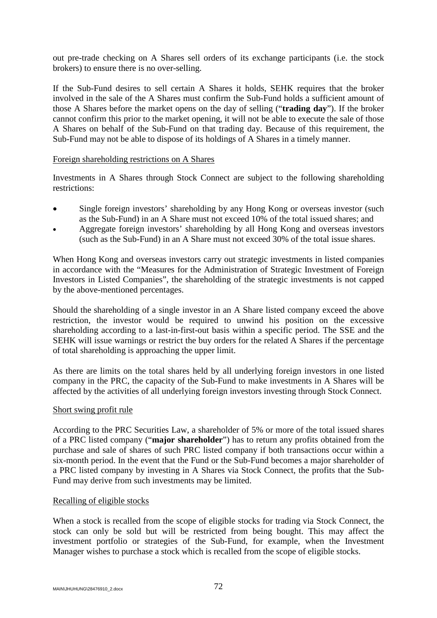out pre-trade checking on A Shares sell orders of its exchange participants (i.e. the stock brokers) to ensure there is no over-selling.

If the Sub-Fund desires to sell certain A Shares it holds, SEHK requires that the broker involved in the sale of the A Shares must confirm the Sub-Fund holds a sufficient amount of those A Shares before the market opens on the day of selling ("**trading day**"). If the broker cannot confirm this prior to the market opening, it will not be able to execute the sale of those A Shares on behalf of the Sub-Fund on that trading day. Because of this requirement, the Sub-Fund may not be able to dispose of its holdings of A Shares in a timely manner.

### Foreign shareholding restrictions on A Shares

Investments in A Shares through Stock Connect are subject to the following shareholding restrictions:

- Single foreign investors' shareholding by any Hong Kong or overseas investor (such as the Sub-Fund) in an A Share must not exceed 10% of the total issued shares; and
- Aggregate foreign investors' shareholding by all Hong Kong and overseas investors (such as the Sub-Fund) in an A Share must not exceed 30% of the total issue shares.

When Hong Kong and overseas investors carry out strategic investments in listed companies in accordance with the "Measures for the Administration of Strategic Investment of Foreign Investors in Listed Companies", the shareholding of the strategic investments is not capped by the above-mentioned percentages.

Should the shareholding of a single investor in an A Share listed company exceed the above restriction, the investor would be required to unwind his position on the excessive shareholding according to a last-in-first-out basis within a specific period. The SSE and the SEHK will issue warnings or restrict the buy orders for the related A Shares if the percentage of total shareholding is approaching the upper limit.

As there are limits on the total shares held by all underlying foreign investors in one listed company in the PRC, the capacity of the Sub-Fund to make investments in A Shares will be affected by the activities of all underlying foreign investors investing through Stock Connect.

# Short swing profit rule

According to the PRC Securities Law, a shareholder of 5% or more of the total issued shares of a PRC listed company ("**major shareholder**") has to return any profits obtained from the purchase and sale of shares of such PRC listed company if both transactions occur within a six-month period. In the event that the Fund or the Sub-Fund becomes a major shareholder of a PRC listed company by investing in A Shares via Stock Connect, the profits that the Sub-Fund may derive from such investments may be limited.

# Recalling of eligible stocks

When a stock is recalled from the scope of eligible stocks for trading via Stock Connect, the stock can only be sold but will be restricted from being bought. This may affect the investment portfolio or strategies of the Sub-Fund, for example, when the Investment Manager wishes to purchase a stock which is recalled from the scope of eligible stocks.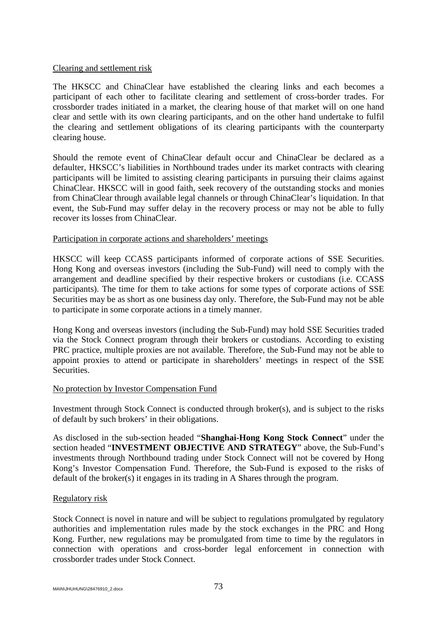#### Clearing and settlement risk

The HKSCC and ChinaClear have established the clearing links and each becomes a participant of each other to facilitate clearing and settlement of cross-border trades. For crossborder trades initiated in a market, the clearing house of that market will on one hand clear and settle with its own clearing participants, and on the other hand undertake to fulfil the clearing and settlement obligations of its clearing participants with the counterparty clearing house.

Should the remote event of ChinaClear default occur and ChinaClear be declared as a defaulter, HKSCC's liabilities in Northbound trades under its market contracts with clearing participants will be limited to assisting clearing participants in pursuing their claims against ChinaClear. HKSCC will in good faith, seek recovery of the outstanding stocks and monies from ChinaClear through available legal channels or through ChinaClear's liquidation. In that event, the Sub-Fund may suffer delay in the recovery process or may not be able to fully recover its losses from ChinaClear.

### Participation in corporate actions and shareholders' meetings

HKSCC will keep CCASS participants informed of corporate actions of SSE Securities. Hong Kong and overseas investors (including the Sub-Fund) will need to comply with the arrangement and deadline specified by their respective brokers or custodians (i.e. CCASS participants). The time for them to take actions for some types of corporate actions of SSE Securities may be as short as one business day only. Therefore, the Sub-Fund may not be able to participate in some corporate actions in a timely manner.

Hong Kong and overseas investors (including the Sub-Fund) may hold SSE Securities traded via the Stock Connect program through their brokers or custodians. According to existing PRC practice, multiple proxies are not available. Therefore, the Sub-Fund may not be able to appoint proxies to attend or participate in shareholders' meetings in respect of the SSE Securities.

### No protection by Investor Compensation Fund

Investment through Stock Connect is conducted through broker(s), and is subject to the risks of default by such brokers' in their obligations.

As disclosed in the sub-section headed "**Shanghai-Hong Kong Stock Connect**" under the section headed "**INVESTMENT OBJECTIVE AND STRATEGY**" above, the Sub-Fund's investments through Northbound trading under Stock Connect will not be covered by Hong Kong's Investor Compensation Fund. Therefore, the Sub-Fund is exposed to the risks of default of the broker(s) it engages in its trading in A Shares through the program.

### Regulatory risk

Stock Connect is novel in nature and will be subject to regulations promulgated by regulatory authorities and implementation rules made by the stock exchanges in the PRC and Hong Kong. Further, new regulations may be promulgated from time to time by the regulators in connection with operations and cross-border legal enforcement in connection with crossborder trades under Stock Connect.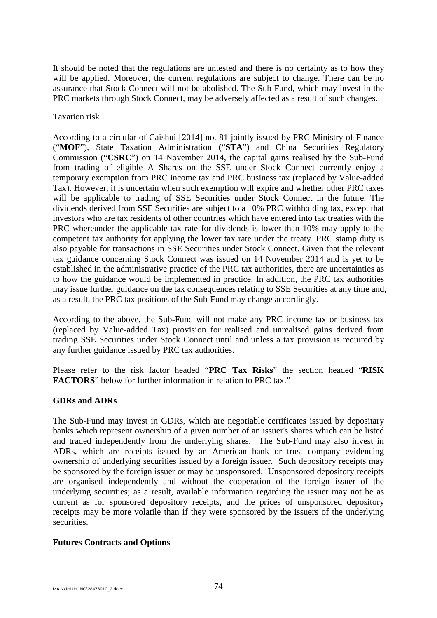It should be noted that the regulations are untested and there is no certainty as to how they will be applied. Moreover, the current regulations are subject to change. There can be no assurance that Stock Connect will not be abolished. The Sub-Fund, which may invest in the PRC markets through Stock Connect, may be adversely affected as a result of such changes.

### Taxation risk

According to a circular of Caishui [2014] no. 81 jointly issued by PRC Ministry of Finance ("**MOF**"), State Taxation Administration **(**"**STA**") and China Securities Regulatory Commission ("**CSRC**") on 14 November 2014, the capital gains realised by the Sub-Fund from trading of eligible A Shares on the SSE under Stock Connect currently enjoy a temporary exemption from PRC income tax and PRC business tax (replaced by Value-added Tax). However, it is uncertain when such exemption will expire and whether other PRC taxes will be applicable to trading of SSE Securities under Stock Connect in the future. The dividends derived from SSE Securities are subject to a 10% PRC withholding tax, except that investors who are tax residents of other countries which have entered into tax treaties with the PRC whereunder the applicable tax rate for dividends is lower than 10% may apply to the competent tax authority for applying the lower tax rate under the treaty. PRC stamp duty is also payable for transactions in SSE Securities under Stock Connect. Given that the relevant tax guidance concerning Stock Connect was issued on 14 November 2014 and is yet to be established in the administrative practice of the PRC tax authorities, there are uncertainties as to how the guidance would be implemented in practice. In addition, the PRC tax authorities may issue further guidance on the tax consequences relating to SSE Securities at any time and, as a result, the PRC tax positions of the Sub-Fund may change accordingly.

According to the above, the Sub-Fund will not make any PRC income tax or business tax (replaced by Value-added Tax) provision for realised and unrealised gains derived from trading SSE Securities under Stock Connect until and unless a tax provision is required by any further guidance issued by PRC tax authorities.

Please refer to the risk factor headed "**PRC Tax Risks**" the section headed "**RISK FACTORS**" below for further information in relation to PRC tax."

# **GDRs and ADRs**

The Sub-Fund may invest in GDRs, which are negotiable certificates issued by depositary banks which represent ownership of a given number of an issuer's shares which can be listed and traded independently from the underlying shares. The Sub-Fund may also invest in ADRs, which are receipts issued by an American bank or trust company evidencing ownership of underlying securities issued by a foreign issuer. Such depository receipts may be sponsored by the foreign issuer or may be unsponsored. Unsponsored depository receipts are organised independently and without the cooperation of the foreign issuer of the underlying securities; as a result, available information regarding the issuer may not be as current as for sponsored depository receipts, and the prices of unsponsored depository receipts may be more volatile than if they were sponsored by the issuers of the underlying securities.

# **Futures Contracts and Options**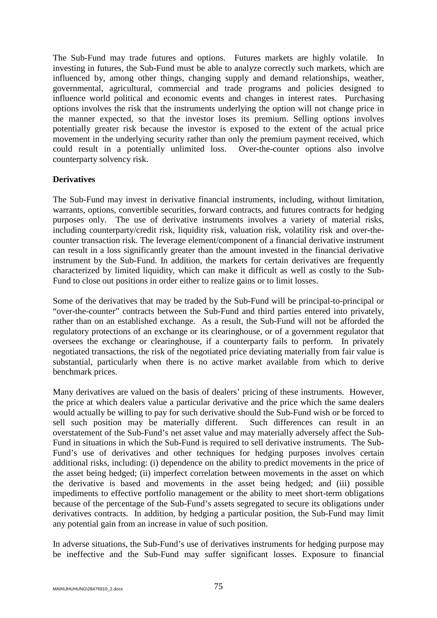The Sub-Fund may trade futures and options. Futures markets are highly volatile. In investing in futures, the Sub-Fund must be able to analyze correctly such markets, which are influenced by, among other things, changing supply and demand relationships, weather, governmental, agricultural, commercial and trade programs and policies designed to influence world political and economic events and changes in interest rates. Purchasing options involves the risk that the instruments underlying the option will not change price in the manner expected, so that the investor loses its premium. Selling options involves potentially greater risk because the investor is exposed to the extent of the actual price movement in the underlying security rather than only the premium payment received, which could result in a potentially unlimited loss. Over-the-counter options also involve counterparty solvency risk.

### **Derivatives**

The Sub-Fund may invest in derivative financial instruments, including, without limitation, warrants, options, convertible securities, forward contracts, and futures contracts for hedging purposes only. The use of derivative instruments involves a variety of material risks, including counterparty/credit risk, liquidity risk, valuation risk, volatility risk and over-thecounter transaction risk. The leverage element/component of a financial derivative instrument can result in a loss significantly greater than the amount invested in the financial derivative instrument by the Sub-Fund. In addition, the markets for certain derivatives are frequently characterized by limited liquidity, which can make it difficult as well as costly to the Sub-Fund to close out positions in order either to realize gains or to limit losses.

Some of the derivatives that may be traded by the Sub-Fund will be principal-to-principal or "over-the-counter" contracts between the Sub-Fund and third parties entered into privately, rather than on an established exchange. As a result, the Sub-Fund will not be afforded the regulatory protections of an exchange or its clearinghouse, or of a government regulator that oversees the exchange or clearinghouse, if a counterparty fails to perform. In privately negotiated transactions, the risk of the negotiated price deviating materially from fair value is substantial, particularly when there is no active market available from which to derive benchmark prices.

Many derivatives are valued on the basis of dealers' pricing of these instruments. However, the price at which dealers value a particular derivative and the price which the same dealers would actually be willing to pay for such derivative should the Sub-Fund wish or be forced to sell such position may be materially different. Such differences can result in an overstatement of the Sub-Fund's net asset value and may materially adversely affect the Sub-Fund in situations in which the Sub-Fund is required to sell derivative instruments. The Sub-Fund's use of derivatives and other techniques for hedging purposes involves certain additional risks, including: (i) dependence on the ability to predict movements in the price of the asset being hedged; (ii) imperfect correlation between movements in the asset on which the derivative is based and movements in the asset being hedged; and (iii) possible impediments to effective portfolio management or the ability to meet short-term obligations because of the percentage of the Sub-Fund's assets segregated to secure its obligations under derivatives contracts. In addition, by hedging a particular position, the Sub-Fund may limit any potential gain from an increase in value of such position.

In adverse situations, the Sub-Fund's use of derivatives instruments for hedging purpose may be ineffective and the Sub-Fund may suffer significant losses. Exposure to financial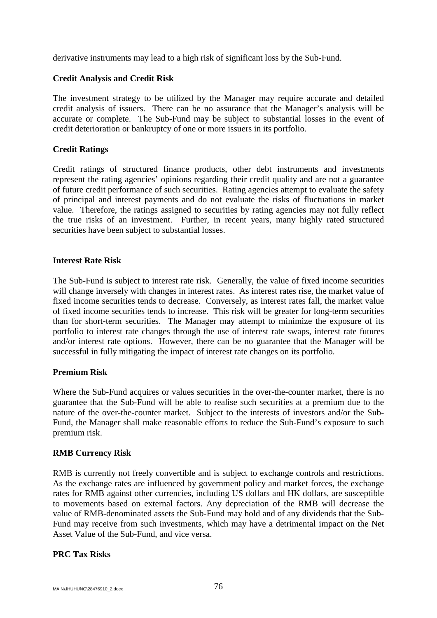derivative instruments may lead to a high risk of significant loss by the Sub-Fund.

### **Credit Analysis and Credit Risk**

The investment strategy to be utilized by the Manager may require accurate and detailed credit analysis of issuers. There can be no assurance that the Manager's analysis will be accurate or complete. The Sub-Fund may be subject to substantial losses in the event of credit deterioration or bankruptcy of one or more issuers in its portfolio.

### **Credit Ratings**

Credit ratings of structured finance products, other debt instruments and investments represent the rating agencies' opinions regarding their credit quality and are not a guarantee of future credit performance of such securities. Rating agencies attempt to evaluate the safety of principal and interest payments and do not evaluate the risks of fluctuations in market value. Therefore, the ratings assigned to securities by rating agencies may not fully reflect the true risks of an investment. Further, in recent years, many highly rated structured securities have been subject to substantial losses.

### **Interest Rate Risk**

The Sub-Fund is subject to interest rate risk. Generally, the value of fixed income securities will change inversely with changes in interest rates. As interest rates rise, the market value of fixed income securities tends to decrease. Conversely, as interest rates fall, the market value of fixed income securities tends to increase. This risk will be greater for long-term securities than for short-term securities. The Manager may attempt to minimize the exposure of its portfolio to interest rate changes through the use of interest rate swaps, interest rate futures and/or interest rate options. However, there can be no guarantee that the Manager will be successful in fully mitigating the impact of interest rate changes on its portfolio.

### **Premium Risk**

Where the Sub-Fund acquires or values securities in the over-the-counter market, there is no guarantee that the Sub-Fund will be able to realise such securities at a premium due to the nature of the over-the-counter market. Subject to the interests of investors and/or the Sub-Fund, the Manager shall make reasonable efforts to reduce the Sub-Fund's exposure to such premium risk.

### **RMB Currency Risk**

RMB is currently not freely convertible and is subject to exchange controls and restrictions. As the exchange rates are influenced by government policy and market forces, the exchange rates for RMB against other currencies, including US dollars and HK dollars, are susceptible to movements based on external factors. Any depreciation of the RMB will decrease the value of RMB-denominated assets the Sub-Fund may hold and of any dividends that the Sub-Fund may receive from such investments, which may have a detrimental impact on the Net Asset Value of the Sub-Fund, and vice versa.

### **PRC Tax Risks**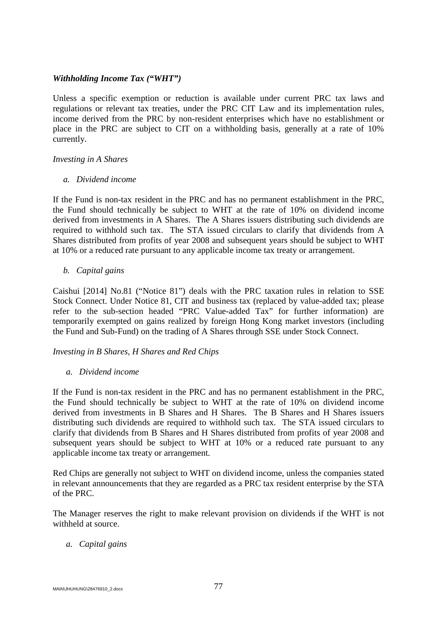### *Withholding Income Tax ("WHT")*

Unless a specific exemption or reduction is available under current PRC tax laws and regulations or relevant tax treaties, under the PRC CIT Law and its implementation rules, income derived from the PRC by non-resident enterprises which have no establishment or place in the PRC are subject to CIT on a withholding basis, generally at a rate of 10% currently.

### *Investing in A Shares*

### *a. Dividend income*

If the Fund is non-tax resident in the PRC and has no permanent establishment in the PRC, the Fund should technically be subject to WHT at the rate of 10% on dividend income derived from investments in A Shares. The A Shares issuers distributing such dividends are required to withhold such tax. The STA issued circulars to clarify that dividends from A Shares distributed from profits of year 2008 and subsequent years should be subject to WHT at 10% or a reduced rate pursuant to any applicable income tax treaty or arrangement.

# *b. Capital gains*

Caishui [2014] No.81 ("Notice 81") deals with the PRC taxation rules in relation to SSE Stock Connect. Under Notice 81, CIT and business tax (replaced by value-added tax; please refer to the sub-section headed "PRC Value-added Tax" for further information) are temporarily exempted on gains realized by foreign Hong Kong market investors (including the Fund and Sub-Fund) on the trading of A Shares through SSE under Stock Connect.

### *Investing in B Shares, H Shares and Red Chips*

# *a. Dividend income*

If the Fund is non-tax resident in the PRC and has no permanent establishment in the PRC, the Fund should technically be subject to WHT at the rate of 10% on dividend income derived from investments in B Shares and H Shares. The B Shares and H Shares issuers distributing such dividends are required to withhold such tax. The STA issued circulars to clarify that dividends from B Shares and H Shares distributed from profits of year 2008 and subsequent years should be subject to WHT at 10% or a reduced rate pursuant to any applicable income tax treaty or arrangement.

Red Chips are generally not subject to WHT on dividend income, unless the companies stated in relevant announcements that they are regarded as a PRC tax resident enterprise by the STA of the PRC.

The Manager reserves the right to make relevant provision on dividends if the WHT is not withheld at source.

# *a. Capital gains*

MAIN\JHUHUNG\28476910\_2.docx 77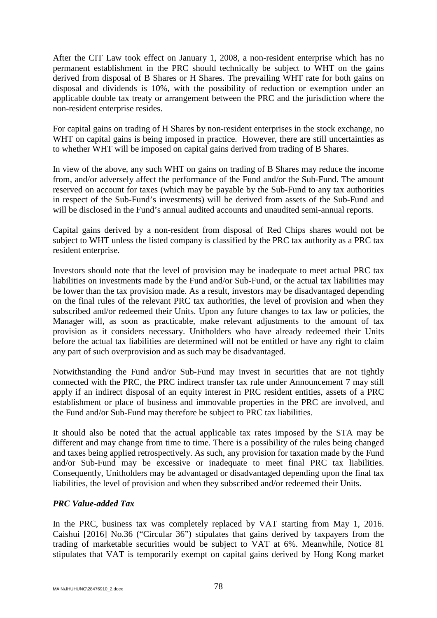After the CIT Law took effect on January 1, 2008, a non-resident enterprise which has no permanent establishment in the PRC should technically be subject to WHT on the gains derived from disposal of B Shares or H Shares. The prevailing WHT rate for both gains on disposal and dividends is 10%, with the possibility of reduction or exemption under an applicable double tax treaty or arrangement between the PRC and the jurisdiction where the non-resident enterprise resides.

For capital gains on trading of H Shares by non-resident enterprises in the stock exchange, no WHT on capital gains is being imposed in practice. However, there are still uncertainties as to whether WHT will be imposed on capital gains derived from trading of B Shares.

In view of the above, any such WHT on gains on trading of B Shares may reduce the income from, and/or adversely affect the performance of the Fund and/or the Sub-Fund. The amount reserved on account for taxes (which may be payable by the Sub-Fund to any tax authorities in respect of the Sub-Fund's investments) will be derived from assets of the Sub-Fund and will be disclosed in the Fund's annual audited accounts and unaudited semi-annual reports.

Capital gains derived by a non-resident from disposal of Red Chips shares would not be subject to WHT unless the listed company is classified by the PRC tax authority as a PRC tax resident enterprise.

Investors should note that the level of provision may be inadequate to meet actual PRC tax liabilities on investments made by the Fund and/or Sub-Fund, or the actual tax liabilities may be lower than the tax provision made. As a result, investors may be disadvantaged depending on the final rules of the relevant PRC tax authorities, the level of provision and when they subscribed and/or redeemed their Units. Upon any future changes to tax law or policies, the Manager will, as soon as practicable, make relevant adjustments to the amount of tax provision as it considers necessary. Unitholders who have already redeemed their Units before the actual tax liabilities are determined will not be entitled or have any right to claim any part of such overprovision and as such may be disadvantaged.

Notwithstanding the Fund and/or Sub-Fund may invest in securities that are not tightly connected with the PRC, the PRC indirect transfer tax rule under Announcement 7 may still apply if an indirect disposal of an equity interest in PRC resident entities, assets of a PRC establishment or place of business and immovable properties in the PRC are involved, and the Fund and/or Sub-Fund may therefore be subject to PRC tax liabilities.

It should also be noted that the actual applicable tax rates imposed by the STA may be different and may change from time to time. There is a possibility of the rules being changed and taxes being applied retrospectively. As such, any provision for taxation made by the Fund and/or Sub-Fund may be excessive or inadequate to meet final PRC tax liabilities. Consequently, Unitholders may be advantaged or disadvantaged depending upon the final tax liabilities, the level of provision and when they subscribed and/or redeemed their Units.

# *PRC Value-added Tax*

In the PRC, business tax was completely replaced by VAT starting from May 1, 2016. Caishui [2016] No.36 ("Circular 36") stipulates that gains derived by taxpayers from the trading of marketable securities would be subject to VAT at 6%. Meanwhile, Notice 81 stipulates that VAT is temporarily exempt on capital gains derived by Hong Kong market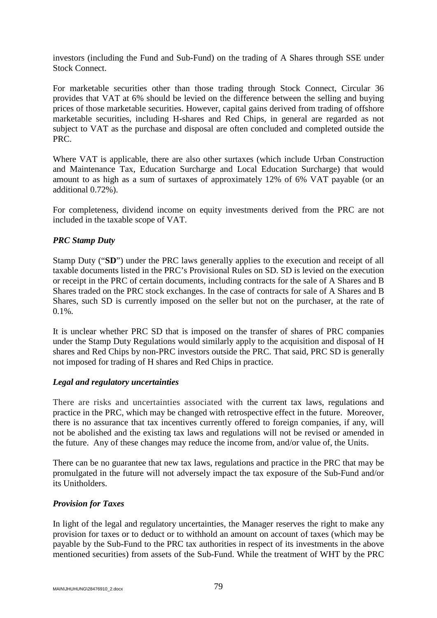investors (including the Fund and Sub-Fund) on the trading of A Shares through SSE under Stock Connect.

For marketable securities other than those trading through Stock Connect, Circular 36 provides that VAT at 6% should be levied on the difference between the selling and buying prices of those marketable securities. However, capital gains derived from trading of offshore marketable securities, including H-shares and Red Chips, in general are regarded as not subject to VAT as the purchase and disposal are often concluded and completed outside the PRC.

Where VAT is applicable, there are also other surtaxes (which include Urban Construction and Maintenance Tax, Education Surcharge and Local Education Surcharge) that would amount to as high as a sum of surtaxes of approximately 12% of 6% VAT payable (or an additional 0.72%).

For completeness, dividend income on equity investments derived from the PRC are not included in the taxable scope of VAT.

# *PRC Stamp Duty*

Stamp Duty ("**SD**") under the PRC laws generally applies to the execution and receipt of all taxable documents listed in the PRC's Provisional Rules on SD. SD is levied on the execution or receipt in the PRC of certain documents, including contracts for the sale of A Shares and B Shares traded on the PRC stock exchanges. In the case of contracts for sale of A Shares and B Shares, such SD is currently imposed on the seller but not on the purchaser, at the rate of  $0.1\%$ .

It is unclear whether PRC SD that is imposed on the transfer of shares of PRC companies under the Stamp Duty Regulations would similarly apply to the acquisition and disposal of H shares and Red Chips by non-PRC investors outside the PRC. That said, PRC SD is generally not imposed for trading of H shares and Red Chips in practice.

### *Legal and regulatory uncertainties*

There are risks and uncertainties associated with the current tax laws, regulations and practice in the PRC, which may be changed with retrospective effect in the future. Moreover, there is no assurance that tax incentives currently offered to foreign companies, if any, will not be abolished and the existing tax laws and regulations will not be revised or amended in the future. Any of these changes may reduce the income from, and/or value of, the Units.

There can be no guarantee that new tax laws, regulations and practice in the PRC that may be promulgated in the future will not adversely impact the tax exposure of the Sub-Fund and/or its Unitholders.

# *Provision for Taxes*

In light of the legal and regulatory uncertainties, the Manager reserves the right to make any provision for taxes or to deduct or to withhold an amount on account of taxes (which may be payable by the Sub-Fund to the PRC tax authorities in respect of its investments in the above mentioned securities) from assets of the Sub-Fund. While the treatment of WHT by the PRC